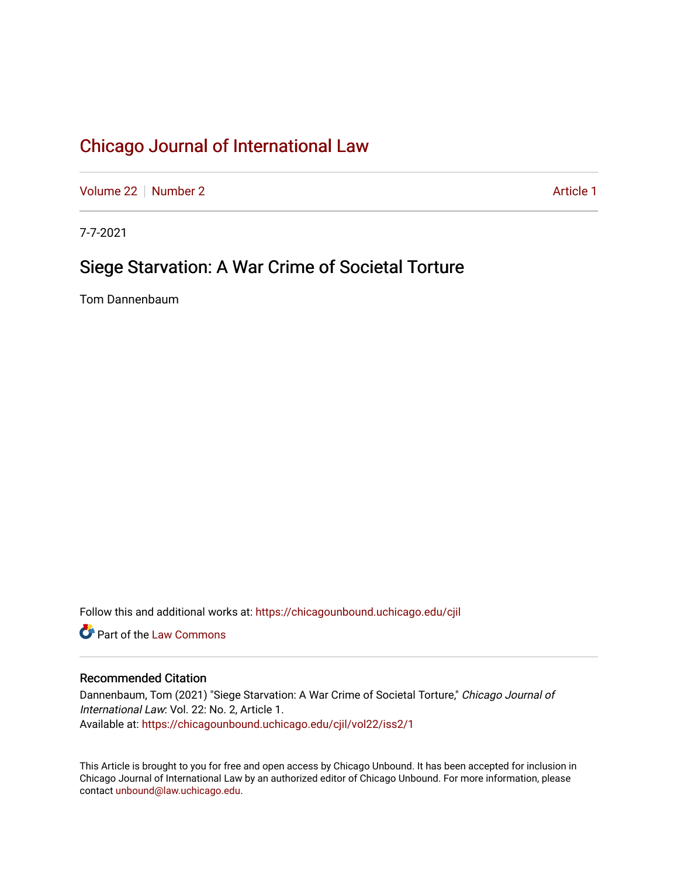[Volume 22](https://chicagounbound.uchicago.edu/cjil/vol22) [Number 2](https://chicagounbound.uchicago.edu/cjil/vol22/iss2) Article 1

7-7-2021

# Siege Starvation: A War Crime of Societal Torture

Tom Dannenbaum

Follow this and additional works at: [https://chicagounbound.uchicago.edu/cjil](https://chicagounbound.uchicago.edu/cjil?utm_source=chicagounbound.uchicago.edu%2Fcjil%2Fvol22%2Fiss2%2F1&utm_medium=PDF&utm_campaign=PDFCoverPages)

**C** Part of the [Law Commons](https://network.bepress.com/hgg/discipline/578?utm_source=chicagounbound.uchicago.edu%2Fcjil%2Fvol22%2Fiss2%2F1&utm_medium=PDF&utm_campaign=PDFCoverPages)

## Recommended Citation

Dannenbaum, Tom (2021) "Siege Starvation: A War Crime of Societal Torture," Chicago Journal of International Law: Vol. 22: No. 2, Article 1. Available at: [https://chicagounbound.uchicago.edu/cjil/vol22/iss2/1](https://chicagounbound.uchicago.edu/cjil/vol22/iss2/1?utm_source=chicagounbound.uchicago.edu%2Fcjil%2Fvol22%2Fiss2%2F1&utm_medium=PDF&utm_campaign=PDFCoverPages)

This Article is brought to you for free and open access by Chicago Unbound. It has been accepted for inclusion in Chicago Journal of International Law by an authorized editor of Chicago Unbound. For more information, please contact [unbound@law.uchicago.edu](mailto:unbound@law.uchicago.edu).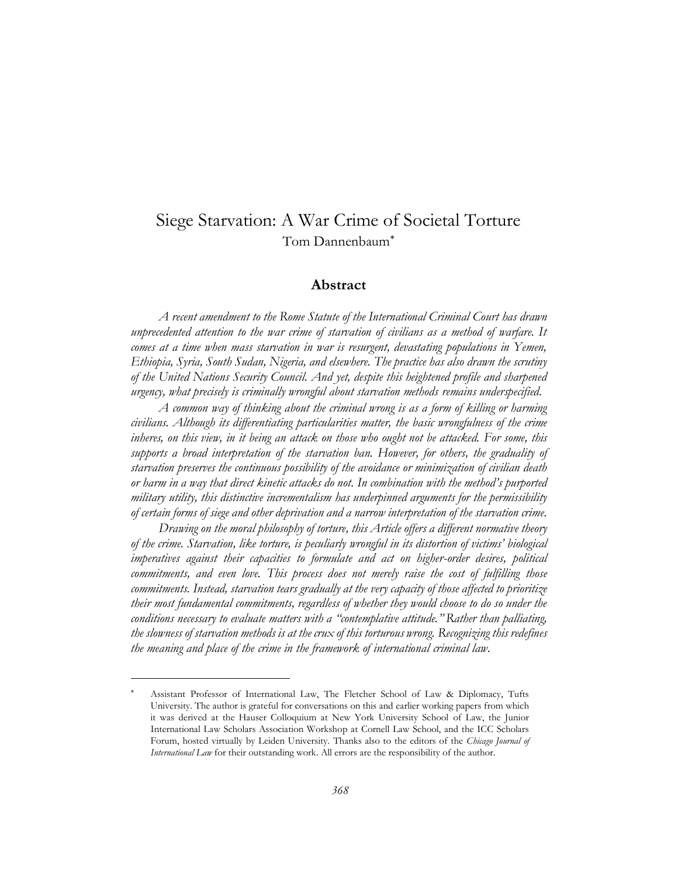# Siege Starvation: A War Crime of Societal Torture Tom Dannenbaum

## **Abstract**

*A recent amendment to the Rome Statute of the International Criminal Court has drawn unprecedented attention to the war crime of starvation of civilians as a method of warfare. It comes at a time when mass starvation in war is resurgent, devastating populations in Yemen, Ethiopia, Syria, South Sudan, Nigeria, and elsewhere. The practice has also drawn the scrutiny of the United Nations Security Council. And yet, despite this heightened profile and sharpened urgency, what precisely is criminally wrongful about starvation methods remains underspecified.* 

*A common way of thinking about the criminal wrong is as a form of killing or harming civilians. Although its differentiating particularities matter, the basic wrongfulness of the crime inheres, on this view, in it being an attack on those who ought not be attacked. For some, this supports a broad interpretation of the starvation ban. However, for others, the graduality of starvation preserves the continuous possibility of the avoidance or minimization of civilian death or harm in a way that direct kinetic attacks do not. In combination with the method's purported military utility, this distinctive incrementalism has underpinned arguments for the permissibility of certain forms of siege and other deprivation and a narrow interpretation of the starvation crime.*

*Drawing on the moral philosophy of torture, this Article offers a different normative theory of the crime. Starvation, like torture, is peculiarly wrongful in its distortion of victims' biological imperatives against their capacities to formulate and act on higher-order desires, political commitments, and even love. This process does not merely raise the cost of fulfilling those commitments. Instead, starvation tears gradually at the very capacity of those affected to prioritize their most fundamental commitments, regardless of whether they would choose to do so under the conditions necessary to evaluate matters with a "contemplative attitude." Rather than palliating, the slowness of starvation methods is at the crux of this torturous wrong. Recognizing this redefines the meaning and place of the crime in the framework of international criminal law.*

Assistant Professor of International Law, The Fletcher School of Law & Diplomacy, Tufts University. The author is grateful for conversations on this and earlier working papers from which it was derived at the Hauser Colloquium at New York University School of Law, the Junior International Law Scholars Association Workshop at Cornell Law School, and the ICC Scholars Forum, hosted virtually by Leiden University. Thanks also to the editors of the *Chicago Journal of International Law* for their outstanding work. All errors are the responsibility of the author.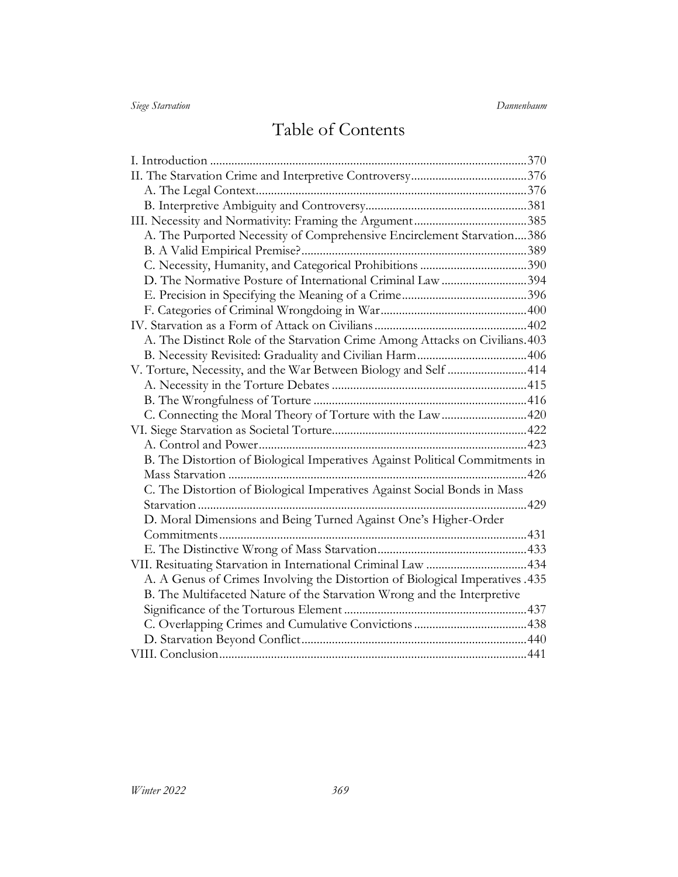# Table of Contents

| A. The Purported Necessity of Comprehensive Encirclement Starvation386       |  |
|------------------------------------------------------------------------------|--|
|                                                                              |  |
| C. Necessity, Humanity, and Categorical Prohibitions 390                     |  |
| D. The Normative Posture of International Criminal Law 394                   |  |
|                                                                              |  |
|                                                                              |  |
|                                                                              |  |
| A. The Distinct Role of the Starvation Crime Among Attacks on Civilians. 403 |  |
|                                                                              |  |
| V. Torture, Necessity, and the War Between Biology and Self 414              |  |
|                                                                              |  |
|                                                                              |  |
| C. Connecting the Moral Theory of Torture with the Law 420                   |  |
|                                                                              |  |
|                                                                              |  |
| B. The Distortion of Biological Imperatives Against Political Commitments in |  |
|                                                                              |  |
| C. The Distortion of Biological Imperatives Against Social Bonds in Mass     |  |
|                                                                              |  |
| D. Moral Dimensions and Being Turned Against One's Higher-Order              |  |
|                                                                              |  |
|                                                                              |  |
|                                                                              |  |
| A. A Genus of Crimes Involving the Distortion of Biological Imperatives .435 |  |
| B. The Multifaceted Nature of the Starvation Wrong and the Interpretive      |  |
|                                                                              |  |
|                                                                              |  |
|                                                                              |  |
|                                                                              |  |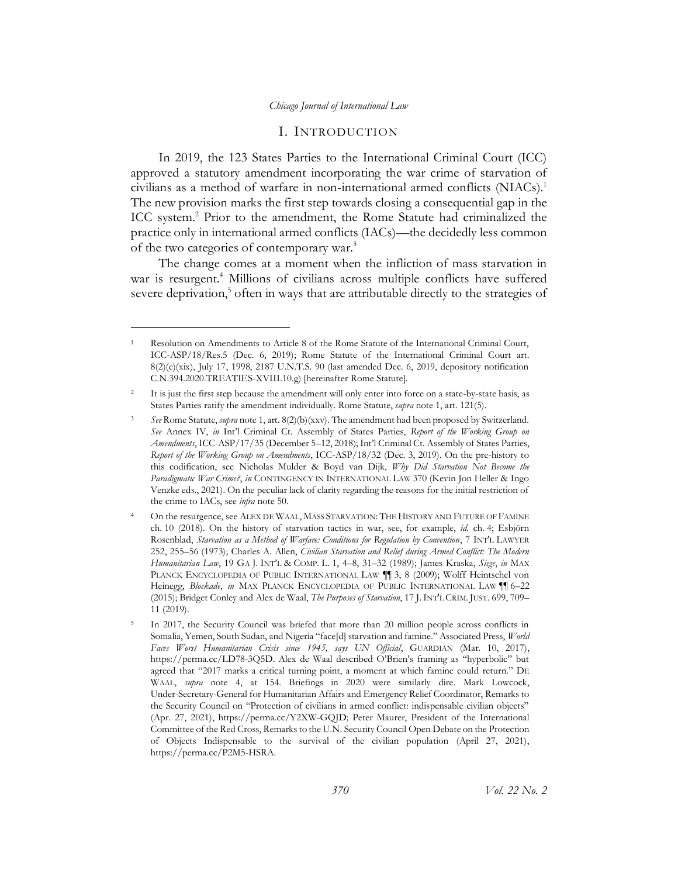## <span id="page-3-4"></span><span id="page-3-3"></span><span id="page-3-1"></span>I. INTRODUCTION

<span id="page-3-0"></span>In 2019, the 123 States Parties to the International Criminal Court (ICC) approved a statutory amendment incorporating the war crime of starvation of civilians as a method of warfare in non-international armed conflicts (NIACs). 1 The new provision marks the first step towards closing a consequential gap in the ICC system. <sup>2</sup> Prior to the amendment, the Rome Statute had criminalized the practice only in international armed conflicts (IACs)—the decidedly less common of the two categories of contemporary war.<sup>3</sup>

<span id="page-3-2"></span>The change comes at a moment when the infliction of mass starvation in war is resurgent. <sup>4</sup> Millions of civilians across multiple conflicts have suffered severe deprivation, $5$  often in ways that are attributable directly to the strategies of

<sup>1</sup> Resolution on Amendments to Article 8 of the Rome Statute of the International Criminal Court, ICC-ASP/18/Res.5 (Dec. 6, 2019); Rome Statute of the International Criminal Court art. 8(2)(e)(xix), July 17, 1998, 2187 U.N.T.S. 90 (last amended Dec. 6, 2019, depository notification C.N.394.2020.TREATIES-XVIII.10.g) [hereinafter Rome Statute].

<sup>&</sup>lt;sup>2</sup> It is just the first step because the amendment will only enter into force on a state-by-state basis, as States Parties ratify the amendment individually. Rome Statute, *supra* not[e 1,](#page-3-1) art. 121(5).

<sup>3</sup> *See* Rome Statute, *supra* not[e 1,](#page-3-1) art. 8(2)(b)(xxv). The amendment had been proposed by Switzerland. *See* Annex IV, *in* Int'l Criminal Ct. Assembly of States Parties, *Report of the Working Group on Amendments*, ICC-ASP/17/35 (December 5–12, 2018); Int'l Criminal Ct. Assembly of States Parties, *Report of the Working Group on Amendments*, ICC-ASP/18/32 (Dec. 3, 2019). On the pre-history to this codification, see Nicholas Mulder & Boyd van Dijk, *Why Did Starvation Not Become the Paradigmatic War Crime?*, *in* CONTINGENCY IN INTERNATIONAL LAW 370 (Kevin Jon Heller & Ingo Venzke eds., 2021). On the peculiar lack of clarity regarding the reasons for the initial restriction of the crime to IACs, see *infra* not[e 50.](#page-11-0)

<sup>4</sup> On the resurgence, see ALEX DE WAAL, MASS STARVATION: THE HISTORY AND FUTURE OF FAMINE ch. 10 (2018). On the history of starvation tactics in war, see, for example, *id.* ch. 4; Esbjörn Rosenblad, *Starvation as a Method of Warfare: Conditions for Regulation by Convention*, 7 INT'L LAWYER 252, 255–56 (1973); Charles A. Allen, *Civilian Starvation and Relief during Armed Conflict: The Modern Humanitarian Law*, 19 GA J. INT'L & COMP. L. 1, 4–8, 31–32 (1989); James Kraska, *Siege*, *in* MAX PLANCK ENCYCLOPEDIA OF PUBLIC INTERNATIONAL LAW ¶¶ 3, 8 (2009); Wolff Heintschel von Heinegg, *Blockade*, *in* MAX PLANCK ENCYCLOPEDIA OF PUBLIC INTERNATIONAL LAW ¶¶ 6–22 (2015); Bridget Conley and Alex de Waal, *The Purposes of Starvation*, 17 J.INT'L CRIM. JUST. 699, 709– 11 (2019).

<sup>5</sup> In 2017, the Security Council was briefed that more than 20 million people across conflicts in Somalia, Yemen, South Sudan, and Nigeria "face[d] starvation and famine." Associated Press, *World Faces Worst Humanitarian Crisis since 1945, says UN Official*, GUARDIAN (Mar. 10, 2017), https://perma.cc/LD78-3Q5D. Alex de Waal described O'Brien's framing as "hyperbolic" but agreed that "2017 marks a critical turning point, a moment at which famine could return." DE WAAL, *supra* note [4,](#page-3-2) at 154. Briefings in 2020 were similarly dire. Mark Lowcock, Under-Secretary-General for Humanitarian Affairs and Emergency Relief Coordinator, Remarks to the Security Council on "Protection of civilians in armed conflict: indispensable civilian objects" (Apr. 27, 2021), https://perma.cc/Y2XW-GQJD; Peter Maurer, President of the International Committee of the Red Cross, Remarks to the U.N. Security Council Open Debate on the Protection of Objects Indispensable to the survival of the civilian population (April 27, 2021), https://perma.cc/P2M5-HSRA.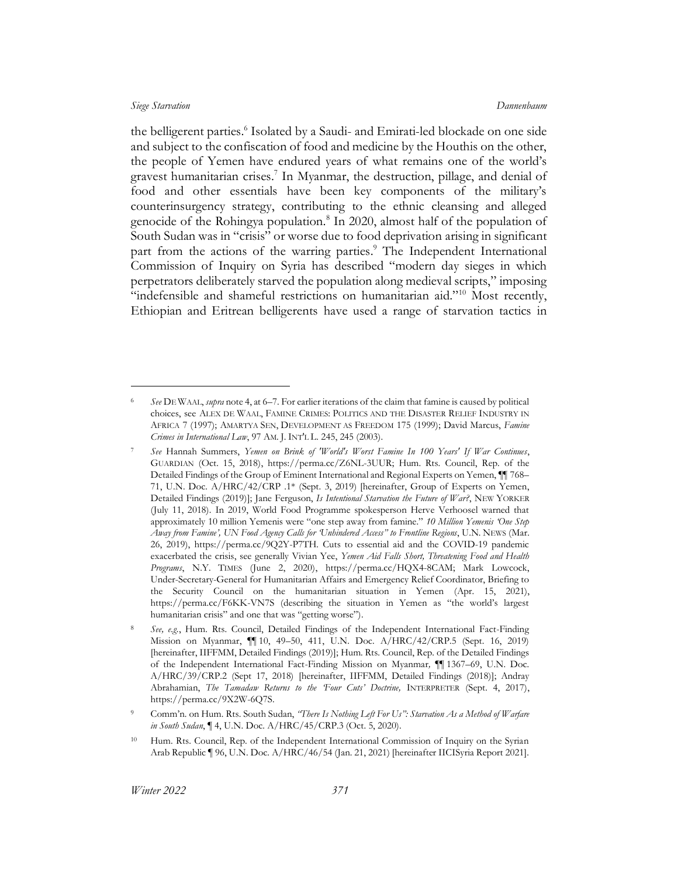<span id="page-4-3"></span><span id="page-4-1"></span><span id="page-4-0"></span>the belligerent parties. 6 Isolated by a Saudi- and Emirati-led blockade on one side and subject to the confiscation of food and medicine by the Houthis on the other, the people of Yemen have endured years of what remains one of the world's gravest humanitarian crises. 7 In Myanmar, the destruction, pillage, and denial of food and other essentials have been key components of the military's counterinsurgency strategy, contributing to the ethnic cleansing and alleged genocide of the Rohingya population.<sup>8</sup> In 2020, almost half of the population of South Sudan was in "crisis" or worse due to food deprivation arising in significant part from the actions of the warring parties. <sup>9</sup> The Independent International Commission of Inquiry on Syria has described "modern day sieges in which perpetrators deliberately starved the population along medieval scripts," imposing "indefensible and shameful restrictions on humanitarian aid."<sup>10</sup> Most recently, Ethiopian and Eritrean belligerents have used a range of starvation tactics in

<span id="page-4-2"></span><sup>6</sup> *See* DE WAAL, *supra* not[e 4,](#page-3-2) at 6–7. For earlier iterations of the claim that famine is caused by political choices, see ALEX DE WAAL, FAMINE CRIMES: POLITICS AND THE DISASTER RELIEF INDUSTRY IN AFRICA 7 (1997); AMARTYA SEN, DEVELOPMENT AS FREEDOM 175 (1999); David Marcus, *Famine Crimes in International Law*, 97 AM. J. INT'L L. 245, 245 (2003).

<sup>7</sup> *See* Hannah Summers, *Yemen on Brink of 'World's Worst Famine In 100 Years' If War Continues*, GUARDIAN (Oct. 15, 2018), https://perma.cc/Z6NL-3UUR; Hum. Rts. Council, Rep. of the Detailed Findings of the Group of Eminent International and Regional Experts on Yemen, ¶¶ 768– 71, U.N. Doc. A/HRC/42/CRP .1\* (Sept. 3, 2019) [hereinafter, Group of Experts on Yemen, Detailed Findings (2019)]; Jane Ferguson, *Is Intentional Starvation the Future of War?*, NEW YORKER (July 11, 2018). In 2019, World Food Programme spokesperson Herve Verhoosel warned that approximately 10 million Yemenis were "one step away from famine." *10 Million Yemenis 'One Step Away from Famine', UN Food Agency Calls for 'Unhindered Access" to Frontline Regions*, U.N. NEWS (Mar. 26, 2019), https://perma.cc/9Q2Y-P7TH. Cuts to essential aid and the COVID-19 pandemic exacerbated the crisis, see generally Vivian Yee, *Yemen Aid Falls Short, Threatening Food and Health Programs*, N.Y. TIMES (June 2, 2020), https://perma.cc/HQX4-8CAM; Mark Lowcock, Under-Secretary-General for Humanitarian Affairs and Emergency Relief Coordinator, Briefing to the Security Council on the humanitarian situation in Yemen (Apr. 15, 2021), https://perma.cc/F6KK-VN7S (describing the situation in Yemen as "the world's largest humanitarian crisis" and one that was "getting worse").

<sup>8</sup> *See, e.g.*, Hum. Rts. Council, Detailed Findings of the Independent International Fact-Finding Mission on Myanmar, ¶¶ 10, 49–50, 411, U.N. Doc. A/HRC/42/CRP.5 (Sept. 16, 2019) [hereinafter, IIFFMM, Detailed Findings (2019)]; Hum. Rts. Council, Rep. of the Detailed Findings of the Independent International Fact-Finding Mission on Myanmar*,* ¶¶ 1367–69, U.N. Doc. A/HRC/39/CRP.2 (Sept 17, 2018) [hereinafter, IIFFMM, Detailed Findings (2018)]; Andray Abrahamian, *The Tamadaw Returns to the 'Four Cuts' Doctrine,* INTERPRETER (Sept. 4, 2017), https://perma.cc/9X2W-6Q7S.

<sup>9</sup> Comm'n. on Hum. Rts. South Sudan, *"There Is Nothing Left For Us": Starvation As a Method of Warfare in South Sudan*, ¶ 4, U.N. Doc. A/HRC/45/CRP.3 (Oct. 5, 2020).

<sup>10</sup> Hum. Rts. Council, Rep. of the Independent International Commission of Inquiry on the Syrian Arab Republic ¶ 96, U.N. Doc. A/HRC/46/54 (Jan. 21, 2021) [hereinafter IICISyria Report 2021].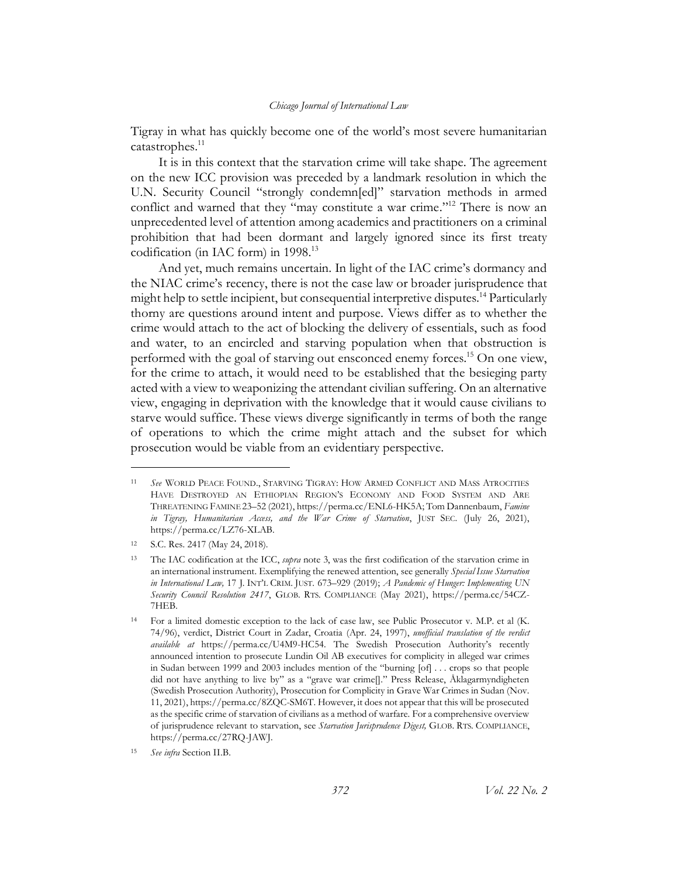<span id="page-5-0"></span>Tigray in what has quickly become one of the world's most severe humanitarian catastrophes. 11

It is in this context that the starvation crime will take shape. The agreement on the new ICC provision was preceded by a landmark resolution in which the U.N. Security Council "strongly condemn[ed]" starvation methods in armed conflict and warned that they "may constitute a war crime."<sup>12</sup> There is now an unprecedented level of attention among academics and practitioners on a criminal prohibition that had been dormant and largely ignored since its first treaty codification (in IAC form) in 1998. 13

And yet, much remains uncertain. In light of the IAC crime's dormancy and the NIAC crime's recency, there is not the case law or broader jurisprudence that might help to settle incipient, but consequential interpretive disputes.<sup>14</sup> Particularly thorny are questions around intent and purpose. Views differ as to whether the crime would attach to the act of blocking the delivery of essentials, such as food and water, to an encircled and starving population when that obstruction is performed with the goal of starving out ensconced enemy forces. <sup>15</sup> On one view, for the crime to attach, it would need to be established that the besieging party acted with a view to weaponizing the attendant civilian suffering. On an alternative view, engaging in deprivation with the knowledge that it would cause civilians to starve would suffice. These views diverge significantly in terms of both the range of operations to which the crime might attach and the subset for which prosecution would be viable from an evidentiary perspective.

<sup>11</sup> *See* WORLD PEACE FOUND., STARVING TIGRAY: HOW ARMED CONFLICT AND MASS ATROCITIES HAVE DESTROYED AN ETHIOPIAN REGION'S ECONOMY AND FOOD SYSTEM AND ARE THREATENING FAMINE 23–52 (2021), https://perma.cc/ENL6-HK5A; Tom Dannenbaum, *Famine in Tigray, Humanitarian Access, and the War Crime of Starvation*, JUST SEC. (July 26, 2021), https://perma.cc/LZ76-XLAB.

<sup>12</sup> S.C. Res. 2417 (May 24, 2018).

<sup>13</sup> The IAC codification at the ICC, *supra* note [3,](#page-3-3) was the first codification of the starvation crime in an international instrument. Exemplifying the renewed attention, see generally *Special Issue Starvation in International Law,* 17 J. INT'L CRIM. JUST. 673–929 (2019); *A Pandemic of Hunger: Implementing UN Security Council Resolution 2417*, GLOB. RTS. COMPLIANCE (May 2021), https://perma.cc/54CZ-7HEB.

<sup>14</sup> For a limited domestic exception to the lack of case law, see Public Prosecutor v. M.P. et al (K. 74/96), verdict, District Court in Zadar, Croatia (Apr. 24, 1997), *unofficial translation of the verdict available at* https://perma.cc/U4M9-HC54. The Swedish Prosecution Authority's recently announced intention to prosecute Lundin Oil AB executives for complicity in alleged war crimes in Sudan between 1999 and 2003 includes mention of the "burning [of] . . . crops so that people did not have anything to live by" as a "grave war crime[]." Press Release, Åklagarmyndigheten (Swedish Prosecution Authority), Prosecution for Complicity in Grave War Crimes in Sudan (Nov. 11, 2021), https://perma.cc/8ZQC-SM6T. However, it does not appear that this will be prosecuted as the specific crime of starvation of civilians as a method of warfare. For a comprehensive overview of jurisprudence relevant to starvation, see *Starvation Jurisprudence Digest,* GLOB. RTS. COMPLIANCE, https://perma.cc/27RQ-JAWJ.

<sup>15</sup> *See infra* Sectio[n II.B.](#page-14-0)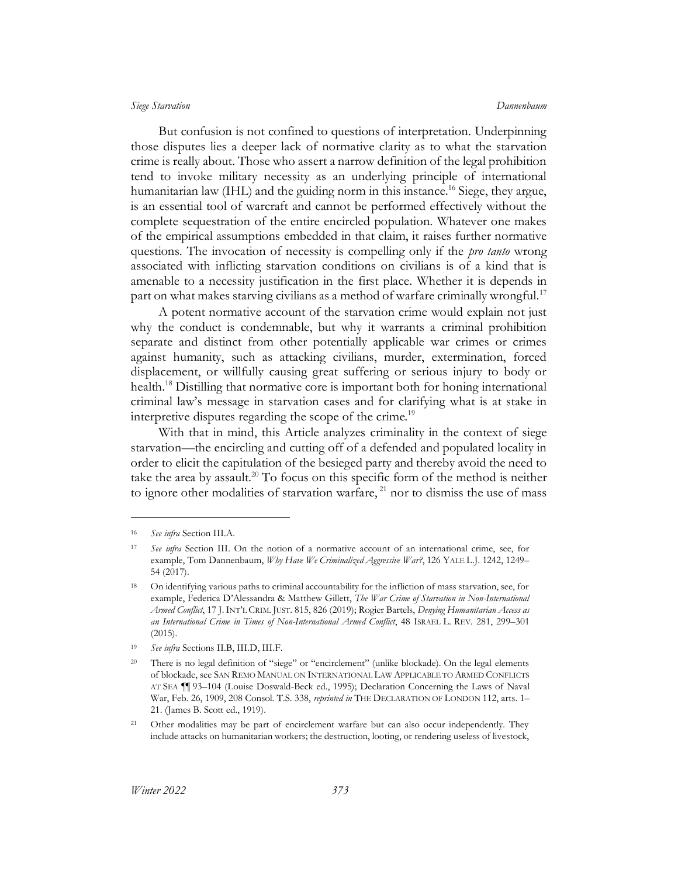<span id="page-6-1"></span>

But confusion is not confined to questions of interpretation. Underpinning those disputes lies a deeper lack of normative clarity as to what the starvation crime is really about. Those who assert a narrow definition of the legal prohibition tend to invoke military necessity as an underlying principle of international humanitarian law (IHL) and the guiding norm in this instance.<sup>16</sup> Siege, they argue, is an essential tool of warcraft and cannot be performed effectively without the complete sequestration of the entire encircled population. Whatever one makes of the empirical assumptions embedded in that claim, it raises further normative questions. The invocation of necessity is compelling only if the *pro tanto* wrong associated with inflicting starvation conditions on civilians is of a kind that is amenable to a necessity justification in the first place. Whether it is depends in part on what makes starving civilians as a method of warfare criminally wrongful.<sup>17</sup>

A potent normative account of the starvation crime would explain not just why the conduct is condemnable, but why it warrants a criminal prohibition separate and distinct from other potentially applicable war crimes or crimes against humanity, such as attacking civilians, murder, extermination, forced displacement, or willfully causing great suffering or serious injury to body or health.<sup>18</sup> Distilling that normative core is important both for honing international criminal law's message in starvation cases and for clarifying what is at stake in interpretive disputes regarding the scope of the crime.<sup>19</sup>

<span id="page-6-0"></span>With that in mind, this Article analyzes criminality in the context of siege starvation—the encircling and cutting off of a defended and populated locality in order to elicit the capitulation of the besieged party and thereby avoid the need to take the area by assault.<sup>20</sup> To focus on this specific form of the method is neither to ignore other modalities of starvation warfare,  $^{21}$  nor to dismiss the use of mass

<sup>16</sup> *See infra* Sectio[n III.A.](#page-19-0)

<sup>17</sup> *See infra* Section [III.](#page-18-0) On the notion of a normative account of an international crime, see, for example, Tom Dannenbaum, *Why Have We Criminalized Aggressive War?*, 126 YALE L.J. 1242, 1249– 54 (2017).

<sup>&</sup>lt;sup>18</sup> On identifying various paths to criminal accountability for the infliction of mass starvation, see, for example, Federica D'Alessandra & Matthew Gillett, *The War Crime of Starvation in Non-International Armed Conflict*, 17 J.INT'L CRIM. JUST. 815, 826 (2019); Rogier Bartels, *Denying Humanitarian Access as an International Crime in Times of Non-International Armed Conflict*, 48 ISRAEL L. REV. 281, 299–301 (2015).

<sup>19</sup> *See infra* Sections [II.B,](#page-14-0) [III.D,](#page-27-0) [III.F.](#page-33-0)

<sup>&</sup>lt;sup>20</sup> There is no legal definition of "siege" or "encirclement" (unlike blockade). On the legal elements of blockade, see SAN REMO MANUAL ON INTERNATIONAL LAW APPLICABLE TO ARMED CONFLICTS AT SEA ¶¶ 93–104 (Louise Doswald-Beck ed., 1995); Declaration Concerning the Laws of Naval War, Feb. 26, 1909, 208 Consol. T.S. 338, *reprinted in* THE DECLARATION OF LONDON 112, arts. 1– 21. (James B. Scott ed., 1919).

<sup>&</sup>lt;sup>21</sup> Other modalities may be part of encirclement warfare but can also occur independently. They include attacks on humanitarian workers; the destruction, looting, or rendering useless of livestock,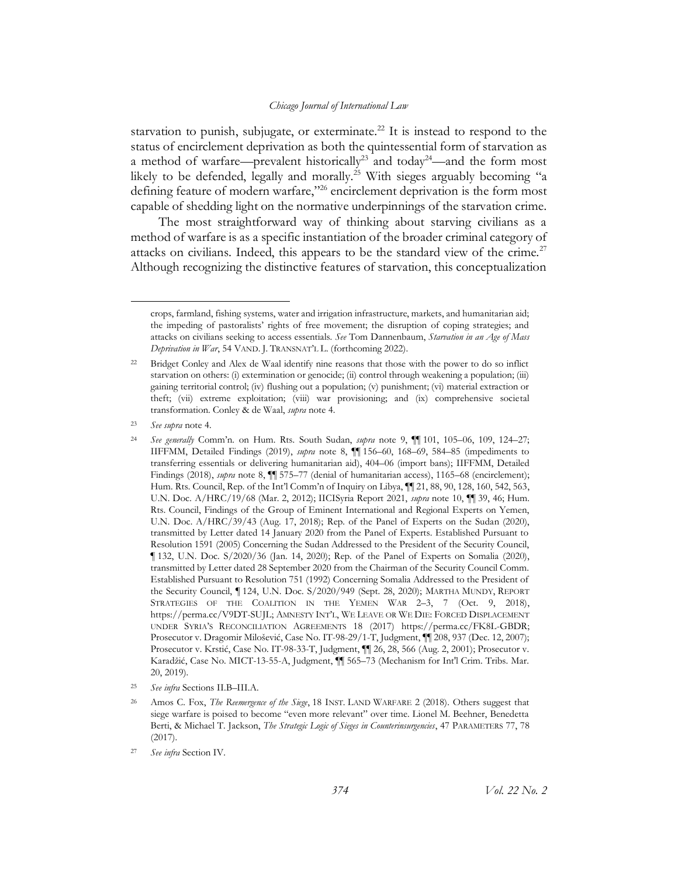<span id="page-7-0"></span>starvation to punish, subjugate, or exterminate.<sup>22</sup> It is instead to respond to the status of encirclement deprivation as both the quintessential form of starvation as a method of warfare—prevalent historically<sup>23</sup> and today<sup>24</sup>—and the form most likely to be defended, legally and morally.<sup>25</sup> With sieges arguably becoming "a defining feature of modern warfare,"<sup>26</sup> encirclement deprivation is the form most capable of shedding light on the normative underpinnings of the starvation crime.

<span id="page-7-1"></span>The most straightforward way of thinking about starving civilians as a method of warfare is as a specific instantiation of the broader criminal category of attacks on civilians. Indeed, this appears to be the standard view of the crime.<sup>27</sup> Although recognizing the distinctive features of starvation, this conceptualization

<sup>25</sup> *See infra* Sections [II.B](#page-14-0)[–](#page-19-0)[III.A.](#page-19-0)

crops, farmland, fishing systems, water and irrigation infrastructure, markets, and humanitarian aid; the impeding of pastoralists' rights of free movement; the disruption of coping strategies; and attacks on civilians seeking to access essentials. *See* Tom Dannenbaum, *Starvation in an Age of Mass Deprivation in War*, 54 VAND. J. TRANSNAT'L L. (forthcoming 2022).

<sup>&</sup>lt;sup>22</sup> Bridget Conley and Alex de Waal identify nine reasons that those with the power to do so inflict starvation on others: (i) extermination or genocide; (ii) control through weakening a population; (iii) gaining territorial control; (iv) flushing out a population; (v) punishment; (vi) material extraction or theft; (vii) extreme exploitation; (viii) war provisioning; and (ix) comprehensive societal transformation. Conley & de Waal, *supra* not[e 4.](#page-3-2)

<sup>23</sup> *See supra* not[e 4.](#page-3-2)

<sup>24</sup> *See generally* Comm'n. on Hum. Rts. South Sudan, *supra* note [9,](#page-4-0) ¶¶ 101, 105–06, 109, 124–27; IIFFMM, Detailed Findings (2019), *supra* note [8,](#page-4-1) ¶¶ 156–60, 168–69, 584–85 (impediments to transferring essentials or delivering humanitarian aid), 404–06 (import bans); IIFFMM, Detailed Findings (2018), *supra* note [8,](#page-4-1)  $\P$  575–77 (denial of humanitarian access), 1165–68 (encirclement); Hum. Rts. Council, Rep. of the Int'l Comm'n of Inquiry on Libya, ¶¶ 21, 88, 90, 128, 160, 542, 563, U.N. Doc. A/HRC/19/68 (Mar. 2, 2012); IICISyria Report 2021, *supra* note [10,](#page-4-2) ¶¶ 39, 46; Hum. Rts. Council, Findings of the Group of Eminent International and Regional Experts on Yemen, U.N. Doc. A/HRC/39/43 (Aug. 17, 2018); Rep. of the Panel of Experts on the Sudan (2020), transmitted by Letter dated 14 January 2020 from the Panel of Experts. Established Pursuant to Resolution 1591 (2005) Concerning the Sudan Addressed to the President of the Security Council, ¶ 132, U.N. Doc. S/2020/36 (Jan. 14, 2020); Rep. of the Panel of Experts on Somalia (2020), transmitted by Letter dated 28 September 2020 from the Chairman of the Security Council Comm. Established Pursuant to Resolution 751 (1992) Concerning Somalia Addressed to the President of the Security Council, ¶ 124, U.N. Doc. S/2020/949 (Sept. 28, 2020); MARTHA MUNDY, REPORT STRATEGIES OF THE COALITION IN THE YEMEN WAR 2-3, 7 (Oct. 9, 2018), https://perma.cc/V9DT-SUJL; AMNESTY INT'L, WE LEAVE OR WE DIE: FORCED DISPLACEMENT UNDER SYRIA'S RECONCILIATION AGREEMENTS 18 (2017) https://perma.cc/FK8L-GBDR; Prosecutor v. Dragomir Milošević, Case No. IT-98-29/1-T, Judgment, ¶¶ 208, 937 (Dec. 12, 2007); Prosecutor v. Krstić, Case No. IT-98-33-T, Judgment, ¶¶ 26, 28, 566 (Aug. 2, 2001); Prosecutor v. Karadžić, Case No. MICT-13-55-A, Judgment, ¶¶ 565–73 (Mechanism for Int'l Crim. Tribs. Mar. 20, 2019).

<sup>26</sup> Amos C. Fox, *The Reemergence of the Siege*, 18 INST. LAND WARFARE 2 (2018). Others suggest that siege warfare is poised to become "even more relevant" over time. Lionel M. Beehner, Benedetta Berti, & Michael T. Jackson, *The Strategic Logic of Sieges in Counterinsurgencies*, 47 PARAMETERS 77, 78 (2017).

<sup>27</sup> *See infra* Sectio[n IV.](#page-35-0)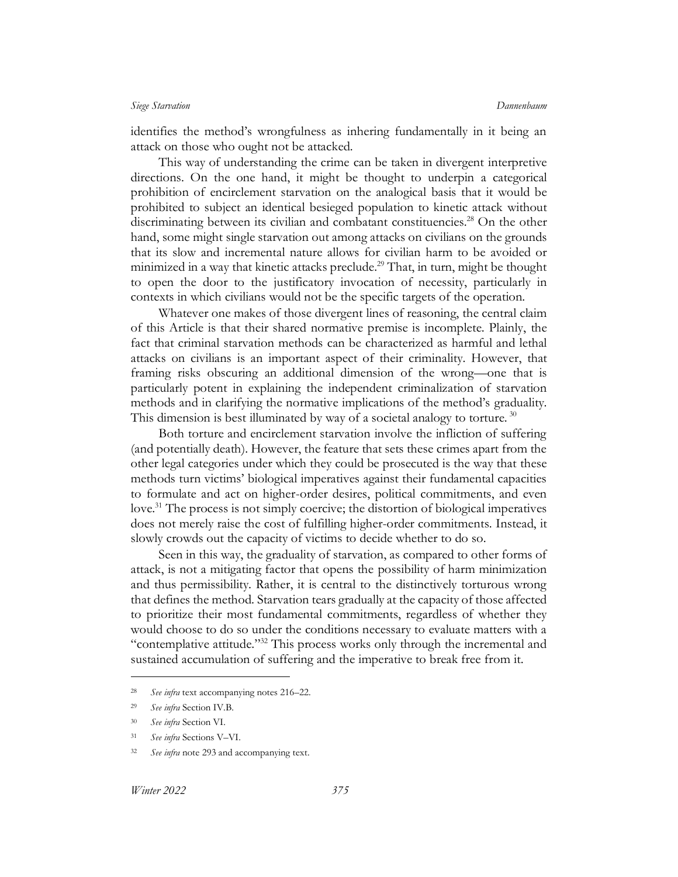identifies the method's wrongfulness as inhering fundamentally in it being an attack on those who ought not be attacked.

This way of understanding the crime can be taken in divergent interpretive directions. On the one hand, it might be thought to underpin a categorical prohibition of encirclement starvation on the analogical basis that it would be prohibited to subject an identical besieged population to kinetic attack without discriminating between its civilian and combatant constituencies. <sup>28</sup> On the other hand, some might single starvation out among attacks on civilians on the grounds that its slow and incremental nature allows for civilian harm to be avoided or minimized in a way that kinetic attacks preclude. <sup>29</sup> That, in turn, might be thought to open the door to the justificatory invocation of necessity, particularly in contexts in which civilians would not be the specific targets of the operation.

Whatever one makes of those divergent lines of reasoning, the central claim of this Article is that their shared normative premise is incomplete. Plainly, the fact that criminal starvation methods can be characterized as harmful and lethal attacks on civilians is an important aspect of their criminality. However, that framing risks obscuring an additional dimension of the wrong—one that is particularly potent in explaining the independent criminalization of starvation methods and in clarifying the normative implications of the method's graduality. This dimension is best illuminated by way of a societal analogy to torture.  $30$ 

Both torture and encirclement starvation involve the infliction of suffering (and potentially death). However, the feature that sets these crimes apart from the other legal categories under which they could be prosecuted is the way that these methods turn victims' biological imperatives against their fundamental capacities to formulate and act on higher-order desires, political commitments, and even love.<sup>31</sup> The process is not simply coercive; the distortion of biological imperatives does not merely raise the cost of fulfilling higher-order commitments. Instead, it slowly crowds out the capacity of victims to decide whether to do so.

Seen in this way, the graduality of starvation, as compared to other forms of attack, is not a mitigating factor that opens the possibility of harm minimization and thus permissibility. Rather, it is central to the distinctively torturous wrong that defines the method. Starvation tears gradually at the capacity of those affected to prioritize their most fundamental commitments, regardless of whether they would choose to do so under the conditions necessary to evaluate matters with a "contemplative attitude."<sup>32</sup> This process works only through the incremental and sustained accumulation of suffering and the imperative to break free from it.

<sup>28</sup> *See infra* text accompanying notes [216](#page-39-1)–22.

<sup>29</sup> *See infra* Sectio[n IV.B.](#page-39-0)

<sup>30</sup> *See infra* Sectio[n VI.](#page-55-0)

<sup>31</sup> *See infra* Sections [V](#page-47-0)–[VI.](#page-55-0)

<sup>32</sup> *See infra* not[e 293](#page-52-0) and accompanying text.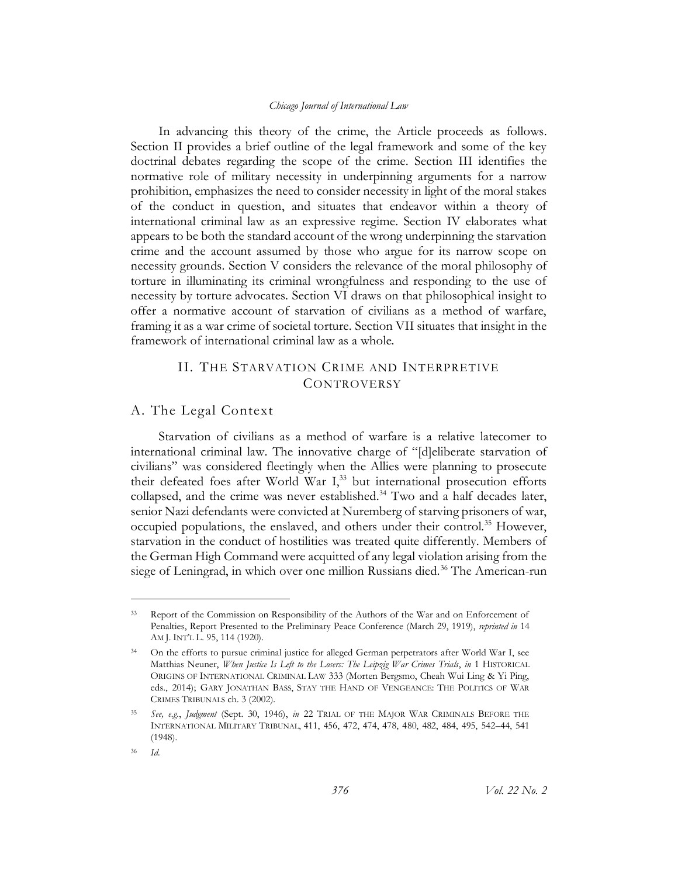In advancing this theory of the crime, the Article proceeds as follows. Section II provides a brief outline of the legal framework and some of the key doctrinal debates regarding the scope of the crime. Section III identifies the normative role of military necessity in underpinning arguments for a narrow prohibition, emphasizes the need to consider necessity in light of the moral stakes of the conduct in question, and situates that endeavor within a theory of international criminal law as an expressive regime. Section IV elaborates what appears to be both the standard account of the wrong underpinning the starvation crime and the account assumed by those who argue for its narrow scope on necessity grounds. Section V considers the relevance of the moral philosophy of torture in illuminating its criminal wrongfulness and responding to the use of necessity by torture advocates. Section VI draws on that philosophical insight to offer a normative account of starvation of civilians as a method of warfare, framing it as a war crime of societal torture. Section VII situates that insight in the framework of international criminal law as a whole.

## <span id="page-9-0"></span>II. THE STARVATION CRIME AND INTERPRETIVE **CONTROVERSY**

## <span id="page-9-1"></span>A. The Legal Context

Starvation of civilians as a method of warfare is a relative latecomer to international criminal law. The innovative charge of "[d]eliberate starvation of civilians" was considered fleetingly when the Allies were planning to prosecute their defeated foes after World War  $I<sub>1</sub><sup>33</sup>$  but international prosecution efforts collapsed, and the crime was never established. $34$  Two and a half decades later, senior Nazi defendants were convicted at Nuremberg of starving prisoners of war, occupied populations, the enslaved, and others under their control.<sup>35</sup> However, starvation in the conduct of hostilities was treated quite differently. Members of the German High Command were acquitted of any legal violation arising from the siege of Leningrad, in which over one million Russians died.<sup>36</sup> The American-run

Report of the Commission on Responsibility of the Authors of the War and on Enforcement of Penalties, Report Presented to the Preliminary Peace Conference (March 29, 1919), *reprinted in* 14 AM J. INT'L L. 95, 114 (1920).

<sup>34</sup> On the efforts to pursue criminal justice for alleged German perpetrators after World War I, see Matthias Neuner, *When Justice Is Left to the Losers: The Leipzig War Crimes Trials*, *in* 1 HISTORICAL ORIGINS OF INTERNATIONAL CRIMINAL LAW 333 (Morten Bergsmo, Cheah Wui Ling & Yi Ping, eds., 2014); GARY JONATHAN BASS, STAY THE HAND OF VENGEANCE: THE POLITICS OF WAR CRIMES TRIBUNALS ch. 3 (2002).

<sup>35</sup> *See, e.g.*, *Judgment* (Sept. 30, 1946), *in* 22 TRIAL OF THE MAJOR WAR CRIMINALS BEFORE THE INTERNATIONAL MILITARY TRIBUNAL, 411, 456, 472, 474, 478, 480, 482, 484, 495, 542–44, 541 (1948).

<sup>36</sup> *Id.*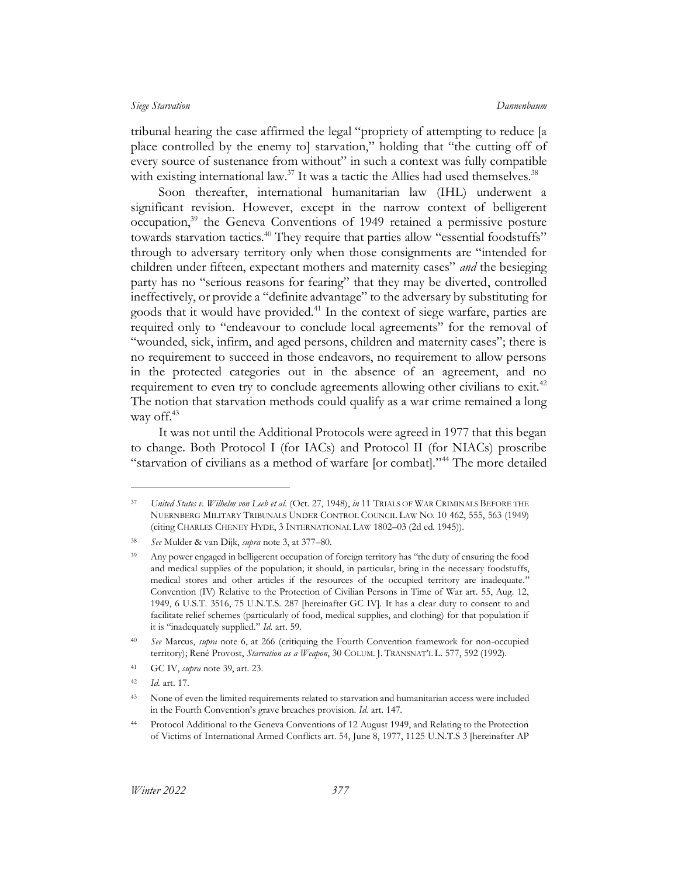tribunal hearing the case affirmed the legal "propriety of attempting to reduce [a place controlled by the enemy to] starvation," holding that "the cutting off of every source of sustenance from without" in such a context was fully compatible with existing international law.<sup>37</sup> It was a tactic the Allies had used themselves.<sup>38</sup>

<span id="page-10-2"></span><span id="page-10-0"></span>Soon thereafter, international humanitarian law (IHL) underwent a significant revision. However, except in the narrow context of belligerent occupation,<sup>39</sup> the Geneva Conventions of 1949 retained a permissive posture towards starvation tactics.<sup>40</sup> They require that parties allow "essential foodstuffs" through to adversary territory only when those consignments are "intended for children under fifteen, expectant mothers and maternity cases" *and* the besieging party has no "serious reasons for fearing" that they may be diverted, controlled ineffectively, or provide a "definite advantage" to the adversary by substituting for goods that it would have provided.<sup>41</sup> In the context of siege warfare, parties are required only to "endeavour to conclude local agreements" for the removal of "wounded, sick, infirm, and aged persons, children and maternity cases"; there is no requirement to succeed in those endeavors, no requirement to allow persons in the protected categories out in the absence of an agreement, and no requirement to even try to conclude agreements allowing other civilians to exit.<sup>42</sup> The notion that starvation methods could qualify as a war crime remained a long way off.<sup>43</sup>

<span id="page-10-3"></span><span id="page-10-1"></span>It was not until the Additional Protocols were agreed in 1977 that this began to change. Both Protocol I (for IACs) and Protocol II (for NIACs) proscribe "starvation of civilians as a method of warfare [or combat]."<sup>44</sup> The more detailed

<sup>37</sup> *United States v. Wilhelm von Leeb et al*. (Oct. 27, 1948), *in* 11 TRIALS OF WAR CRIMINALS BEFORE THE NUERNBERG MILITARY TRIBUNALS UNDER CONTROL COUNCIL LAW NO. 10 462, 555, 563 (1949) (citing CHARLES CHENEY HYDE, 3 INTERNATIONAL LAW 1802–03 (2d ed. 1945)).

<sup>38</sup> *See* Mulder & van Dijk, *supra* note [3,](#page-3-3) at 377–80.

<sup>&</sup>lt;sup>39</sup> Any power engaged in belligerent occupation of foreign territory has "the duty of ensuring the food and medical supplies of the population; it should, in particular, bring in the necessary foodstuffs, medical stores and other articles if the resources of the occupied territory are inadequate." Convention (IV) Relative to the Protection of Civilian Persons in Time of War art. 55, Aug. 12, 1949, 6 U.S.T. 3516, 75 U.N.T.S. 287 [hereinafter GC IV]. It has a clear duty to consent to and facilitate relief schemes (particularly of food, medical supplies, and clothing) for that population if it is "inadequately supplied." *Id.* art. 59.

<sup>40</sup> *See* Marcus, *supra* note [6,](#page-4-3) at 266 (critiquing the Fourth Convention framework for non-occupied territory); René Provost, *Starvation as a Weapon*, 30 COLUM. J. TRANSNAT'L L. 577, 592 (1992).

<sup>41</sup> GC IV, *supra* not[e 39,](#page-10-0) art. 23.

<sup>42</sup> *Id.* art. 17.

<sup>&</sup>lt;sup>43</sup> None of even the limited requirements related to starvation and humanitarian access were included in the Fourth Convention's grave breaches provision. *Id.* art. 147.

<sup>44</sup> Protocol Additional to the Geneva Conventions of 12 August 1949, and Relating to the Protection of Victims of International Armed Conflicts art. 54, June 8, 1977, 1125 U.N.T.S 3 [hereinafter AP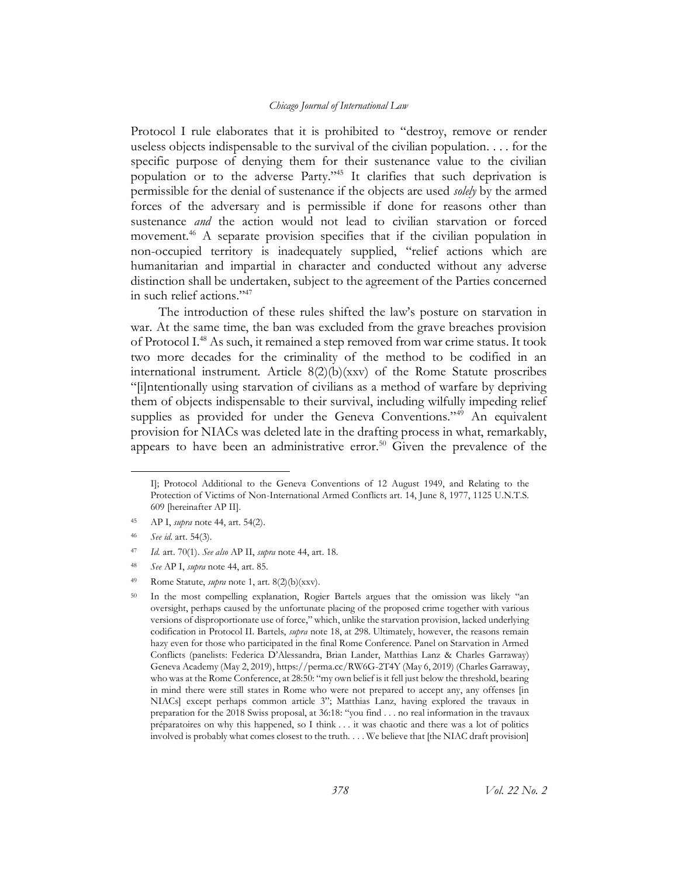Protocol I rule elaborates that it is prohibited to "destroy, remove or render useless objects indispensable to the survival of the civilian population. . . . for the specific purpose of denying them for their sustenance value to the civilian population or to the adverse Party."<sup>45</sup> It clarifies that such deprivation is permissible for the denial of sustenance if the objects are used *solely* by the armed forces of the adversary and is permissible if done for reasons other than sustenance *and* the action would not lead to civilian starvation or forced movement.<sup>46</sup> A separate provision specifies that if the civilian population in non-occupied territory is inadequately supplied, "relief actions which are humanitarian and impartial in character and conducted without any adverse distinction shall be undertaken, subject to the agreement of the Parties concerned in such relief actions."<sup>47</sup>

The introduction of these rules shifted the law's posture on starvation in war. At the same time, the ban was excluded from the grave breaches provision of Protocol I.<sup>48</sup> As such, it remained a step removed from war crime status. It took two more decades for the criminality of the method to be codified in an international instrument. Article  $8(2)(b)(xxv)$  of the Rome Statute proscribes "[i]ntentionally using starvation of civilians as a method of warfare by depriving them of objects indispensable to their survival, including wilfully impeding relief supplies as provided for under the Geneva Conventions."<sup>49</sup> An equivalent provision for NIACs was deleted late in the drafting process in what, remarkably, appears to have been an administrative error.<sup>50</sup> Given the prevalence of the

<span id="page-11-0"></span>I]; Protocol Additional to the Geneva Conventions of 12 August 1949, and Relating to the Protection of Victims of Non-International Armed Conflicts art. 14, June 8, 1977, 1125 U.N.T.S. 609 [hereinafter AP II].

<sup>45</sup> AP I, *supra* not[e 44,](#page-10-1) art. 54(2).

<sup>46</sup> *See id.* art. 54(3).

<sup>47</sup> *Id.* art. 70(1). *See also* AP II, *supra* not[e 44,](#page-10-1) art. 18.

<sup>48</sup> *See* AP I, *supra* note [44,](#page-10-1) art. 85.

<sup>49</sup> Rome Statute, *supra* note [1,](#page-3-1) art. 8(2)(b)(xxv).

<sup>&</sup>lt;sup>50</sup> In the most compelling explanation, Rogier Bartels argues that the omission was likely "an oversight, perhaps caused by the unfortunate placing of the proposed crime together with various versions of disproportionate use of force," which, unlike the starvation provision, lacked underlying codification in Protocol II. Bartels, *supra* note [18,](#page-6-0) at 298. Ultimately, however, the reasons remain hazy even for those who participated in the final Rome Conference. Panel on Starvation in Armed Conflicts (panelists: Federica D'Alessandra, Brian Lander, Matthias Lanz & Charles Garraway) Geneva Academy (May 2, 2019), https://perma.cc/RW6G-2T4Y (May 6, 2019) (Charles Garraway, who was at the Rome Conference, at 28:50: "my own belief is it fell just below the threshold, bearing in mind there were still states in Rome who were not prepared to accept any, any offenses [in NIACs] except perhaps common article 3"; Matthias Lanz, having explored the travaux in preparation for the 2018 Swiss proposal, at 36:18: "you find . . . no real information in the travaux préparatoires on why this happened, so I think . . . it was chaotic and there was a lot of politics involved is probably what comes closest to the truth. . . . We believe that [the NIAC draft provision]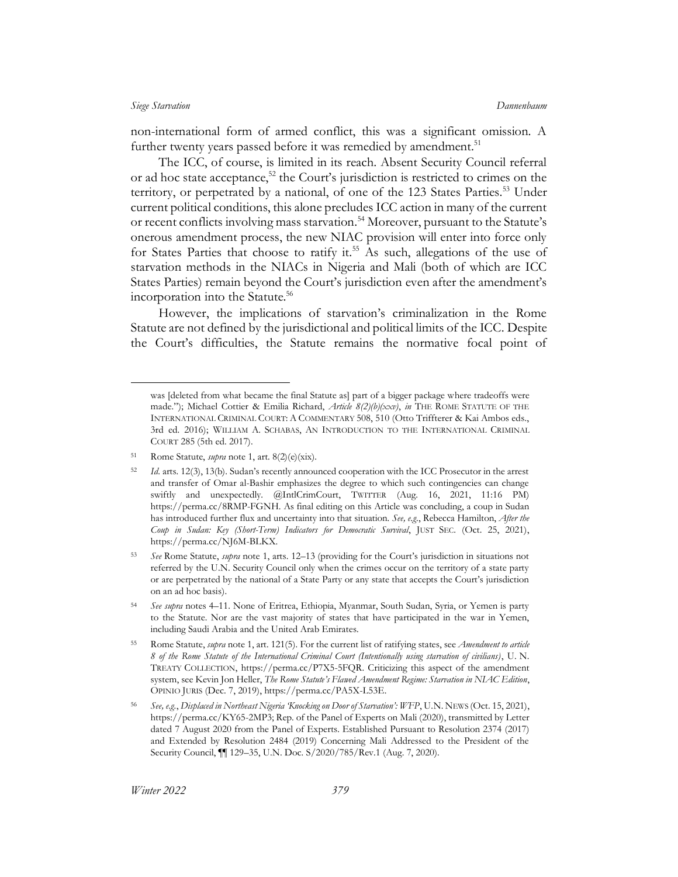non-international form of armed conflict, this was a significant omission. A further twenty years passed before it was remedied by amendment.<sup>51</sup>

The ICC, of course, is limited in its reach. Absent Security Council referral or ad hoc state acceptance,<sup>52</sup> the Court's jurisdiction is restricted to crimes on the territory, or perpetrated by a national, of one of the 123 States Parties.<sup>53</sup> Under current political conditions, this alone precludes ICC action in many of the current or recent conflicts involving mass starvation.<sup>54</sup> Moreover, pursuant to the Statute's onerous amendment process, the new NIAC provision will enter into force only for States Parties that choose to ratify it.<sup>55</sup> As such, allegations of the use of starvation methods in the NIACs in Nigeria and Mali (both of which are ICC States Parties) remain beyond the Court's jurisdiction even after the amendment's incorporation into the Statute. 56

However, the implications of starvation's criminalization in the Rome Statute are not defined by the jurisdictional and political limits of the ICC. Despite the Court's difficulties, the Statute remains the normative focal point of

was [deleted from what became the final Statute as] part of a bigger package where tradeoffs were made."); Michael Cottier & Emilia Richard, *Article 8(2)(b)(xxv)*, *in* THE ROME STATUTE OF THE INTERNATIONAL CRIMINAL COURT: A COMMENTARY 508, 510 (Otto Triffterer & Kai Ambos eds., 3rd ed. 2016); WILLIAM A. SCHABAS, AN INTRODUCTION TO THE INTERNATIONAL CRIMINAL COURT 285 (5th ed. 2017).

<sup>51</sup> Rome Statute, *supra* note [1,](#page-3-1) art. 8(2)(e)(xix).

<sup>52</sup> *Id*. arts. 12(3), 13(b). Sudan's recently announced cooperation with the ICC Prosecutor in the arrest and transfer of Omar al-Bashir emphasizes the degree to which such contingencies can change swiftly and unexpectedly. @IntlCrimCourt, TWITTER (Aug. 16, 2021, 11:16 PM) https://perma.cc/8RMP-FGNH. As final editing on this Article was concluding, a coup in Sudan has introduced further flux and uncertainty into that situation. *See, e.g.*, Rebecca Hamilton, *After the Coup in Sudan: Key (Short-Term) Indicators for Democratic Survival*, JUST SEC. (Oct. 25, 2021), https://perma.cc/NJ6M-BLKX.

<sup>53</sup> *See* Rome Statute, *supra* note [1,](#page-3-1) arts. 12–13 (providing for the Court's jurisdiction in situations not referred by the U.N. Security Council only when the crimes occur on the territory of a state party or are perpetrated by the national of a State Party or any state that accepts the Court's jurisdiction on an ad hoc basis).

<sup>54</sup> *See supra* notes [4](#page-3-2)–[11.](#page-5-0) None of Eritrea, Ethiopia, Myanmar, South Sudan, Syria, or Yemen is party to the Statute. Nor are the vast majority of states that have participated in the war in Yemen, including Saudi Arabia and the United Arab Emirates.

<sup>55</sup> Rome Statute, *supra* not[e 1,](#page-3-1) art. 121(5). For the current list of ratifying states, see *Amendment to article 8 of the Rome Statute of the International Criminal Court (Intentionally using starvation of civilians)*, U. N. TREATY COLLECTION, https://perma.cc/P7X5-5FQR. Criticizing this aspect of the amendment system, see Kevin Jon Heller, *The Rome Statute's Flawed Amendment Regime: Starvation in NIAC Edition*, OPINIO JURIS (Dec. 7, 2019), https://perma.cc/PA5X-L53E.

<sup>56</sup> *See, e.g.*, *Displaced in Northeast Nigeria 'Knocking on Door of Starvation': WFP*, U.N. NEWS (Oct. 15, 2021), https://perma.cc/KY65-2MP3; Rep. of the Panel of Experts on Mali (2020), transmitted by Letter dated 7 August 2020 from the Panel of Experts. Established Pursuant to Resolution 2374 (2017) and Extended by Resolution 2484 (2019) Concerning Mali Addressed to the President of the Security Council, ¶¶ 129–35, U.N. Doc. S/2020/785/Rev.1 (Aug. 7, 2020).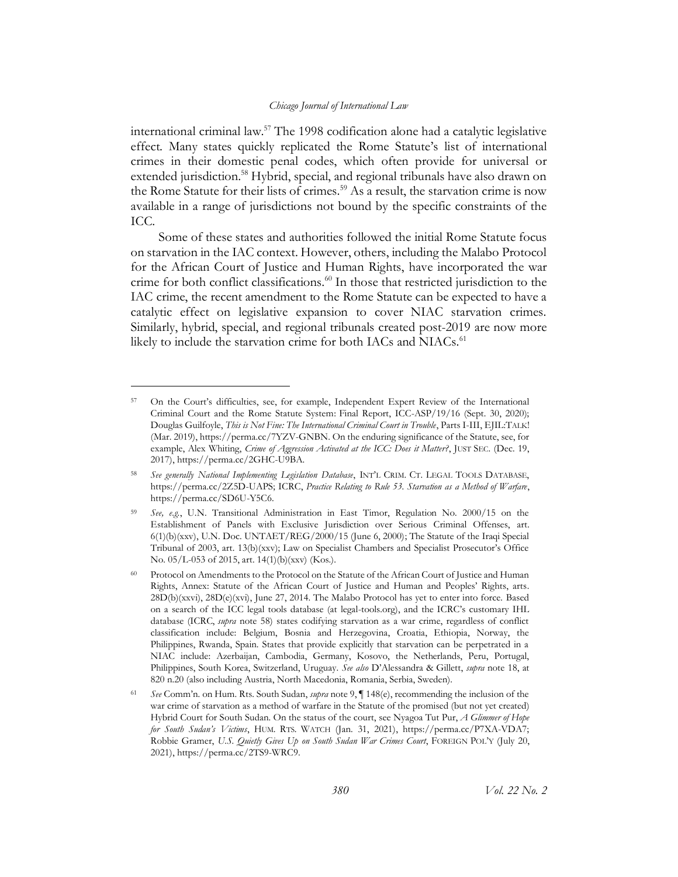<span id="page-13-0"></span>international criminal law.<sup>57</sup> The 1998 codification alone had a catalytic legislative effect. Many states quickly replicated the Rome Statute's list of international crimes in their domestic penal codes, which often provide for universal or extended jurisdiction. <sup>58</sup> Hybrid, special, and regional tribunals have also drawn on the Rome Statute for their lists of crimes.<sup>59</sup> As a result, the starvation crime is now available in a range of jurisdictions not bound by the specific constraints of the ICC.

Some of these states and authorities followed the initial Rome Statute focus on starvation in the IAC context. However, others, including the Malabo Protocol for the African Court of Justice and Human Rights, have incorporated the war crime for both conflict classifications.<sup>60</sup> In those that restricted jurisdiction to the IAC crime, the recent amendment to the Rome Statute can be expected to have a catalytic effect on legislative expansion to cover NIAC starvation crimes. Similarly, hybrid, special, and regional tribunals created post-2019 are now more likely to include the starvation crime for both IACs and NIACs.<sup>61</sup>

<sup>57</sup> On the Court's difficulties, see, for example, Independent Expert Review of the International Criminal Court and the Rome Statute System: Final Report, ICC-ASP/19/16 (Sept. 30, 2020); Douglas Guilfoyle, *This is Not Fine: The International Criminal Court in Trouble*, Parts I-III, EJIL:TALK! (Mar. 2019), https://perma.cc/7YZV-GNBN. On the enduring significance of the Statute, see, for example, Alex Whiting, *Crime of Aggression Activated at the ICC: Does it Matter?*, JUST SEC. (Dec. 19, 2017), https://perma.cc/2GHC-U9BA.

<sup>58</sup> *See generally National Implementing Legislation Database*, INT'L CRIM. CT. LEGAL TOOLS DATABASE, https://perma.cc/2Z5D-UAPS; ICRC, *Practice Relating to Rule 53. Starvation as a Method of Warfare*, https://perma.cc/SD6U-Y5C6.

<sup>59</sup> *See, e.g.*, U.N. Transitional Administration in East Timor, Regulation No. 2000/15 on the Establishment of Panels with Exclusive Jurisdiction over Serious Criminal Offenses, art. 6(1)(b)(xxv), U.N. Doc. UNTAET/REG/2000/15 (June 6, 2000); The Statute of the Iraqi Special Tribunal of 2003, art. 13(b)(xxv); Law on Specialist Chambers and Specialist Prosecutor's Office No. 05/L-053 of 2015, art. 14(1)(b)(xxv) (Kos.).

<sup>60</sup> Protocol on Amendments to the Protocol on the Statute of the African Court of Justice and Human Rights, Annex: Statute of the African Court of Justice and Human and Peoples' Rights, arts. 28D(b)(xxvi), 28D(e)(xvi), June 27, 2014. The Malabo Protocol has yet to enter into force. Based on a search of the ICC legal tools database (at legal-tools.org), and the ICRC's customary IHL database (ICRC, *supra* note [58\)](#page-13-0) states codifying starvation as a war crime, regardless of conflict classification include: Belgium, Bosnia and Herzegovina, Croatia, Ethiopia, Norway, the Philippines, Rwanda, Spain. States that provide explicitly that starvation can be perpetrated in a NIAC include: Azerbaijan, Cambodia, Germany, Kosovo, the Netherlands, Peru, Portugal, Philippines, South Korea, Switzerland, Uruguay. *See also* D'Alessandra & Gillett, *supra* note [18,](#page-6-0) at 820 n.20 (also including Austria, North Macedonia, Romania, Serbia, Sweden).

<sup>61</sup> *See* Comm'n. on Hum. Rts. South Sudan, *supra* not[e 9,](#page-4-0) ¶ 148(e), recommending the inclusion of the war crime of starvation as a method of warfare in the Statute of the promised (but not yet created) Hybrid Court for South Sudan. On the status of the court, see Nyagoa Tut Pur, *A Glimmer of Hope for South Sudan's Victims*, HUM. RTS. WATCH (Jan. 31, 2021), https://perma.cc/P7XA-VDA7; Robbie Gramer, *U.S. Quietly Gives Up on South Sudan War Crimes Court*, FOREIGN POL'Y (July 20, 2021), https://perma.cc/2TS9-WRC9.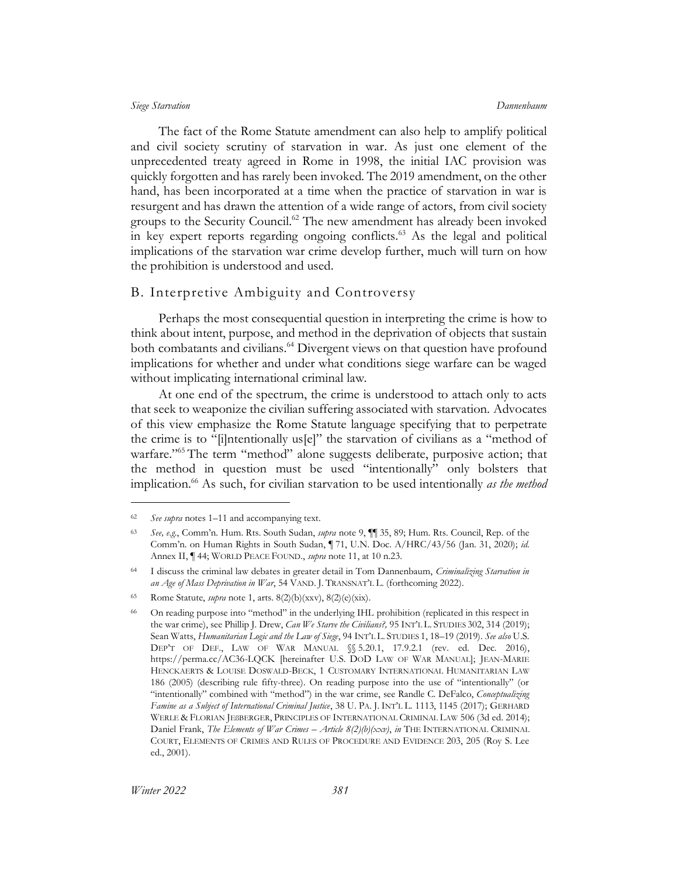The fact of the Rome Statute amendment can also help to amplify political and civil society scrutiny of starvation in war. As just one element of the unprecedented treaty agreed in Rome in 1998, the initial IAC provision was quickly forgotten and has rarely been invoked. The 2019 amendment, on the other hand, has been incorporated at a time when the practice of starvation in war is resurgent and has drawn the attention of a wide range of actors, from civil society groups to the Security Council.<sup>62</sup> The new amendment has already been invoked in key expert reports regarding ongoing conflicts. $63$  As the legal and political implications of the starvation war crime develop further, much will turn on how the prohibition is understood and used.

## <span id="page-14-0"></span>B. Interpretive Ambiguity and Controversy

<span id="page-14-2"></span>Perhaps the most consequential question in interpreting the crime is how to think about intent, purpose, and method in the deprivation of objects that sustain both combatants and civilians.<sup>64</sup> Divergent views on that question have profound implications for whether and under what conditions siege warfare can be waged without implicating international criminal law.

At one end of the spectrum, the crime is understood to attach only to acts that seek to weaponize the civilian suffering associated with starvation. Advocates of this view emphasize the Rome Statute language specifying that to perpetrate the crime is to "[i]ntentionally us[e]" the starvation of civilians as a "method of warfare."<sup>65</sup> The term "method" alone suggests deliberate, purposive action; that the method in question must be used "intentionally" only bolsters that implication. <sup>66</sup> As such, for civilian starvation to be used intentionally *as the method* 

<span id="page-14-1"></span><sup>62</sup> *See supra* notes [1](#page-3-1)–[11](#page-5-0) and accompanying text.

<sup>63</sup> *See, e.g.*, Comm'n. Hum. Rts. South Sudan, *supra* note [9,](#page-4-0) ¶¶ 35, 89; Hum. Rts. Council, Rep. of the Comm'n. on Human Rights in South Sudan, ¶ 71, U.N. Doc. A/HRC/43/56 (Jan. 31, 2020); *id.*  Annex II, ¶ 44; WORLD PEACE FOUND., *supra* not[e 11,](#page-5-0) at 10 n.23.

<sup>64</sup> I discuss the criminal law debates in greater detail in Tom Dannenbaum, *Criminalizing Starvation in an Age of Mass Deprivation in War*, 54 VAND. J. TRANSNAT'L L. (forthcoming 2022).

<sup>65</sup> Rome Statute, *supra* note [1,](#page-3-1) arts. 8(2)(b)(xxv), 8(2)(e)(xix).

<sup>66</sup> On reading purpose into "method" in the underlying IHL prohibition (replicated in this respect in the war crime), see Phillip J. Drew, *Can We Starve the Civilians?,* 95 INT'L L. STUDIES 302, 314 (2019); Sean Watts, *Humanitarian Logic and the Law of Siege*, 94 INT'L L. STUDIES 1, 18–19 (2019). *See also* U.S. DEP'T OF DEF., LAW OF WAR MANUAL §§ 5.20.1, 17.9.2.1 (rev. ed. Dec. 2016), https://perma.cc/AC36-LQCK [hereinafter U.S. DOD LAW OF WAR MANUAL]; JEAN-MARIE HENCKAERTS & LOUISE DOSWALD-BECK, 1 CUSTOMARY INTERNATIONAL HUMANITARIAN LAW 186 (2005) (describing rule fifty-three). On reading purpose into the use of "intentionally" (or "intentionally" combined with "method") in the war crime, see Randle C. DeFalco, *Conceptualizing Famine as a Subject of International Criminal Justice*, 38 U. PA. J. INT'L L. 1113, 1145 (2017); GERHARD WERLE & FLORIAN JEßBERGER, PRINCIPLES OF INTERNATIONAL CRIMINAL LAW 506 (3d ed. 2014); Daniel Frank, *The Elements of War Crimes – Article 8(2)(b)(xxv)*, *in* THE INTERNATIONAL CRIMINAL COURT, ELEMENTS OF CRIMES AND RULES OF PROCEDURE AND EVIDENCE 203, 205 (Roy S. Lee ed., 2001).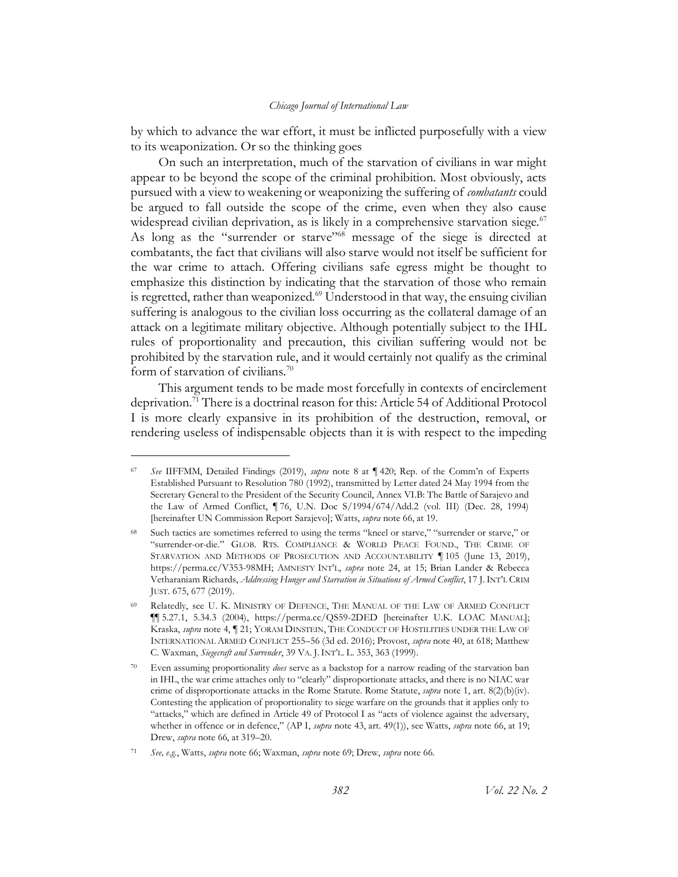by which to advance the war effort, it must be inflicted purposefully with a view to its weaponization. Or so the thinking goes

<span id="page-15-2"></span><span id="page-15-1"></span>On such an interpretation, much of the starvation of civilians in war might appear to be beyond the scope of the criminal prohibition. Most obviously, acts pursued with a view to weakening or weaponizing the suffering of *combatants* could be argued to fall outside the scope of the crime, even when they also cause widespread civilian deprivation, as is likely in a comprehensive starvation siege. $67$ As long as the "surrender or starve"<sup>68</sup> message of the siege is directed at combatants, the fact that civilians will also starve would not itself be sufficient for the war crime to attach. Offering civilians safe egress might be thought to emphasize this distinction by indicating that the starvation of those who remain is regretted, rather than weaponized.<sup>69</sup> Understood in that way, the ensuing civilian suffering is analogous to the civilian loss occurring as the collateral damage of an attack on a legitimate military objective. Although potentially subject to the IHL rules of proportionality and precaution, this civilian suffering would not be prohibited by the starvation rule, and it would certainly not qualify as the criminal form of starvation of civilians.<sup>70</sup>

<span id="page-15-0"></span>This argument tends to be made most forcefully in contexts of encirclement deprivation.<sup>71</sup> There is a doctrinal reason for this: Article 54 of Additional Protocol I is more clearly expansive in its prohibition of the destruction, removal, or rendering useless of indispensable objects than it is with respect to the impeding

<sup>67</sup> *See* IIFFMM, Detailed Findings (2019), *supra* note [8](#page-4-1) at ¶ 420; Rep. of the Comm'n of Experts Established Pursuant to Resolution 780 (1992), transmitted by Letter dated 24 May 1994 from the Secretary General to the President of the Security Council, Annex VI.B: The Battle of Sarajevo and the Law of Armed Conflict, ¶ 76, U.N. Doc S/1994/674/Add.2 (vol. III) (Dec. 28, 1994) [hereinafter UN Commission Report Sarajevo]; Watts, *supra* not[e 66,](#page-14-1) at 19.

Such tactics are sometimes referred to using the terms "kneel or starve," "surrender or starve," or "surrender-or-die." GLOB. RTS. COMPLIANCE & WORLD PEACE FOUND., THE CRIME OF STARVATION AND METHODS OF PROSECUTION AND ACCOUNTABILITY ¶ 105 (June 13, 2019), https://perma.cc/V353-98MH; AMNESTY INT'L, *supra* note [24,](#page-7-0) at 15; Brian Lander & Rebecca Vetharaniam Richards, *Addressing Hunger and Starvation in Situations of Armed Conflict*, 17 J.INT'L CRIM JUST. 675, 677 (2019).

Relatedly, see U. K. MINISTRY OF DEFENCE, THE MANUAL OF THE LAW OF ARMED CONFLICT ¶¶ 5.27.1, 5.34.3 (2004), https://perma.cc/QS59-2DED [hereinafter U.K. LOAC MANUAL]; Kraska, *supra* note [4,](#page-3-2) ¶ 21; YORAM DINSTEIN, THE CONDUCT OF HOSTILITIES UNDER THE LAW OF INTERNATIONAL ARMED CONFLICT 255–56 (3d ed. 2016); Provost, *supra* note [40,](#page-10-2) at 618; Matthew C. Waxman, *Siegecraft and Surrender*, 39 VA. J.INT'L. L. 353, 363 (1999).

<sup>70</sup> Even assuming proportionality *does* serve as a backstop for a narrow reading of the starvation ban in IHL, the war crime attaches only to "clearly" disproportionate attacks, and there is no NIAC war crime of disproportionate attacks in the Rome Statute. Rome Statute, *supra* not[e 1,](#page-3-1) art. 8(2)(b)(iv). Contesting the application of proportionality to siege warfare on the grounds that it applies only to "attacks," which are defined in Article 49 of Protocol I as "acts of violence against the adversary, whether in offence or in defence," (AP I, *supra* note [43,](#page-10-3) art. 49(1)), see Watts, *supra* note [66,](#page-14-1) at 19; Drew, *supra* not[e 66,](#page-14-1) at 319–20.

<sup>71</sup> *See, e.g.*, Watts, *supra* not[e 66;](#page-14-1) Waxman, *supra* not[e 69;](#page-15-0) Drew, *supra* not[e 66.](#page-14-1)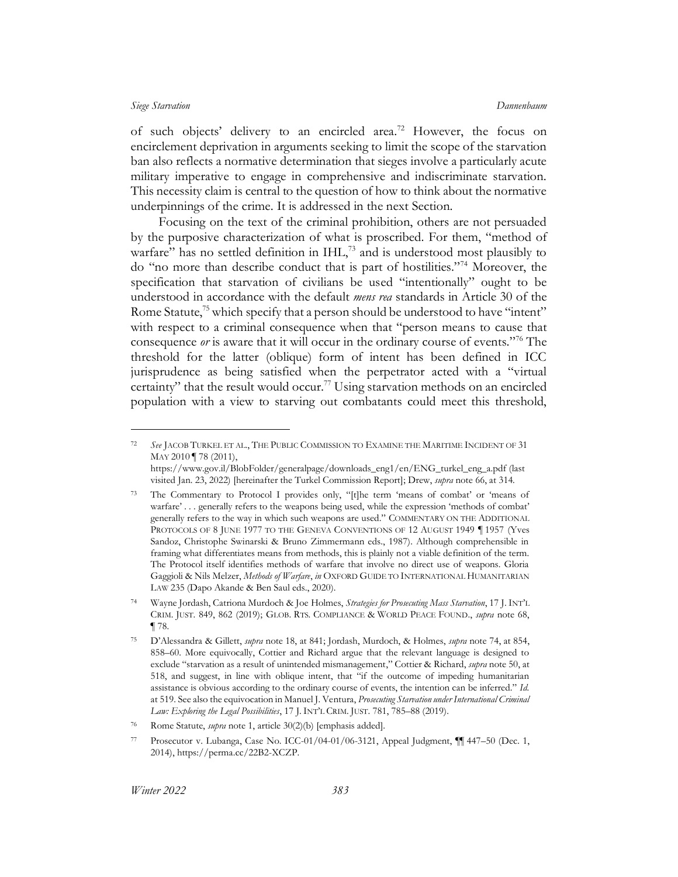<span id="page-16-1"></span>of such objects' delivery to an encircled area.<sup>72</sup> However, the focus on encirclement deprivation in arguments seeking to limit the scope of the starvation ban also reflects a normative determination that sieges involve a particularly acute military imperative to engage in comprehensive and indiscriminate starvation. This necessity claim is central to the question of how to think about the normative underpinnings of the crime. It is addressed in the next Section.

<span id="page-16-0"></span>Focusing on the text of the criminal prohibition, others are not persuaded by the purposive characterization of what is proscribed. For them, "method of warfare" has no settled definition in  $IHL$ ,<sup>73</sup> and is understood most plausibly to do "no more than describe conduct that is part of hostilities."<sup>74</sup> Moreover, the specification that starvation of civilians be used "intentionally" ought to be understood in accordance with the default *mens rea* standards in Article 30 of the Rome Statute,<sup>75</sup> which specify that a person should be understood to have "intent" with respect to a criminal consequence when that "person means to cause that consequence *or* is aware that it will occur in the ordinary course of events."<sup>76</sup> The threshold for the latter (oblique) form of intent has been defined in ICC jurisprudence as being satisfied when the perpetrator acted with a "virtual certainty" that the result would occur.<sup>77</sup> Using starvation methods on an encircled population with a view to starving out combatants could meet this threshold,

<sup>72</sup> *See* JACOB TURKEL ET AL., THE PUBLIC COMMISSION TO EXAMINE THE MARITIME INCIDENT OF 31 MAY 2010 | 78 (2011), https://www.gov.il/BlobFolder/generalpage/downloads\_eng1/en/ENG\_turkel\_eng\_a.pdf (last

visited Jan. 23, 2022) [hereinafter the Turkel Commission Report]; Drew, *supra* not[e 66,](#page-14-1) at 314.

The Commentary to Protocol I provides only, "[t]he term 'means of combat' or 'means of warfare' . . . generally refers to the weapons being used, while the expression 'methods of combat' generally refers to the way in which such weapons are used." COMMENTARY ON THE ADDITIONAL PROTOCOLS OF 8 JUNE 1977 TO THE GENEVA CONVENTIONS OF 12 AUGUST 1949 ¶ 1957 (Yves Sandoz, Christophe Swinarski & Bruno Zimmermann eds., 1987). Although comprehensible in framing what differentiates means from methods, this is plainly not a viable definition of the term. The Protocol itself identifies methods of warfare that involve no direct use of weapons. Gloria Gaggioli & Nils Melzer, *Methods of Warfare*, *in* OXFORD GUIDE TO INTERNATIONAL HUMANITARIAN LAW 235 (Dapo Akande & Ben Saul eds., 2020).

<sup>74</sup> Wayne Jordash, Catriona Murdoch & Joe Holmes, *Strategies for Prosecuting Mass Starvation*, 17 J. INT'L CRIM. JUST. 849, 862 (2019); GLOB. RTS. COMPLIANCE & WORLD PEACE FOUND., *supra* note [68,](#page-15-1) ¶ 78.

<sup>75</sup> D'Alessandra & Gillett, *supra* not[e 18,](#page-6-0) at 841; Jordash, Murdoch, & Holmes, *supra* note [74,](#page-16-0) at 854, 858–60. More equivocally, Cottier and Richard argue that the relevant language is designed to exclude "starvation as a result of unintended mismanagement," Cottier & Richard, *supra* not[e 50,](#page-11-0) at 518, and suggest, in line with oblique intent, that "if the outcome of impeding humanitarian assistance is obvious according to the ordinary course of events, the intention can be inferred." *Id.*  at 519. See also the equivocation in Manuel J. Ventura, *Prosecuting Starvation under International Criminal Law: Exploring the Legal Possibilities*, 17 J. INT'L CRIM. JUST. 781, 785–88 (2019).

Rome Statute, *supra* note [1,](#page-3-1) article 30(2)(b) [emphasis added].

<sup>77</sup> Prosecutor v. Lubanga, Case No. ICC-01/04-01/06-3121, Appeal Judgment, ¶¶ 447–50 (Dec. 1, 2014), https://perma.cc/22B2-XCZP.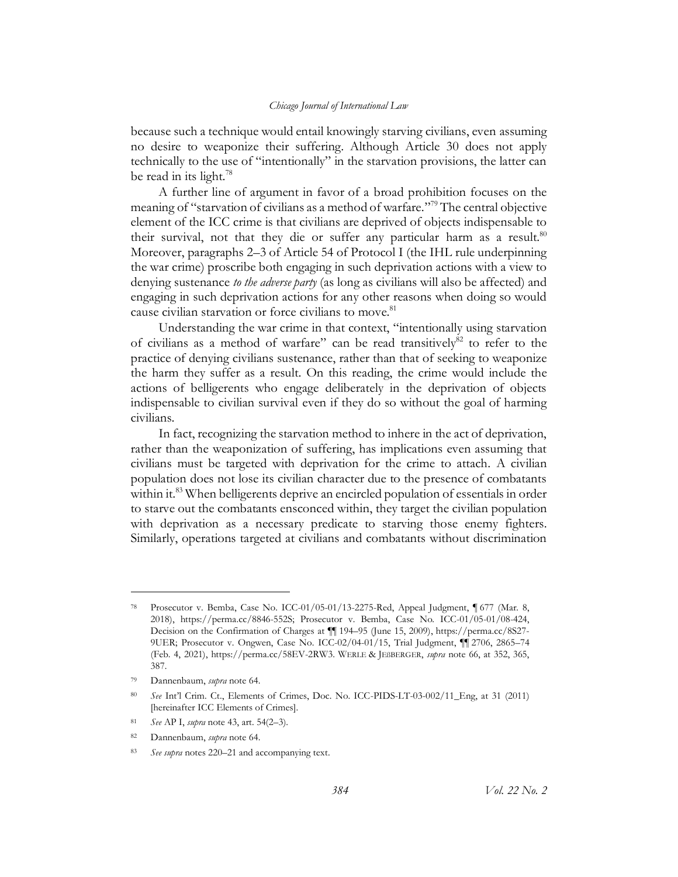because such a technique would entail knowingly starving civilians, even assuming no desire to weaponize their suffering. Although Article 30 does not apply technically to the use of "intentionally" in the starvation provisions, the latter can be read in its light.<sup>78</sup>

A further line of argument in favor of a broad prohibition focuses on the meaning of "starvation of civilians as a method of warfare." <sup>79</sup> The central objective element of the ICC crime is that civilians are deprived of objects indispensable to their survival, not that they die or suffer any particular harm as a result.<sup>80</sup> Moreover, paragraphs 2–3 of Article 54 of Protocol I (the IHL rule underpinning the war crime) proscribe both engaging in such deprivation actions with a view to denying sustenance *to the adverse party* (as long as civilians will also be affected) and engaging in such deprivation actions for any other reasons when doing so would cause civilian starvation or force civilians to move.<sup>81</sup>

Understanding the war crime in that context, "intentionally using starvation of civilians as a method of warfare" can be read transitively $82$  to refer to the practice of denying civilians sustenance, rather than that of seeking to weaponize the harm they suffer as a result. On this reading, the crime would include the actions of belligerents who engage deliberately in the deprivation of objects indispensable to civilian survival even if they do so without the goal of harming civilians.

In fact, recognizing the starvation method to inhere in the act of deprivation, rather than the weaponization of suffering, has implications even assuming that civilians must be targeted with deprivation for the crime to attach. A civilian population does not lose its civilian character due to the presence of combatants within it.<sup>83</sup> When belligerents deprive an encircled population of essentials in order to starve out the combatants ensconced within, they target the civilian population with deprivation as a necessary predicate to starving those enemy fighters. Similarly, operations targeted at civilians and combatants without discrimination

<sup>78</sup> Prosecutor v. Bemba, Case No. ICC-01/05-01/13-2275-Red, Appeal Judgment, ¶ 677 (Mar. 8, 2018), https://perma.cc/8846-552S; Prosecutor v. Bemba, Case No. ICC-01/05-01/08-424, Decision on the Confirmation of Charges at ¶¶ 194–95 (June 15, 2009), https://perma.cc/8S27- 9UER; Prosecutor v. Ongwen, Case No. ICC-02/04-01/15, Trial Judgment, ¶¶ 2706, 2865–74 (Feb. 4, 2021), https://perma.cc/58EV-2RW3. WERLE & JEßBERGER, *supra* note [66,](#page-14-1) at 352, 365, 387.

<sup>79</sup> Dannenbaum, *supra* note [64.](#page-14-2)

<sup>80</sup> *See* Int'l Crim. Ct., Elements of Crimes, Doc. No. ICC-PIDS-LT-03-002/11\_Eng, at 31 (2011) [hereinafter ICC Elements of Crimes].

<sup>81</sup> *See* AP I, *supra* not[e 43,](#page-10-3) art. 54(2–3).

<sup>82</sup> Dannenbaum, *supra* note [64.](#page-14-2)

<sup>83</sup> *See supra* notes [220](#page-40-0)–21 and accompanying text.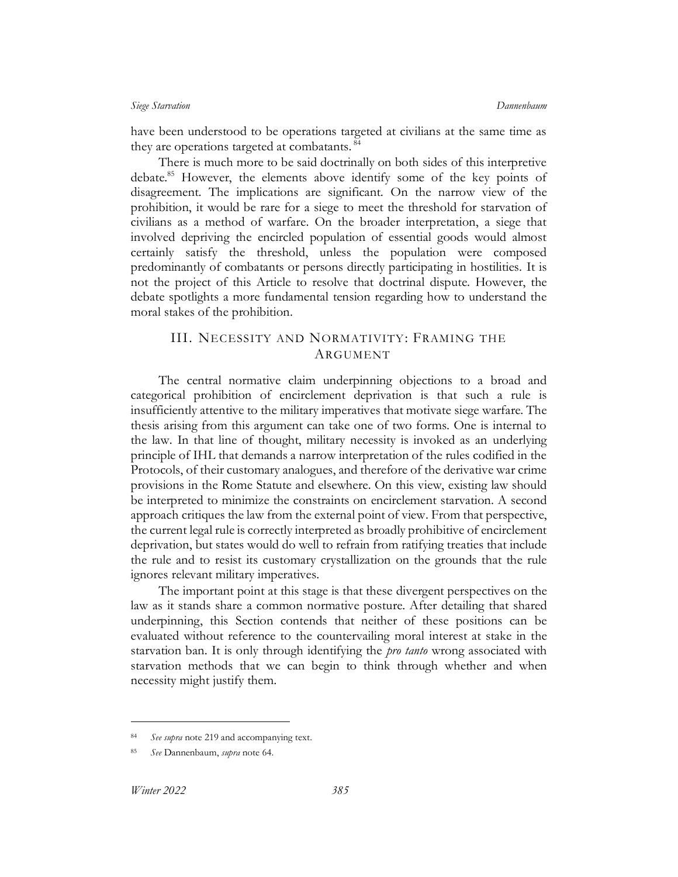have been understood to be operations targeted at civilians at the same time as they are operations targeted at combatants.<sup>84</sup>

There is much more to be said doctrinally on both sides of this interpretive debate.<sup>85</sup> However, the elements above identify some of the key points of disagreement. The implications are significant. On the narrow view of the prohibition, it would be rare for a siege to meet the threshold for starvation of civilians as a method of warfare. On the broader interpretation, a siege that involved depriving the encircled population of essential goods would almost certainly satisfy the threshold, unless the population were composed predominantly of combatants or persons directly participating in hostilities. It is not the project of this Article to resolve that doctrinal dispute. However, the debate spotlights a more fundamental tension regarding how to understand the moral stakes of the prohibition.

## <span id="page-18-0"></span>III. NECESSITY AND NORMATIVITY: FRAMING THE ARGUMENT

The central normative claim underpinning objections to a broad and categorical prohibition of encirclement deprivation is that such a rule is insufficiently attentive to the military imperatives that motivate siege warfare. The thesis arising from this argument can take one of two forms. One is internal to the law. In that line of thought, military necessity is invoked as an underlying principle of IHL that demands a narrow interpretation of the rules codified in the Protocols, of their customary analogues, and therefore of the derivative war crime provisions in the Rome Statute and elsewhere. On this view, existing law should be interpreted to minimize the constraints on encirclement starvation. A second approach critiques the law from the external point of view. From that perspective, the current legal rule is correctly interpreted as broadly prohibitive of encirclement deprivation, but states would do well to refrain from ratifying treaties that include the rule and to resist its customary crystallization on the grounds that the rule ignores relevant military imperatives.

The important point at this stage is that these divergent perspectives on the law as it stands share a common normative posture. After detailing that shared underpinning, this Section contends that neither of these positions can be evaluated without reference to the countervailing moral interest at stake in the starvation ban. It is only through identifying the *pro tanto* wrong associated with starvation methods that we can begin to think through whether and when necessity might justify them.

See supra not[e 219](#page-40-1) and accompanying text.

<sup>85</sup> *See* Dannenbaum, *supra* note [64.](#page-14-2)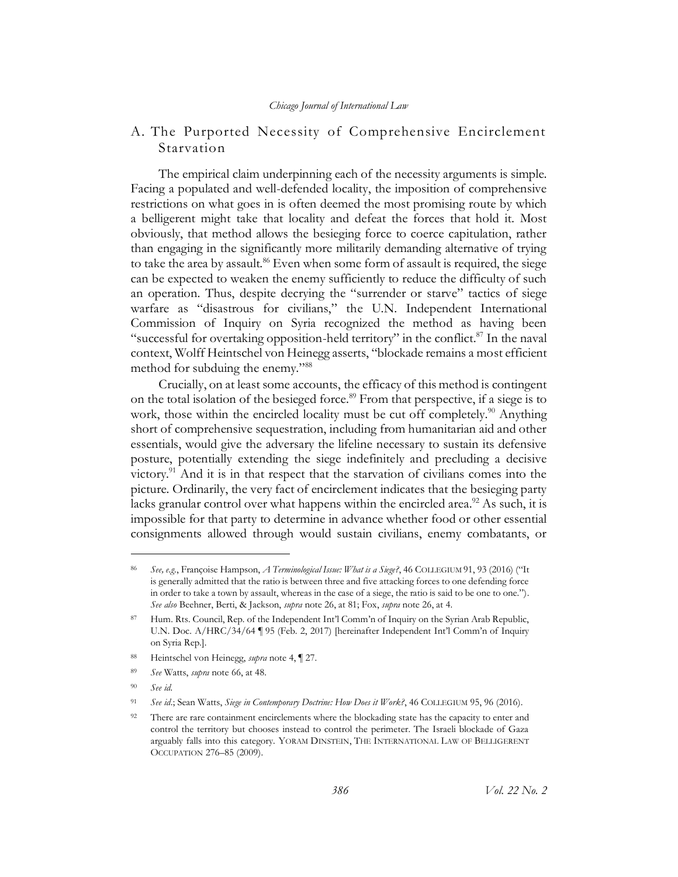## <span id="page-19-0"></span>A. The Purported Necessity of Comprehensive Encirclement Starvation

<span id="page-19-2"></span>The empirical claim underpinning each of the necessity arguments is simple. Facing a populated and well-defended locality, the imposition of comprehensive restrictions on what goes in is often deemed the most promising route by which a belligerent might take that locality and defeat the forces that hold it. Most obviously, that method allows the besieging force to coerce capitulation, rather than engaging in the significantly more militarily demanding alternative of trying to take the area by assault.<sup>86</sup> Even when some form of assault is required, the siege can be expected to weaken the enemy sufficiently to reduce the difficulty of such an operation. Thus, despite decrying the "surrender or starve" tactics of siege warfare as "disastrous for civilians," the U.N. Independent International Commission of Inquiry on Syria recognized the method as having been "successful for overtaking opposition-held territory" in the conflict. $87$  In the naval context, Wolff Heintschel von Heinegg asserts, "blockade remains a most efficient method for subduing the enemy."<sup>88</sup>

<span id="page-19-1"></span>Crucially, on at least some accounts, the efficacy of this method is contingent on the total isolation of the besieged force.<sup>89</sup> From that perspective, if a siege is to work, those within the encircled locality must be cut off completely.<sup>90</sup> Anything short of comprehensive sequestration, including from humanitarian aid and other essentials, would give the adversary the lifeline necessary to sustain its defensive posture, potentially extending the siege indefinitely and precluding a decisive victory.<sup>91</sup> And it is in that respect that the starvation of civilians comes into the picture. Ordinarily, the very fact of encirclement indicates that the besieging party lacks granular control over what happens within the encircled area.<sup>92</sup> As such, it is impossible for that party to determine in advance whether food or other essential consignments allowed through would sustain civilians, enemy combatants, or

<sup>90</sup> *See id.*

<sup>86</sup> *See, e.g.*, Françoise Hampson, *A Terminological Issue: What is a Siege?*, 46 COLLEGIUM 91, 93 (2016) ("It is generally admitted that the ratio is between three and five attacking forces to one defending force in order to take a town by assault, whereas in the case of a siege, the ratio is said to be one to one."). *See also* Beehner, Berti, & Jackson, *supra* note [26,](#page-7-1) at 81; Fox, *supra* not[e 26,](#page-7-1) at 4.

<sup>87</sup> Hum. Rts. Council, Rep. of the Independent Int'l Comm'n of Inquiry on the Syrian Arab Republic, U.N. Doc. A/HRC/34/64 ¶ 95 (Feb. 2, 2017) [hereinafter Independent Int'l Comm'n of Inquiry on Syria Rep.].

<sup>88</sup> Heintschel von Heinegg, *supra* note [4,](#page-3-2) ¶ 27.

<sup>89</sup> *See* Watts, *supra* note [66,](#page-14-1) at 48.

<sup>91</sup> *See id*.; Sean Watts, *Siege in Contemporary Doctrine: How Does it Work?*, 46 COLLEGIUM 95, 96 (2016).

<sup>&</sup>lt;sup>92</sup> There are rare containment encirclements where the blockading state has the capacity to enter and control the territory but chooses instead to control the perimeter. The Israeli blockade of Gaza arguably falls into this category. YORAM DINSTEIN, THE INTERNATIONAL LAW OF BELLIGERENT OCCUPATION 276–85 (2009).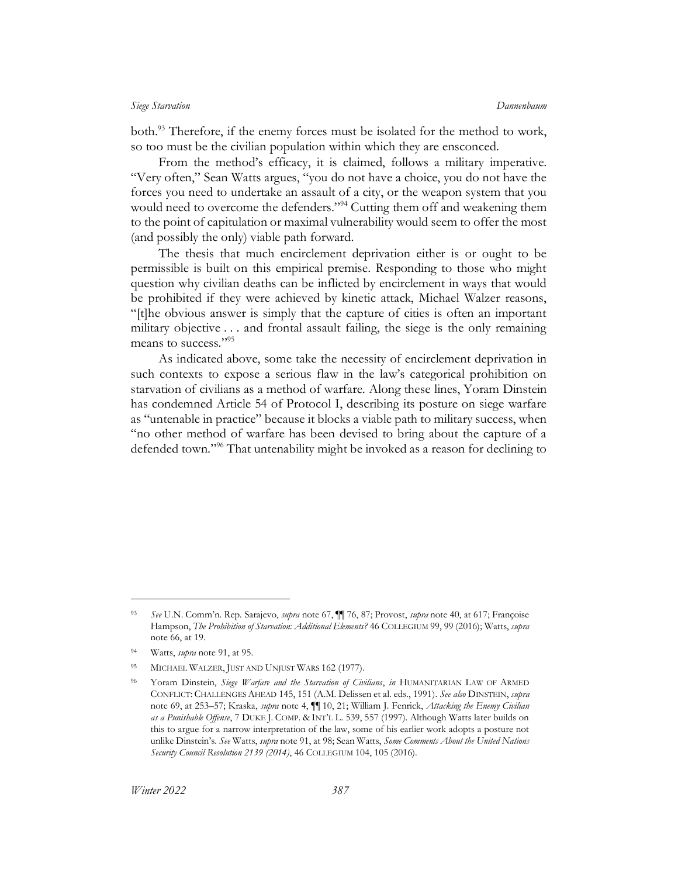both.<sup>93</sup> Therefore, if the enemy forces must be isolated for the method to work, so too must be the civilian population within which they are ensconced.

From the method's efficacy, it is claimed, follows a military imperative. "Very often," Sean Watts argues, "you do not have a choice, you do not have the forces you need to undertake an assault of a city, or the weapon system that you would need to overcome the defenders."<sup>94</sup> Cutting them off and weakening them to the point of capitulation or maximal vulnerability would seem to offer the most (and possibly the only) viable path forward.

The thesis that much encirclement deprivation either is or ought to be permissible is built on this empirical premise. Responding to those who might question why civilian deaths can be inflicted by encirclement in ways that would be prohibited if they were achieved by kinetic attack, Michael Walzer reasons, "[t]he obvious answer is simply that the capture of cities is often an important military objective . . . and frontal assault failing, the siege is the only remaining means to success."<sup>95</sup>

<span id="page-20-0"></span>As indicated above, some take the necessity of encirclement deprivation in such contexts to expose a serious flaw in the law's categorical prohibition on starvation of civilians as a method of warfare. Along these lines, Yoram Dinstein has condemned Article 54 of Protocol I, describing its posture on siege warfare as "untenable in practice" because it blocks a viable path to military success, when "no other method of warfare has been devised to bring about the capture of a defended town."<sup>96</sup> That untenability might be invoked as a reason for declining to

<sup>93</sup> *See* U.N. Comm'n. Rep. Sarajevo, *supra* not[e 67,](#page-15-2) ¶¶ 76, 87; Provost, *supra* not[e 40,](#page-10-2) at 617; Françoise Hampson, *The Prohibition of Starvation: Additional Elements?* 46 COLLEGIUM 99, 99 (2016); Watts, *supra*  note [66,](#page-14-1) at 19.

<sup>94</sup> Watts, *supra* note [91,](#page-19-1) at 95.

<sup>95</sup> MICHAEL WALZER, JUST AND UNJUST WARS 162 (1977).

<sup>96</sup> Yoram Dinstein, *Siege Warfare and the Starvation of Civilians*, *in* HUMANITARIAN LAW OF ARMED CONFLICT: CHALLENGES AHEAD 145, 151 (A.M. Delissen et al. eds., 1991). *See also* DINSTEIN, *supra* note [69,](#page-15-0) at 253–57; Kraska, *supra* note [4,](#page-3-2) ¶¶ 10, 21; William J. Fenrick, *Attacking the Enemy Civilian as a Punishable Offense*, 7 DUKE J. COMP. & INT'L L. 539, 557 (1997). Although Watts later builds on this to argue for a narrow interpretation of the law, some of his earlier work adopts a posture not unlike Dinstein's. *See* Watts, *supra* not[e 91,](#page-19-1) at 98; Sean Watts, *Some Comments About the United Nations Security Council Resolution 2139 (2014)*, 46 COLLEGIUM 104, 105 (2016).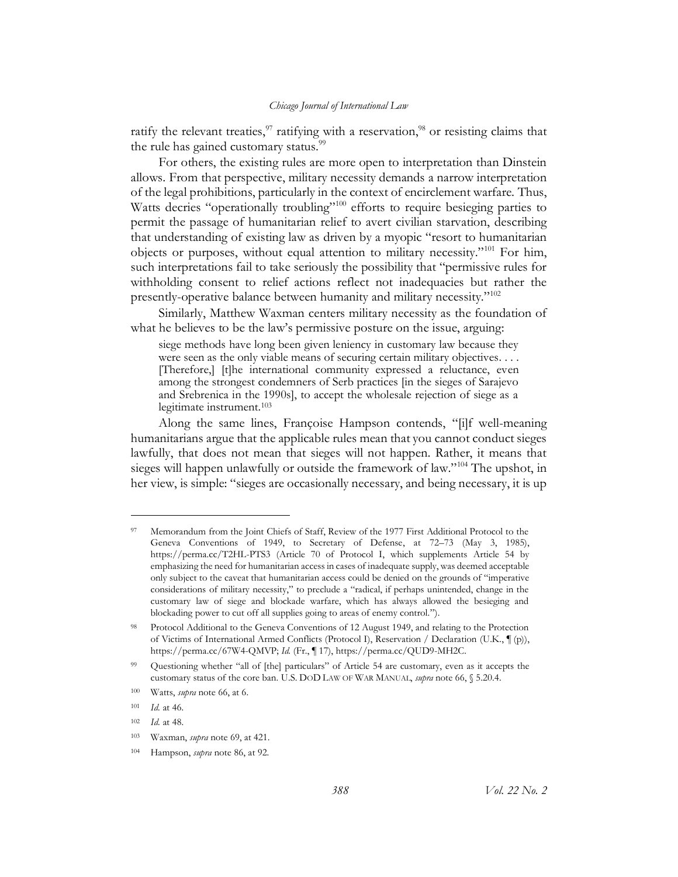ratify the relevant treaties,  $\frac{97}{7}$  ratifying with a reservation,  $\frac{98}{7}$  or resisting claims that the rule has gained customary status.<sup>99</sup>

For others, the existing rules are more open to interpretation than Dinstein allows. From that perspective, military necessity demands a narrow interpretation of the legal prohibitions, particularly in the context of encirclement warfare. Thus, Watts decries "operationally troubling"<sup>100</sup> efforts to require besieging parties to permit the passage of humanitarian relief to avert civilian starvation, describing that understanding of existing law as driven by a myopic "resort to humanitarian objects or purposes, without equal attention to military necessity."<sup>101</sup> For him, such interpretations fail to take seriously the possibility that "permissive rules for withholding consent to relief actions reflect not inadequacies but rather the presently-operative balance between humanity and military necessity."<sup>102</sup>

Similarly, Matthew Waxman centers military necessity as the foundation of what he believes to be the law's permissive posture on the issue, arguing:

siege methods have long been given leniency in customary law because they were seen as the only viable means of securing certain military objectives. . . . [Therefore,] [t]he international community expressed a reluctance, even among the strongest condemners of Serb practices [in the sieges of Sarajevo and Srebrenica in the 1990s], to accept the wholesale rejection of siege as a legitimate instrument.<sup>103</sup>

Along the same lines, Françoise Hampson contends, "[i]f well-meaning humanitarians argue that the applicable rules mean that you cannot conduct sieges lawfully, that does not mean that sieges will not happen. Rather, it means that sieges will happen unlawfully or outside the framework of law."<sup>104</sup> The upshot, in her view, is simple: "sieges are occasionally necessary, and being necessary, it is up

<sup>97</sup> Memorandum from the Joint Chiefs of Staff, Review of the 1977 First Additional Protocol to the Geneva Conventions of 1949, to Secretary of Defense, at 72–73 (May 3, 1985), https://perma.cc/T2HL-PTS3 (Article 70 of Protocol I, which supplements Article 54 by emphasizing the need for humanitarian access in cases of inadequate supply, was deemed acceptable only subject to the caveat that humanitarian access could be denied on the grounds of "imperative considerations of military necessity," to preclude a "radical, if perhaps unintended, change in the customary law of siege and blockade warfare, which has always allowed the besieging and blockading power to cut off all supplies going to areas of enemy control.").

<sup>98</sup> Protocol Additional to the Geneva Conventions of 12 August 1949, and relating to the Protection of Victims of International Armed Conflicts (Protocol I), Reservation / Declaration (U.K., ¶ (p)), https://perma.cc/67W4-QMVP; *Id.* (Fr., ¶ 17), https://perma.cc/QUD9-MH2C.

<sup>99</sup> Questioning whether "all of [the] particulars" of Article 54 are customary, even as it accepts the customary status of the core ban. U.S. DOD LAW OF WAR MANUAL, *supra* note [66,](#page-14-1) § 5.20.4.

<sup>100</sup> Watts, *supra* note [66,](#page-14-1) at 6.

<sup>101</sup> *Id.* at 46.

<sup>102</sup> *Id.* at 48.

<sup>103</sup> Waxman, *supra* note [69,](#page-15-0) at 421.

<sup>104</sup> Hampson, *supra* not[e 86,](#page-19-2) at 92.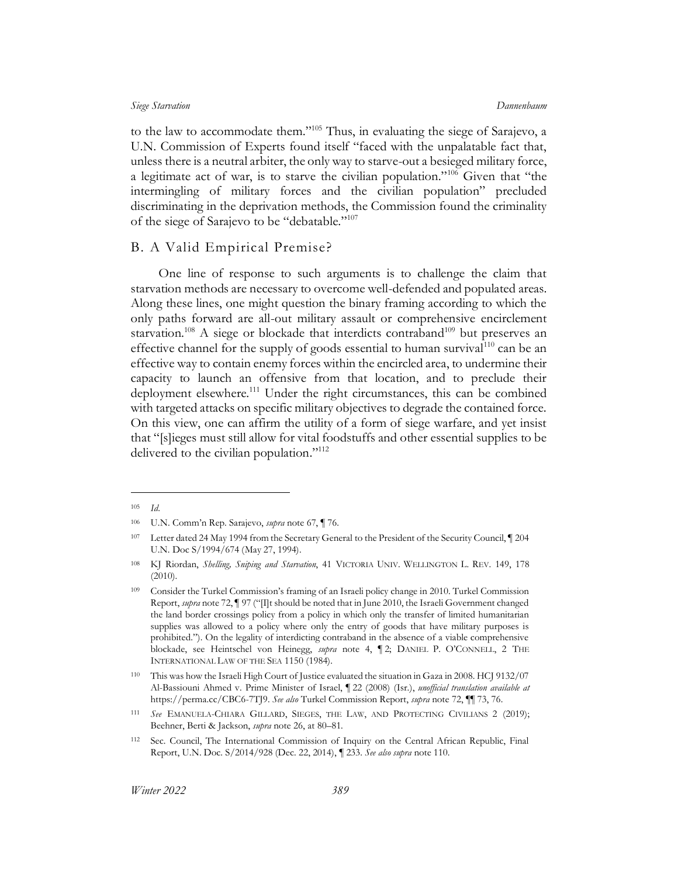to the law to accommodate them." <sup>105</sup> Thus, in evaluating the siege of Sarajevo, a U.N. Commission of Experts found itself "faced with the unpalatable fact that, unless there is a neutral arbiter, the only way to starve-out a besieged military force, a legitimate act of war, is to starve the civilian population."<sup>106</sup> Given that "the intermingling of military forces and the civilian population" precluded discriminating in the deprivation methods, the Commission found the criminality of the siege of Sarajevo to be "debatable."<sup>107</sup>

## <span id="page-22-0"></span>B. A Valid Empirical Premise?

<span id="page-22-1"></span>One line of response to such arguments is to challenge the claim that starvation methods are necessary to overcome well-defended and populated areas. Along these lines, one might question the binary framing according to which the only paths forward are all-out military assault or comprehensive encirclement starvation.<sup>108</sup> A siege or blockade that interdicts contraband<sup>109</sup> but preserves an effective channel for the supply of goods essential to human survival<sup>110</sup> can be an effective way to contain enemy forces within the encircled area, to undermine their capacity to launch an offensive from that location, and to preclude their deployment elsewhere.<sup>111</sup> Under the right circumstances, this can be combined with targeted attacks on specific military objectives to degrade the contained force. On this view, one can affirm the utility of a form of siege warfare, and yet insist that "[s]ieges must still allow for vital foodstuffs and other essential supplies to be delivered to the civilian population."<sup>112</sup>

<sup>105</sup> *Id*.

<sup>106</sup> U.N. Comm'n Rep. Sarajevo, *supra* note [67,](#page-15-2) ¶ 76.

<sup>107</sup> Letter dated 24 May 1994 from the Secretary General to the President of the Security Council, ¶ 204 U.N. Doc S/1994/674 (May 27, 1994).

<sup>108</sup> KJ Riordan, *Shelling, Sniping and Starvation*, 41 VICTORIA UNIV. WELLINGTON L. REV. 149, 178 (2010).

<sup>109</sup> Consider the Turkel Commission's framing of an Israeli policy change in 2010. Turkel Commission Report, *supra* not[e 72,](#page-16-1) ¶ 97 ("[I]t should be noted that in June 2010, the Israeli Government changed the land border crossings policy from a policy in which only the transfer of limited humanitarian supplies was allowed to a policy where only the entry of goods that have military purposes is prohibited."). On the legality of interdicting contraband in the absence of a viable comprehensive blockade, see Heintschel von Heinegg, *supra* note [4,](#page-3-2) ¶ 2; DANIEL P. O'CONNELL, 2 THE INTERNATIONAL LAW OF THE SEA 1150 (1984).

<sup>110</sup> This was how the Israeli High Court of Justice evaluated the situation in Gaza in 2008. HCJ 9132/07 Al-Bassiouni Ahmed v. Prime Minister of Israel, ¶ 22 (2008) (Isr.), *unofficial translation available at* https://perma.cc/CBC6-7TJ9. *See also* Turkel Commission Report, *supra* note [72,](#page-16-1) ¶¶ 73, 76.

<sup>111</sup> *See* EMANUELA-CHIARA GILLARD, SIEGES, THE LAW, AND PROTECTING CIVILIANS 2 (2019); Beehner, Berti & Jackson, *supra* note [26,](#page-7-1) at 80–81.

<sup>112</sup> Sec. Council, The International Commission of Inquiry on the Central African Republic, Final Report, U.N. Doc. S/2014/928 (Dec. 22, 2014), ¶ 233. *See also supra* not[e 110.](#page-22-1)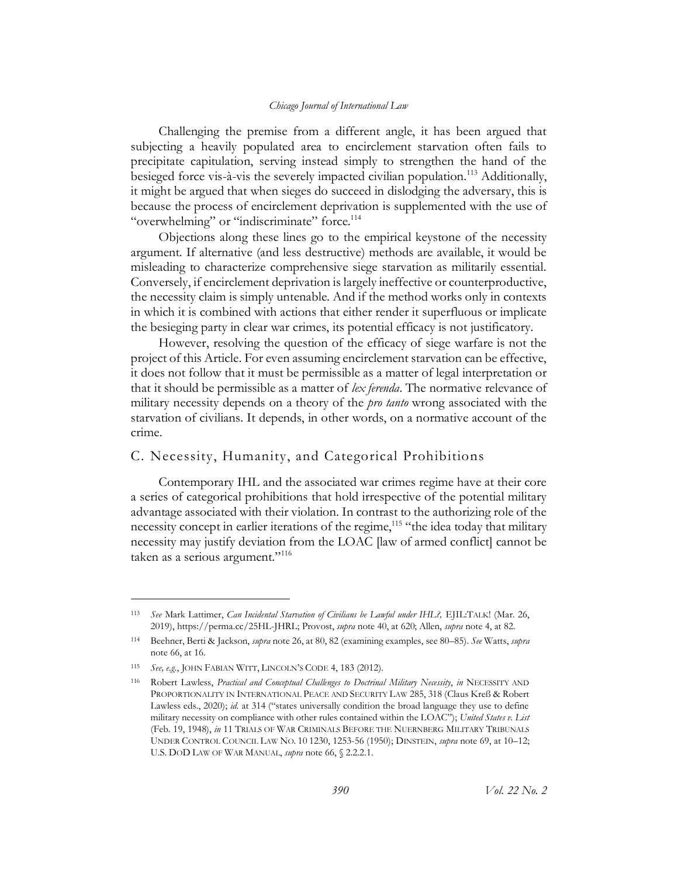Challenging the premise from a different angle, it has been argued that subjecting a heavily populated area to encirclement starvation often fails to precipitate capitulation, serving instead simply to strengthen the hand of the besieged force vis-à-vis the severely impacted civilian population.<sup>113</sup> Additionally, it might be argued that when sieges do succeed in dislodging the adversary, this is because the process of encirclement deprivation is supplemented with the use of "overwhelming" or "indiscriminate" force.<sup>114</sup>

Objections along these lines go to the empirical keystone of the necessity argument. If alternative (and less destructive) methods are available, it would be misleading to characterize comprehensive siege starvation as militarily essential. Conversely, if encirclement deprivation is largely ineffective or counterproductive, the necessity claim is simply untenable. And if the method works only in contexts in which it is combined with actions that either render it superfluous or implicate the besieging party in clear war crimes, its potential efficacy is not justificatory.

However, resolving the question of the efficacy of siege warfare is not the project of this Article. For even assuming encirclement starvation can be effective, it does not follow that it must be permissible as a matter of legal interpretation or that it should be permissible as a matter of *lex ferenda*. The normative relevance of military necessity depends on a theory of the *pro tanto* wrong associated with the starvation of civilians. It depends, in other words, on a normative account of the crime.

## <span id="page-23-0"></span>C. Necessity, Humanity, and Categorical Prohibitions

Contemporary IHL and the associated war crimes regime have at their core a series of categorical prohibitions that hold irrespective of the potential military advantage associated with their violation. In contrast to the authorizing role of the necessity concept in earlier iterations of the regime,<sup>115</sup> "the idea today that military necessity may justify deviation from the LOAC [law of armed conflict] cannot be taken as a serious argument."<sup>116</sup>

<span id="page-23-1"></span><sup>113</sup> *See* Mark Lattimer, *Can Incidental Starvation of Civilians be Lawful under IHL?,* EJIL:TALK! (Mar. 26, 2019), https://perma.cc/25HL-JHRL; Provost, *supra* not[e 40,](#page-10-2) at 620; Allen, *supra* note [4,](#page-3-2) at 82.

<sup>114</sup> Beehner, Berti & Jackson, *supra* note [26,](#page-7-1) at 80, 82 (examining examples, see 80–85). *See* Watts, *supra* note [66,](#page-14-1) at 16.

<sup>115</sup> *See, e.g.*, JOHN FABIAN WITT, LINCOLN'S CODE 4, 183 (2012).

<sup>116</sup> Robert Lawless, *Practical and Conceptual Challenges to Doctrinal Military Necessity*, *in* NECESSITY AND PROPORTIONALITY IN INTERNATIONAL PEACE AND SECURITY LAW 285, 318 (Claus Kreß & Robert Lawless eds., 2020); *id.* at 314 ("states universally condition the broad language they use to define military necessity on compliance with other rules contained within the LOAC"); *United States v. List* (Feb. 19, 1948), *in* 11 TRIALS OF WAR CRIMINALS BEFORE THE NUERNBERG MILITARY TRIBUNALS UNDER CONTROL COUNCIL LAW NO. 10 1230, 1253-56 (1950); DINSTEIN, *supra* not[e 69,](#page-15-0) at 10–12; U.S. DOD LAW OF WAR MANUAL, *supra* not[e 66,](#page-14-1) § 2.2.2.1.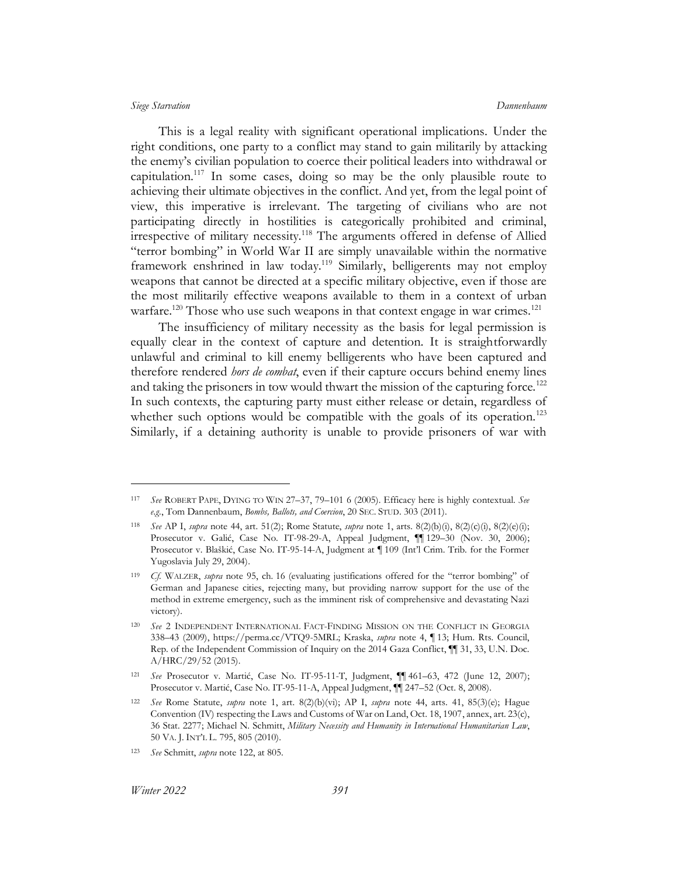This is a legal reality with significant operational implications. Under the right conditions, one party to a conflict may stand to gain militarily by attacking the enemy's civilian population to coerce their political leaders into withdrawal or capitulation.<sup>117</sup> In some cases, doing so may be the only plausible route to achieving their ultimate objectives in the conflict. And yet, from the legal point of view, this imperative is irrelevant. The targeting of civilians who are not participating directly in hostilities is categorically prohibited and criminal, irrespective of military necessity.<sup>118</sup> The arguments offered in defense of Allied "terror bombing" in World War II are simply unavailable within the normative framework enshrined in law today.<sup>119</sup> Similarly, belligerents may not employ weapons that cannot be directed at a specific military objective, even if those are the most militarily effective weapons available to them in a context of urban warfare.<sup>120</sup> Those who use such weapons in that context engage in war crimes.<sup>121</sup>

<span id="page-24-1"></span><span id="page-24-0"></span>The insufficiency of military necessity as the basis for legal permission is equally clear in the context of capture and detention. It is straightforwardly unlawful and criminal to kill enemy belligerents who have been captured and therefore rendered *hors de combat*, even if their capture occurs behind enemy lines and taking the prisoners in tow would thwart the mission of the capturing force.<sup>122</sup> In such contexts, the capturing party must either release or detain, regardless of whether such options would be compatible with the goals of its operation.<sup>123</sup> Similarly, if a detaining authority is unable to provide prisoners of war with

<sup>117</sup> *See* ROBERT PAPE, DYING TO WIN 27–37, 79–101 6 (2005). Efficacy here is highly contextual. *See e.g.*, Tom Dannenbaum, *Bombs, Ballots, and Coercion*, 20 SEC. STUD. 303 (2011).

<sup>118</sup> *See* AP I, *supra* note [44,](#page-10-1) art. 51(2); Rome Statute, *supra* note [1,](#page-3-1) arts. 8(2)(b)(i), 8(2)(c)(i), 8(2)(e)(i); Prosecutor v. Galić, Case No. IT-98-29-A, Appeal Judgment, ¶¶ 129–30 (Nov. 30, 2006); Prosecutor v. Blaškić, Case No. IT-95-14-A, Judgment at ¶ 109 (Int'l Crim. Trib. for the Former Yugoslavia July 29, 2004).

<sup>119</sup> *Cf.* WALZER, *supra* note [95,](#page-20-0) ch. 16 (evaluating justifications offered for the "terror bombing" of German and Japanese cities, rejecting many, but providing narrow support for the use of the method in extreme emergency, such as the imminent risk of comprehensive and devastating Nazi victory).

<sup>120</sup> *See* 2 INDEPENDENT INTERNATIONAL FACT-FINDING MISSION ON THE CONFLICT IN GEORGIA 338–43 (2009), https://perma.cc/VTQ9-5MRL; Kraska, *supra* note [4,](#page-3-2) ¶ 13; Hum. Rts. Council, Rep. of the Independent Commission of Inquiry on the 2014 Gaza Conflict, ¶¶ 31, 33, U.N. Doc. A/HRC/29/52 (2015).

<sup>121</sup> *See* Prosecutor v. Martić, Case No. IT-95-11-T, Judgment, ¶¶ 461–63, 472 (June 12, 2007); Prosecutor v. Martić, Case No. IT-95-11-A, Appeal Judgment, ¶¶ 247–52 (Oct. 8, 2008).

<sup>122</sup> *See* Rome Statute, *supra* note [1,](#page-3-1) art. 8(2)(b)(vi); AP I, *supra* note [44,](#page-10-1) arts. 41, 85(3)(e); Hague Convention (IV) respecting the Laws and Customs of War on Land, Oct. 18, 1907, annex, art. 23(c), 36 Stat. 2277; Michael N. Schmitt, *Military Necessity and Humanity in International Humanitarian Law*, 50 VA. J. INT'L L. 795, 805 (2010).

<sup>123</sup> *See* Schmitt, *supra* note [122,](#page-24-0) at 805.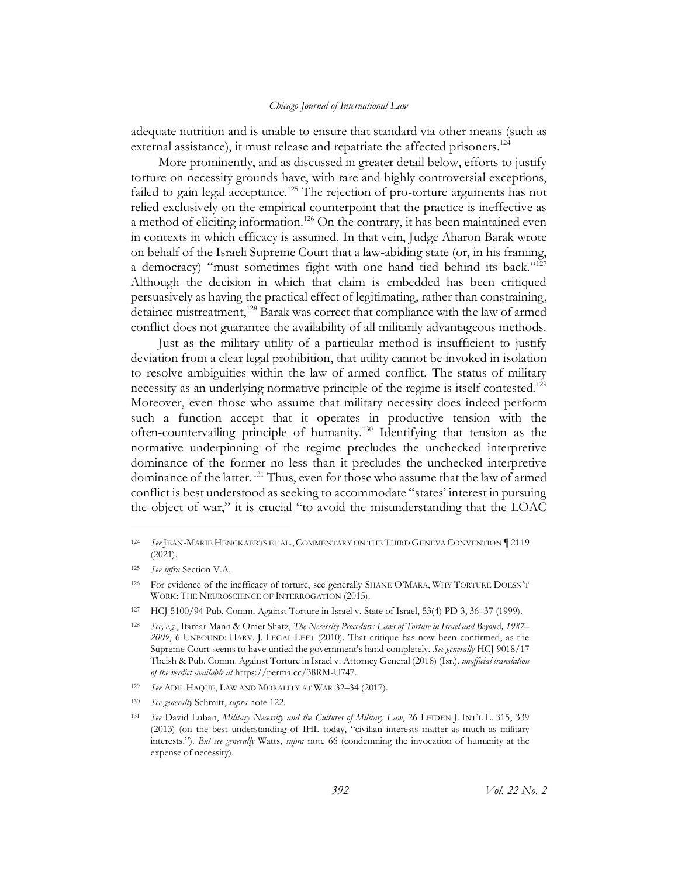adequate nutrition and is unable to ensure that standard via other means (such as external assistance), it must release and repatriate the affected prisoners.<sup>124</sup>

More prominently, and as discussed in greater detail below, efforts to justify torture on necessity grounds have, with rare and highly controversial exceptions, failed to gain legal acceptance.<sup>125</sup> The rejection of pro-torture arguments has not relied exclusively on the empirical counterpoint that the practice is ineffective as a method of eliciting information.<sup>126</sup> On the contrary, it has been maintained even in contexts in which efficacy is assumed. In that vein, Judge Aharon Barak wrote on behalf of the Israeli Supreme Court that a law-abiding state (or, in his framing, a democracy) "must sometimes fight with one hand tied behind its back."<sup>127</sup> Although the decision in which that claim is embedded has been critiqued persuasively as having the practical effect of legitimating, rather than constraining, detainee mistreatment,<sup>128</sup> Barak was correct that compliance with the law of armed conflict does not guarantee the availability of all militarily advantageous methods.

<span id="page-25-0"></span>Just as the military utility of a particular method is insufficient to justify deviation from a clear legal prohibition, that utility cannot be invoked in isolation to resolve ambiguities within the law of armed conflict. The status of military necessity as an underlying normative principle of the regime is itself contested.<sup>129</sup> Moreover, even those who assume that military necessity does indeed perform such a function accept that it operates in productive tension with the often-countervailing principle of humanity.<sup>130</sup> Identifying that tension as the normative underpinning of the regime precludes the unchecked interpretive dominance of the former no less than it precludes the unchecked interpretive dominance of the latter.<sup>131</sup> Thus, even for those who assume that the law of armed conflict is best understood as seeking to accommodate "states' interest in pursuing the object of war," it is crucial "to avoid the misunderstanding that the LOAC

<sup>124</sup> *See* JEAN-MARIE HENCKAERTS ET AL.,COMMENTARY ON THE THIRD GENEVA CONVENTION ¶ 2119 (2021).

<sup>125</sup> *See infra* Sectio[n V.A.](#page-48-0)

<sup>126</sup> For evidence of the inefficacy of torture, see generally SHANE O'MARA, WHY TORTURE DOESN'T WORK: THE NEUROSCIENCE OF INTERROGATION (2015).

<sup>127</sup> HCJ 5100/94 Pub. Comm. Against Torture in Israel v. State of Israel, 53(4) PD 3, 36–37 (1999).

<sup>128</sup> *See, e.g.*, Itamar Mann & Omer Shatz, *The Necessity Procedure: Laws of Torture in Israel and Beyon*d*, 1987– 2009*, 6 UNBOUND: HARV. J. LEGAL LEFT (2010). That critique has now been confirmed, as the Supreme Court seems to have untied the government's hand completely. *See generally* HCJ 9018/17 Tbeish & Pub. Comm. Against Torture in Israel v. Attorney General (2018) (Isr.), *unofficial translation of the verdict available at* https://perma.cc/38RM-U747.

<sup>129</sup> *See* ADIL HAQUE, LAW AND MORALITY AT WAR 32–34 (2017).

<sup>130</sup> *See generally* Schmitt, *supra* not[e 122.](#page-24-0)

<sup>131</sup> *See* David Luban, *Military Necessity and the Cultures of Military Law*, 26 LEIDEN J. INT'L L. 315, 339 (2013) (on the best understanding of IHL today, "civilian interests matter as much as military interests."). *But see generally* Watts, *supra* note [66](#page-14-1) (condemning the invocation of humanity at the expense of necessity).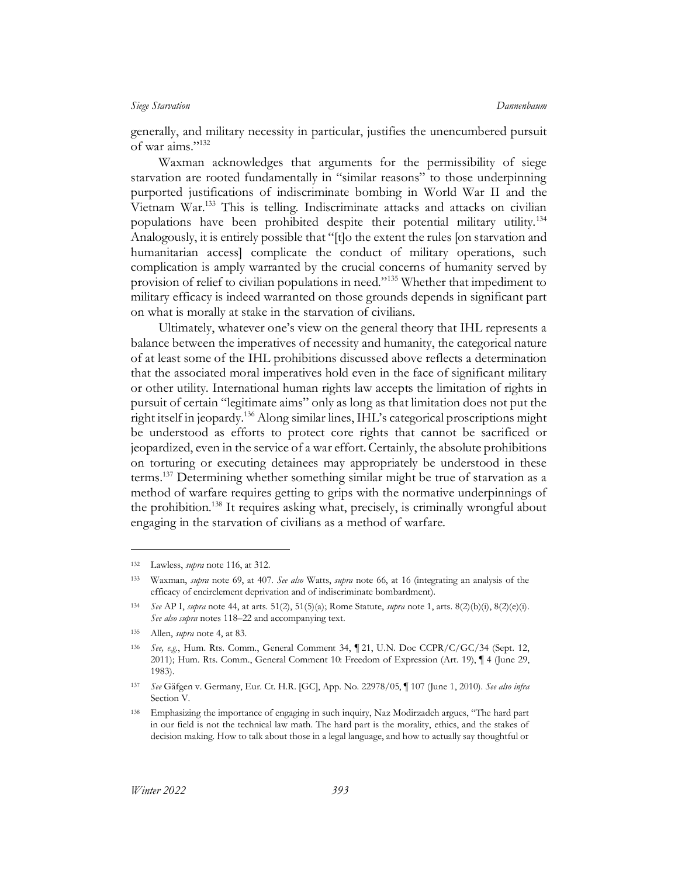generally, and military necessity in particular, justifies the unencumbered pursuit of war aims."<sup>132</sup>

Waxman acknowledges that arguments for the permissibility of siege starvation are rooted fundamentally in "similar reasons" to those underpinning purported justifications of indiscriminate bombing in World War II and the Vietnam War. <sup>133</sup> This is telling. Indiscriminate attacks and attacks on civilian populations have been prohibited despite their potential military utility.<sup>134</sup> Analogously, it is entirely possible that "[t]o the extent the rules [on starvation and humanitarian access] complicate the conduct of military operations, such complication is amply warranted by the crucial concerns of humanity served by provision of relief to civilian populations in need."<sup>135</sup> Whether that impediment to military efficacy is indeed warranted on those grounds depends in significant part on what is morally at stake in the starvation of civilians.

Ultimately, whatever one's view on the general theory that IHL represents a balance between the imperatives of necessity and humanity, the categorical nature of at least some of the IHL prohibitions discussed above reflects a determination that the associated moral imperatives hold even in the face of significant military or other utility. International human rights law accepts the limitation of rights in pursuit of certain "legitimate aims" only as long as that limitation does not put the right itself in jeopardy.<sup>136</sup> Along similar lines, IHL's categorical proscriptions might be understood as efforts to protect core rights that cannot be sacrificed or jeopardized, even in the service of a war effort.Certainly, the absolute prohibitions on torturing or executing detainees may appropriately be understood in these terms.<sup>137</sup> Determining whether something similar might be true of starvation as a method of warfare requires getting to grips with the normative underpinnings of the prohibition.<sup>138</sup> It requires asking what, precisely, is criminally wrongful about engaging in the starvation of civilians as a method of warfare.

<sup>132</sup> Lawless, *supra* note [116,](#page-23-1) at 312.

<sup>133</sup> Waxman, *supra* note [69,](#page-15-0) at 407. *See also* Watts, *supra* note [66,](#page-14-1) at 16 (integrating an analysis of the efficacy of encirclement deprivation and of indiscriminate bombardment).

<sup>134</sup> *See* AP I, *supra* note [44,](#page-10-1) at arts. 51(2), 51(5)(a); Rome Statute, *supra* not[e 1,](#page-3-4) arts. 8(2)(b)(i), 8(2)(e)(i). *See also supra* note[s 118](#page-24-1)–22 and accompanying text.

<sup>135</sup> Allen, *supra* not[e 4,](#page-3-2) at 83.

<sup>136</sup> *See, e.g.*, Hum. Rts. Comm., General Comment 34, ¶ 21, U.N. Doc CCPR/C/GC/34 (Sept. 12, 2011); Hum. Rts. Comm., General Comment 10: Freedom of Expression (Art. 19), ¶ 4 (June 29, 1983).

<sup>137</sup> *See* Gäfgen v. Germany, Eur. Ct. H.R. [GC], App. No. 22978/05, ¶ 107 (June 1, 2010). *See also infra* Section [V.](#page-47-0)

<sup>138</sup> Emphasizing the importance of engaging in such inquiry, Naz Modirzadeh argues, "The hard part in our field is not the technical law math. The hard part is the morality, ethics, and the stakes of decision making. How to talk about those in a legal language, and how to actually say thoughtful or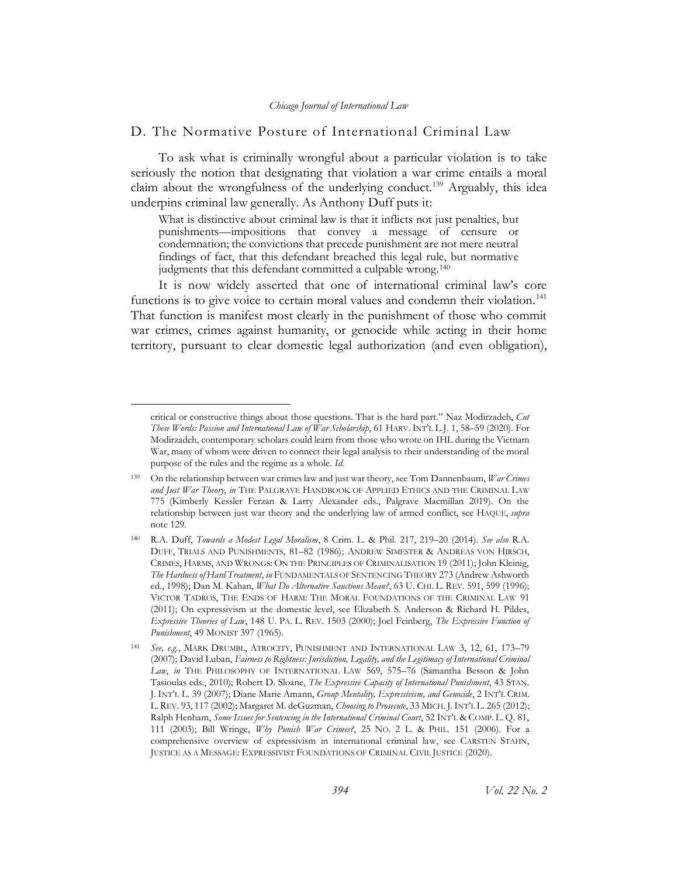## <span id="page-27-0"></span>D. The Normative Posture of International Criminal Law

To ask what is criminally wrongful about a particular violation is to take seriously the notion that designating that violation a war crime entails a moral claim about the wrongfulness of the underlying conduct.<sup>139</sup> Arguably, this idea underpins criminal law generally. As Anthony Duff puts it:

<span id="page-27-2"></span><span id="page-27-1"></span>What is distinctive about criminal law is that it inflicts not just penalties, but punishments—impositions that convey a message of censure or condemnation; the convictions that precede punishment are not mere neutral findings of fact, that this defendant breached this legal rule, but normative judgments that this defendant committed a culpable wrong.<sup>140</sup>

It is now widely asserted that one of international criminal law's core functions is to give voice to certain moral values and condemn their violation.<sup>141</sup> That function is manifest most clearly in the punishment of those who commit war crimes, crimes against humanity, or genocide while acting in their home territory, pursuant to clear domestic legal authorization (and even obligation),

critical or constructive things about those questions. That is the hard part." Naz Modirzadeh, *Cut These Words: Passion and International Law of War Scholarship*, 61 HARV. INT'L L.J. 1, 58–59 (2020). For Modirzadeh, contemporary scholars could learn from those who wrote on IHL during the Vietnam War, many of whom were driven to connect their legal analysis to their understanding of the moral purpose of the rules and the regime as a whole. *Id.*

<sup>139</sup> On the relationship between war crimes law and just war theory, see Tom Dannenbaum, *War Crimes and Just War Theory*, *in* THE PALGRAVE HANDBOOK OF APPLIED ETHICS AND THE CRIMINAL LAW 775 (Kimberly Kessler Ferzan & Larry Alexander eds., Palgrave Macmillan 2019). On the relationship between just war theory and the underlying law of armed conflict, see HAQUE, *supra*  note [129.](#page-25-0)

<sup>140</sup> R.A. Duff, *Towards a Modest Legal Moralism*, 8 Crim. L. & Phil. 217, 219–20 (2014). *See also* R.A. DUFF, TRIALS AND PUNISHMENTS, 81–82 (1986); ANDREW SIMESTER & ANDREAS VON HIRSCH, CRIMES, HARMS, AND WRONGS: ON THE PRINCIPLES OF CRIMINALISATION 19 (2011); John Kleinig, *The Hardness of Hard Treatment*, *in* FUNDAMENTALS OF SENTENCING THEORY 273 (Andrew Ashworth ed., 1998); Dan M. Kahan, *What Do Alternative Sanctions Mean?*, 63 U. CHI. L. REV. 591, 599 (1996); VICTOR TADROS, THE ENDS OF HARM: THE MORAL FOUNDATIONS OF THE CRIMINAL LAW 91 (2011); On expressivism at the domestic level, see Elizabeth S. Anderson & Richard H. Pildes, *Expressive Theories of Law*, 148 U. PA. L. REV. 1503 (2000); Joel Feinberg, *The Expressive Function of Punishment*, 49 MONIST 397 (1965).

<sup>141</sup> *See, e.g.*, MARK DRUMBL, ATROCITY, PUNISHMENT AND INTERNATIONAL LAW 3, 12, 61, 173–79 (2007); David Luban, *Fairness to Rightness: Jurisdiction, Legality, and the Legitimacy of International Criminal Law*, *in* THE PHILOSOPHY OF INTERNATIONAL LAW 569, 575–76 (Samantha Besson & John Tasioulas eds., 2010); Robert D. Sloane, *The Expressive Capacity of International Punishment*, 43 STAN. J. INT'L L. 39 (2007); Diane Marie Amann, *Group Mentality, Expressivism, and Genocide*, 2 INT'L CRIM. L. REV. 93, 117 (2002); Margaret M. deGuzman, *Choosing to Prosecute*, 33 MICH. J.INT'L L. 265 (2012); Ralph Henham, *Some Issues for Sentencing in the International Criminal Court*, 52 INT'L & COMP. L. Q. 81, 111 (2003); Bill Wringe, *Why Punish War Crimes?*, 25 NO. 2 L. & PHIL. 151 (2006). For a comprehensive overview of expressivism in international criminal law, see CARSTEN STAHN, JUSTICE AS A MESSAGE: EXPRESSIVIST FOUNDATIONS OF CRIMINAL CIVIL JUSTICE (2020).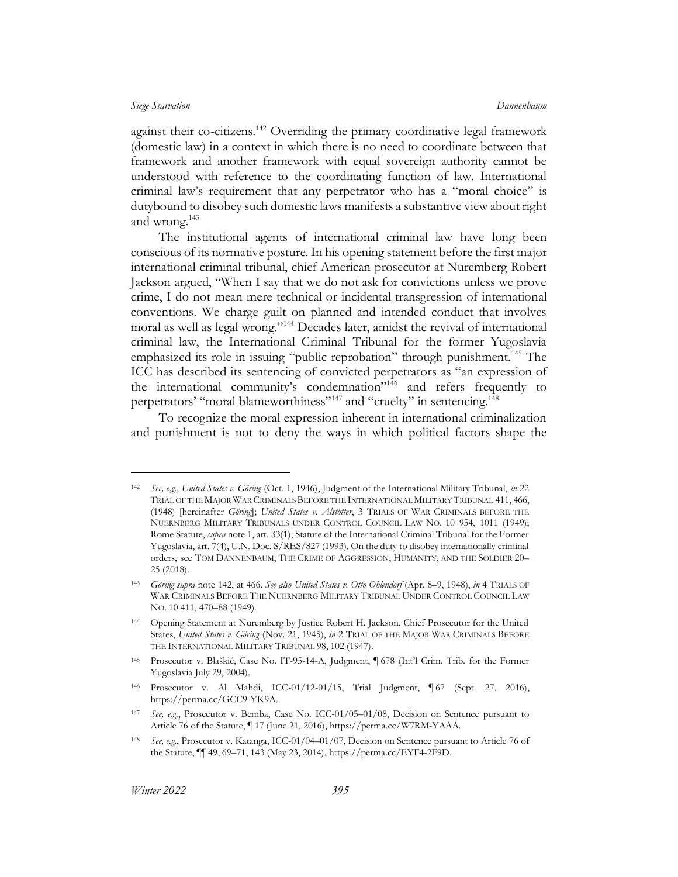<span id="page-28-0"></span>against their co-citizens.<sup>142</sup> Overriding the primary coordinative legal framework (domestic law) in a context in which there is no need to coordinate between that framework and another framework with equal sovereign authority cannot be understood with reference to the coordinating function of law. International criminal law's requirement that any perpetrator who has a "moral choice" is dutybound to disobey such domestic laws manifests a substantive view about right and wrong.<sup>143</sup>

The institutional agents of international criminal law have long been conscious of its normative posture. In his opening statement before the first major international criminal tribunal, chief American prosecutor at Nuremberg Robert Jackson argued, "When I say that we do not ask for convictions unless we prove crime, I do not mean mere technical or incidental transgression of international conventions. We charge guilt on planned and intended conduct that involves moral as well as legal wrong."<sup>144</sup> Decades later, amidst the revival of international criminal law, the International Criminal Tribunal for the former Yugoslavia emphasized its role in issuing "public reprobation" through punishment.<sup>145</sup> The ICC has described its sentencing of convicted perpetrators as "an expression of the international community's condemnation $v_{146}$  and refers frequently to perpetrators' "moral blameworthiness"<sup>147</sup> and "cruelty" in sentencing.<sup>148</sup>

To recognize the moral expression inherent in international criminalization and punishment is not to deny the ways in which political factors shape the

<sup>142</sup> *See, e.g., United States v. Göring* (Oct. 1, 1946), Judgment of the International Military Tribunal, *in* 22 TRIAL OF THE MAJOR WAR CRIMINALS BEFORE THE INTERNATIONAL MILITARY TRIBUNAL 411, 466, (1948) [hereinafter *Göring*]; *United States v. Alstötter*, 3 TRIALS OF WAR CRIMINALS BEFORE THE NUERNBERG MILITARY TRIBUNALS UNDER CONTROL COUNCIL LAW NO. 10 954, 1011 (1949); Rome Statute, *supra* not[e 1,](#page-3-1) art. 33(1); Statute of the International Criminal Tribunal for the Former Yugoslavia, art. 7(4), U.N. Doc. S/RES/827 (1993). On the duty to disobey internationally criminal orders, see TOM DANNENBAUM, THE CRIME OF AGGRESSION, HUMANITY, AND THE SOLDIER 20– 25 (2018).

<sup>143</sup> *Göring supra* not[e 142,](#page-28-0) at 466. *See also United States v. Otto Ohlendorf* (Apr. 8–9, 1948), *in* 4 TRIALS OF WAR CRIMINALS BEFORE THE NUERNBERG MILITARY TRIBUNAL UNDER CONTROL COUNCIL LAW NO. 10 411, 470–88 (1949).

<sup>144</sup> Opening Statement at Nuremberg by Justice Robert H. Jackson, Chief Prosecutor for the United States, *United States v. Göring* (Nov. 21, 1945), *in* 2 TRIAL OF THE MAJOR WAR CRIMINALS BEFORE THE INTERNATIONAL MILITARY TRIBUNAL 98, 102 (1947).

<sup>145</sup> Prosecutor v. Blaškić, Case No. IT-95-14-A, Judgment, ¶ 678 (Int'l Crim. Trib. for the Former Yugoslavia July 29, 2004).

<sup>146</sup> Prosecutor v. Al Mahdi, ICC-01/12-01/15, Trial Judgment, ¶ 67 (Sept. 27, 2016), https://perma.cc/GCC9-YK9A.

<sup>147</sup> *See, e.g.*, Prosecutor v. Bemba, Case No. ICC-01/05–01/08, Decision on Sentence pursuant to Article 76 of the Statute, ¶ 17 (June 21, 2016), https://perma.cc/W7RM-YAAA.

<sup>148</sup> *See, e.g.*, Prosecutor v. Katanga, ICC-01/04–01/07, Decision on Sentence pursuant to Article 76 of the Statute, ¶¶ 49, 69–71, 143 (May 23, 2014), https://perma.cc/EYF4-2F9D.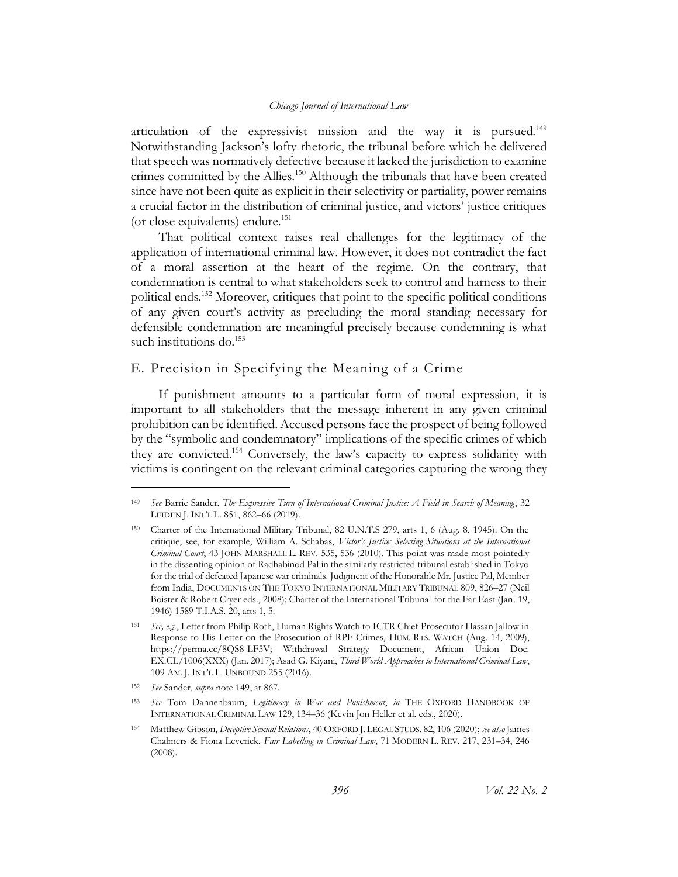<span id="page-29-1"></span>articulation of the expressivist mission and the way it is pursued.<sup>149</sup> Notwithstanding Jackson's lofty rhetoric, the tribunal before which he delivered that speech was normatively defective because it lacked the jurisdiction to examine crimes committed by the Allies.<sup>150</sup> Although the tribunals that have been created since have not been quite as explicit in their selectivity or partiality, power remains a crucial factor in the distribution of criminal justice, and victors' justice critiques (or close equivalents) endure.<sup>151</sup>

That political context raises real challenges for the legitimacy of the application of international criminal law. However, it does not contradict the fact of a moral assertion at the heart of the regime. On the contrary, that condemnation is central to what stakeholders seek to control and harness to their political ends.<sup>152</sup> Moreover, critiques that point to the specific political conditions of any given court's activity as precluding the moral standing necessary for defensible condemnation are meaningful precisely because condemning is what such institutions do.<sup>153</sup>

## <span id="page-29-0"></span>E. Precision in Specifying the Meaning of a Crime

If punishment amounts to a particular form of moral expression, it is important to all stakeholders that the message inherent in any given criminal prohibition can be identified. Accused persons face the prospect of being followed by the "symbolic and condemnatory" implications of the specific crimes of which they are convicted.<sup>154</sup> Conversely, the law's capacity to express solidarity with victims is contingent on the relevant criminal categories capturing the wrong they

<span id="page-29-2"></span><sup>149</sup> *See* Barrie Sander, *The Expressive Turn of International Criminal Justice: A Field in Search of Meaning*, 32 LEIDEN J. INT'L L. 851, 862–66 (2019).

<sup>150</sup> Charter of the International Military Tribunal, 82 U.N.T.S 279, arts 1, 6 (Aug. 8, 1945). On the critique, see, for example, William A. Schabas, *Victor's Justice: Selecting Situations at the International Criminal Court*, 43 JOHN MARSHALL L. REV. 535, 536 (2010). This point was made most pointedly in the dissenting opinion of Radhabinod Pal in the similarly restricted tribunal established in Tokyo for the trial of defeated Japanese war criminals. Judgment of the Honorable Mr. Justice Pal, Member from India, DOCUMENTS ON THE TOKYO INTERNATIONAL MILITARY TRIBUNAL 809, 826–27 (Neil Boister & Robert Cryer eds., 2008); Charter of the International Tribunal for the Far East (Jan. 19, 1946) 1589 T.I.A.S. 20, arts 1, 5.

<sup>151</sup> *See, e.g.*, Letter from Philip Roth, Human Rights Watch to ICTR Chief Prosecutor Hassan Jallow in Response to His Letter on the Prosecution of RPF Crimes, HUM. RTS. WATCH (Aug. 14, 2009), [https://perma.cc/8QS8-LF5V;](https://perma.cc/8QS8-LF5V) Withdrawal Strategy Document, African Union Doc. EX.CL/1006(XXX) (Jan. 2017); Asad G. Kiyani, *Third World Approaches to International Criminal Law*, 109 AM. J. INT'L L. UNBOUND 255 (2016).

<sup>152</sup> *See* Sander, *supra* not[e 149,](#page-29-1) at 867.

<sup>153</sup> *See* Tom Dannenbaum, *Legitimacy in War and Punishment*, *in* THE OXFORD HANDBOOK OF INTERNATIONAL CRIMINAL LAW 129, 134–36 (Kevin Jon Heller et al. eds., 2020).

<sup>154</sup> Matthew Gibson, *Deceptive Sexual Relations*, 40 OXFORD J. LEGAL STUDS. 82, 106 (2020); *see also* James Chalmers & Fiona Leverick, *Fair Labelling in Criminal Law*, 71 MODERN L. REV. 217, 231–34, 246 (2008).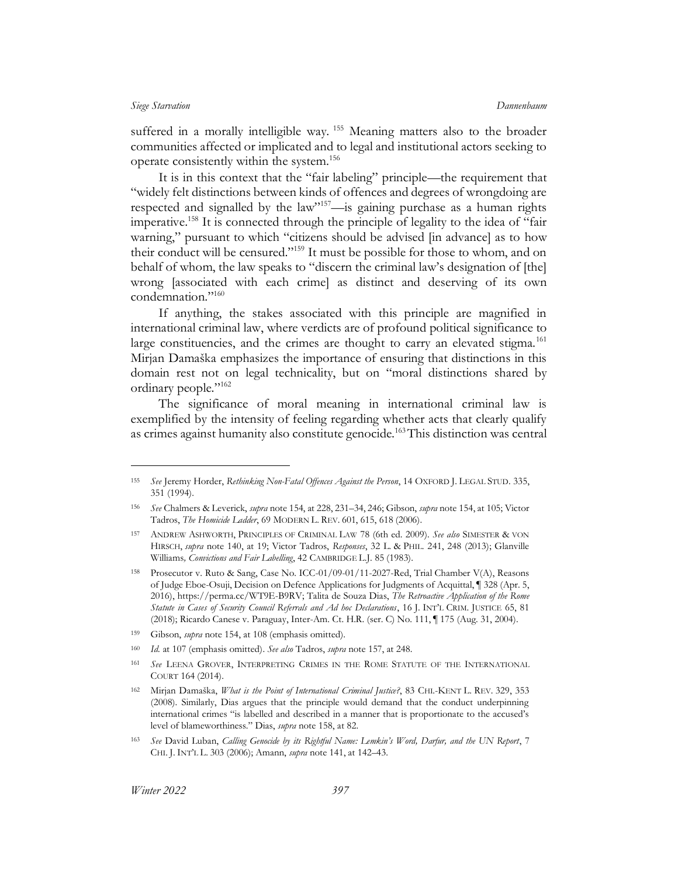suffered in a morally intelligible way. <sup>155</sup> Meaning matters also to the broader communities affected or implicated and to legal and institutional actors seeking to operate consistently within the system.<sup>156</sup>

<span id="page-30-1"></span><span id="page-30-0"></span>It is in this context that the "fair labeling" principle—the requirement that "widely felt distinctions between kinds of offences and degrees of wrongdoing are respected and signalled by the law"<sup>157</sup>—is gaining purchase as a human rights imperative.<sup>158</sup> It is connected through the principle of legality to the idea of "fair warning," pursuant to which "citizens should be advised [in advance] as to how their conduct will be censured."<sup>159</sup> It must be possible for those to whom, and on behalf of whom, the law speaks to "discern the criminal law's designation of [the] wrong [associated with each crime] as distinct and deserving of its own condemnation."<sup>160</sup>

If anything, the stakes associated with this principle are magnified in international criminal law, where verdicts are of profound political significance to large constituencies, and the crimes are thought to carry an elevated stigma.<sup>161</sup> Mirjan Damaška emphasizes the importance of ensuring that distinctions in this domain rest not on legal technicality, but on "moral distinctions shared by ordinary people."<sup>162</sup>

<span id="page-30-2"></span>The significance of moral meaning in international criminal law is exemplified by the intensity of feeling regarding whether acts that clearly qualify as crimes against humanity also constitute genocide.<sup>163</sup>This distinction was central

- <sup>159</sup> Gibson, *supra* note [154,](#page-29-2) at 108 (emphasis omitted).
- <sup>160</sup> *Id.* at 107 (emphasis omitted). *See also* Tadros, *supra* not[e 157,](#page-30-0) at 248.
- <sup>161</sup> *See* LEENA GROVER, INTERPRETING CRIMES IN THE ROME STATUTE OF THE INTERNATIONAL COURT 164 (2014).

<sup>155</sup> *See* Jeremy Horder, *Rethinking Non-Fatal Offences Against the Person*, 14 OXFORD J. LEGAL STUD. 335, 351 (1994).

<sup>156</sup> *See* Chalmers & Leverick, *supra* not[e 154,](#page-29-2) at 228, 231–34, 246; Gibson, *supra* not[e 154,](#page-29-2) at 105; Victor Tadros, *The Homicide Ladder*, 69 MODERN L. REV. 601, 615, 618 (2006).

<sup>157</sup> ANDREW ASHWORTH, PRINCIPLES OF CRIMINAL LAW 78 (6th ed. 2009). *See also* SIMESTER & VON HIRSCH, *supra* note [140,](#page-27-1) at 19; Victor Tadros, *Responses*, 32 L. & PHIL. 241, 248 (2013); Glanville Williams*, Convictions and Fair Labelling*, 42 CAMBRIDGE L.J. 85 (1983).

<sup>158</sup> Prosecutor v. Ruto & Sang, Case No. ICC-01/09-01/11-2027-Red, Trial Chamber V(A), Reasons of Judge Eboe-Osuji, Decision on Defence Applications for Judgments of Acquittal, ¶ 328 (Apr. 5, 2016), https://perma.cc/WT9E-B9RV; Talita de Souza Dias, *The Retroactive Application of the Rome Statute in Cases of Security Council Referrals and Ad hoc Declarations*, 16 J. INT'L CRIM. JUSTICE 65, 81 (2018); Ricardo Canese v. Paraguay, Inter-Am. Ct. H.R. (ser. C) No. 111, ¶ 175 (Aug. 31, 2004).

<sup>162</sup> Mirjan Damaška, *What is the Point of International Criminal Justice?*, 83 CHI.-KENT L. REV. 329, 353 (2008). Similarly, Dias argues that the principle would demand that the conduct underpinning international crimes "is labelled and described in a manner that is proportionate to the accused's level of blameworthiness." Dias, *supra* not[e 158,](#page-30-1) at 82.

<sup>163</sup> *See* David Luban, *Calling Genocide by its Rightful Name: Lemkin's Word, Darfur, and the UN Report*, 7 CHI. J. INT'L L. 303 (2006); Amann, *supra* not[e 141,](#page-27-2) at 142–43.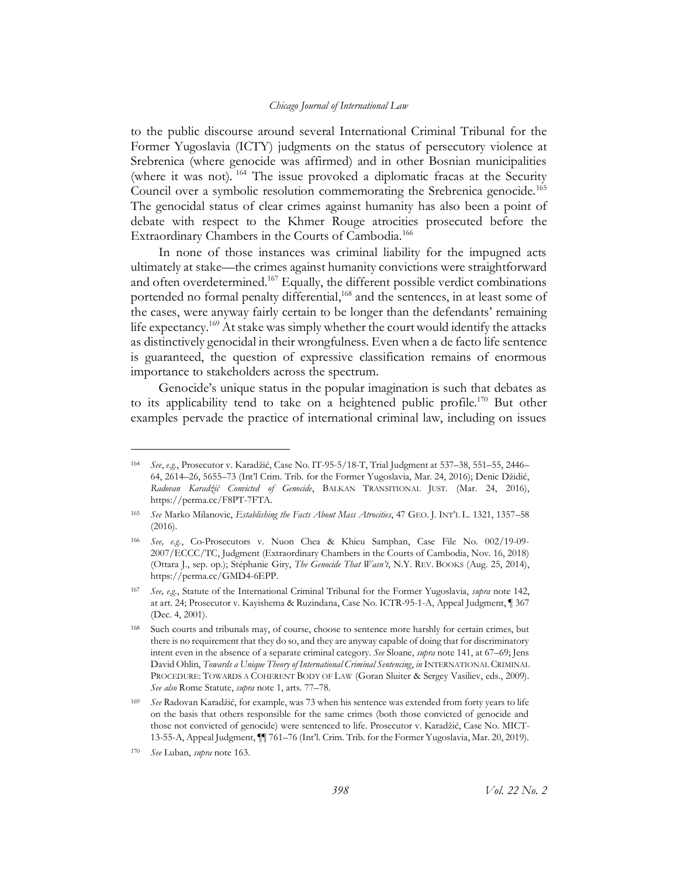to the public discourse around several International Criminal Tribunal for the Former Yugoslavia (ICTY) judgments on the status of persecutory violence at Srebrenica (where genocide was affirmed) and in other Bosnian municipalities (where it was not). <sup>164</sup> The issue provoked a diplomatic fracas at the Security Council over a symbolic resolution commemorating the Srebrenica genocide.<sup>165</sup> The genocidal status of clear crimes against humanity has also been a point of debate with respect to the Khmer Rouge atrocities prosecuted before the Extraordinary Chambers in the Courts of Cambodia.<sup>166</sup>

In none of those instances was criminal liability for the impugned acts ultimately at stake—the crimes against humanity convictions were straightforward and often overdetermined.<sup>167</sup> Equally, the different possible verdict combinations portended no formal penalty differential,<sup>168</sup> and the sentences, in at least some of the cases, were anyway fairly certain to be longer than the defendants' remaining life expectancy.<sup>169</sup> At stake was simply whether the court would identify the attacks as distinctively genocidal in their wrongfulness. Even when a de facto life sentence is guaranteed, the question of expressive classification remains of enormous importance to stakeholders across the spectrum.

Genocide's unique status in the popular imagination is such that debates as to its applicability tend to take on a heightened public profile.<sup>170</sup> But other examples pervade the practice of international criminal law, including on issues

<sup>164</sup> *See*, *e.g.*, Prosecutor v. Karadžić, Case No. IT-95-5/18-T, Trial Judgment at 537–38, 551–55, 2446– 64, 2614–26, 5655–73 (Int'l Crim. Trib. for the Former Yugoslavia, Mar. 24, 2016); Denic Džidić, *Radovan Karadžić Convicted of Genocide*, BALKAN TRANSITIONAL JUST. (Mar. 24, 2016), https://perma.cc/F8PT-7FTA.

<sup>165</sup> *See* Marko Milanovic, *Establishing the Facts About Mass Atrocities*, 47 GEO. J. INT'L L. 1321, 1357–58 (2016).

<sup>166</sup> *See, e.g.*, Co-Prosecutors v. Nuon Chea & Khieu Samphan, Case File No. 002/19-09- 2007/ECCC/TC, Judgment (Extraordinary Chambers in the Courts of Cambodia, Nov. 16, 2018) (Ottara J., sep. op.); Stéphanie Giry, *The Genocide That Wasn't*, N.Y. REV. BOOKS (Aug. 25, 2014), https://perma.cc/GMD4-6EPP.

<sup>167</sup> *See, e.g.*, Statute of the International Criminal Tribunal for the Former Yugoslavia, *supra* not[e 142,](#page-28-0) at art. 24; Prosecutor v. Kayishema & Ruzindana, Case No. ICTR-95-1-A, Appeal Judgment, ¶ 367 (Dec. 4, 2001).

Such courts and tribunals may, of course, choose to sentence more harshly for certain crimes, but there is no requirement that they do so, and they are anyway capable of doing that for discriminatory intent even in the absence of a separate criminal category. *See* Sloane, *supra* note [141,](#page-27-2) at 67–69; Jens David Ohlin, *Towards a Unique Theory of International Criminal Sentencing*, *in* INTERNATIONAL CRIMINAL PROCEDURE: TOWARDS A COHERENT BODY OF LAW (Goran Sluiter & Sergey Vasiliev, eds., 2009). *See also* Rome Statute, *supra* note 1, arts. 77–78.

<sup>169</sup> *See* Radovan Karadžić, for example, was 73 when his sentence was extended from forty years to life on the basis that others responsible for the same crimes (both those convicted of genocide and those not convicted of genocide) were sentenced to life. Prosecutor v. Karadžić, Case No. MICT-13-55-A, Appeal Judgment, ¶¶ 761–76 (Int'l. Crim. Trib. for the Former Yugoslavia, Mar. 20, 2019).

<sup>170</sup> *See* Luban, *supra* not[e 163.](#page-30-2)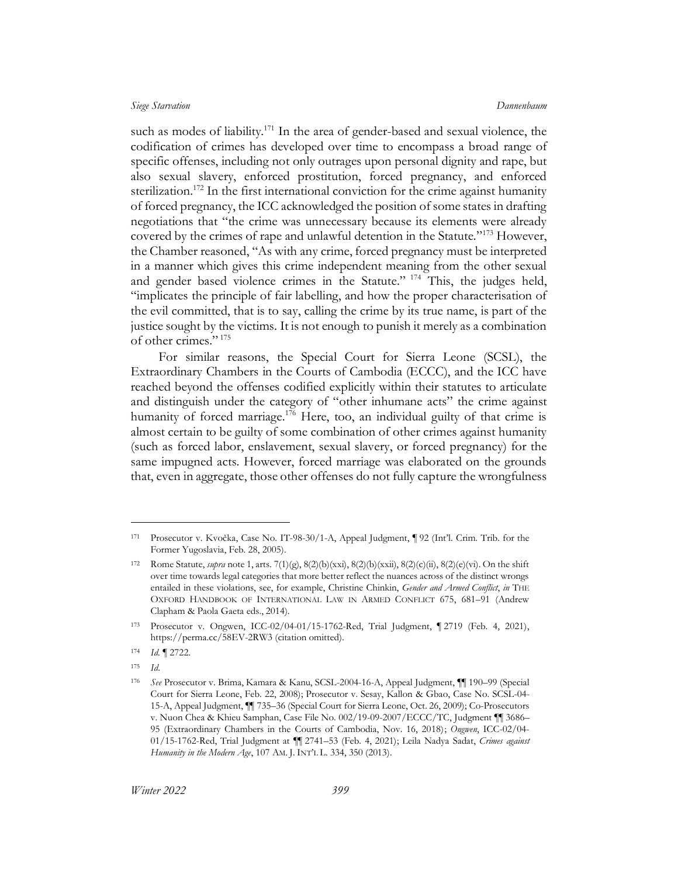such as modes of liability.<sup>171</sup> In the area of gender-based and sexual violence, the codification of crimes has developed over time to encompass a broad range of specific offenses, including not only outrages upon personal dignity and rape, but also sexual slavery, enforced prostitution, forced pregnancy, and enforced sterilization.<sup>172</sup> In the first international conviction for the crime against humanity of forced pregnancy, the ICC acknowledged the position of some states in drafting negotiations that "the crime was unnecessary because its elements were already covered by the crimes of rape and unlawful detention in the Statute."<sup>173</sup> However, the Chamber reasoned, "As with any crime, forced pregnancy must be interpreted in a manner which gives this crime independent meaning from the other sexual and gender based violence crimes in the Statute." <sup>174</sup> This, the judges held, "implicates the principle of fair labelling, and how the proper characterisation of the evil committed, that is to say, calling the crime by its true name, is part of the justice sought by the victims. It is not enough to punish it merely as a combination of other crimes." <sup>175</sup>

<span id="page-32-0"></span>For similar reasons, the Special Court for Sierra Leone (SCSL), the Extraordinary Chambers in the Courts of Cambodia (ECCC), and the ICC have reached beyond the offenses codified explicitly within their statutes to articulate and distinguish under the category of "other inhumane acts" the crime against humanity of forced marriage.<sup>176</sup> Here, too, an individual guilty of that crime is almost certain to be guilty of some combination of other crimes against humanity (such as forced labor, enslavement, sexual slavery, or forced pregnancy) for the same impugned acts. However, forced marriage was elaborated on the grounds that, even in aggregate, those other offenses do not fully capture the wrongfulness

<sup>171</sup> Prosecutor v. Kvočka, Case No. IT-98-30/1-A, Appeal Judgment, ¶ 92 (Int'l. Crim. Trib. for the Former Yugoslavia, Feb. 28, 2005).

<sup>172</sup> Rome Statute, *supra* not[e 1,](#page-3-1) arts. 7(1)(g), 8(2)(b)(xxi), 8(2)(b)(xxii), 8(2)(c)(ii), 8(2)(e)(vi). On the shift over time towards legal categories that more better reflect the nuances across of the distinct wrongs entailed in these violations, see, for example, Christine Chinkin, *Gender and Armed Conflict*, *in* THE OXFORD HANDBOOK OF INTERNATIONAL LAW IN ARMED CONFLICT 675, 681–91 (Andrew Clapham & Paola Gaeta eds., 2014).

<sup>173</sup> Prosecutor v. Ongwen, ICC-02/04-01/15-1762-Red, Trial Judgment, ¶ 2719 (Feb. 4, 2021), https://perma.cc/58EV-2RW3 (citation omitted).

<sup>174</sup> *Id.* ¶ 2722.

<sup>175</sup> *Id*.

<sup>176</sup> *See* Prosecutor v. Brima, Kamara & Kanu, SCSL-2004-16-A, Appeal Judgment, ¶¶ 190–99 (Special Court for Sierra Leone, Feb. 22, 2008); Prosecutor v. Sesay, Kallon & Gbao, Case No. SCSL-04- 15-A, Appeal Judgment, ¶¶ 735–36 (Special Court for Sierra Leone, Oct. 26, 2009); Co-Prosecutors v. Nuon Chea & Khieu Samphan, Case File No. 002/19-09-2007/ECCC/TC, Judgment ¶¶ 3686– 95 (Extraordinary Chambers in the Courts of Cambodia, Nov. 16, 2018); *Ongwen*, ICC-02/04- 01/15-1762-Red, Trial Judgment at ¶¶ 2741–53 (Feb. 4, 2021); Leila Nadya Sadat, *Crimes against Humanity in the Modern Age*, 107 AM. J. INT'L L. 334, 350 (2013).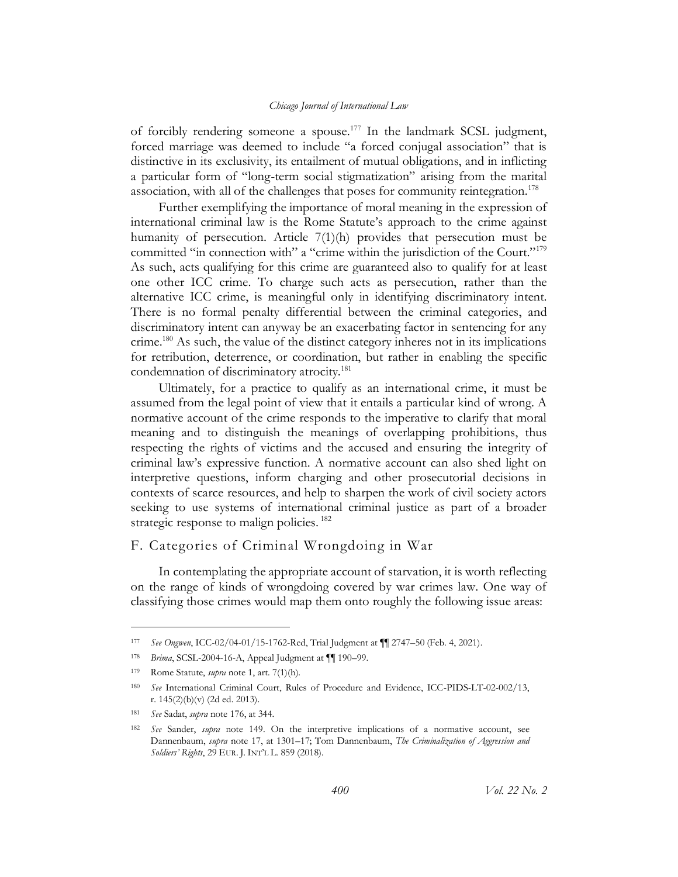of forcibly rendering someone a spouse.<sup>177</sup> In the landmark SCSL judgment, forced marriage was deemed to include "a forced conjugal association" that is distinctive in its exclusivity, its entailment of mutual obligations, and in inflicting a particular form of "long-term social stigmatization" arising from the marital association, with all of the challenges that poses for community reintegration.<sup>178</sup>

Further exemplifying the importance of moral meaning in the expression of international criminal law is the Rome Statute's approach to the crime against humanity of persecution. Article 7(1)(h) provides that persecution must be committed "in connection with" a "crime within the jurisdiction of the Court."<sup>179</sup> As such, acts qualifying for this crime are guaranteed also to qualify for at least one other ICC crime. To charge such acts as persecution, rather than the alternative ICC crime, is meaningful only in identifying discriminatory intent. There is no formal penalty differential between the criminal categories, and discriminatory intent can anyway be an exacerbating factor in sentencing for any crime.<sup>180</sup> As such, the value of the distinct category inheres not in its implications for retribution, deterrence, or coordination, but rather in enabling the specific condemnation of discriminatory atrocity.<sup>181</sup>

Ultimately, for a practice to qualify as an international crime, it must be assumed from the legal point of view that it entails a particular kind of wrong. A normative account of the crime responds to the imperative to clarify that moral meaning and to distinguish the meanings of overlapping prohibitions, thus respecting the rights of victims and the accused and ensuring the integrity of criminal law's expressive function. A normative account can also shed light on interpretive questions, inform charging and other prosecutorial decisions in contexts of scarce resources, and help to sharpen the work of civil society actors seeking to use systems of international criminal justice as part of a broader strategic response to malign policies.<sup>182</sup>

## <span id="page-33-0"></span>F. Categories of Criminal Wrongdoing in War

In contemplating the appropriate account of starvation, it is worth reflecting on the range of kinds of wrongdoing covered by war crimes law. One way of classifying those crimes would map them onto roughly the following issue areas:

<sup>177</sup> *See Ongwen*, ICC-02/04-01/15-1762-Red, Trial Judgment at ¶¶ 2747–50 (Feb. 4, 2021).

<sup>178</sup> *Brima*, SCSL-2004-16-A, Appeal Judgment at ¶¶ 190–99.

<sup>179</sup> Rome Statute, *supra* note [1,](#page-3-1) art. 7(1)(h).

<sup>180</sup> *See* International Criminal Court, Rules of Procedure and Evidence, ICC-PIDS-LT-02-002/13, r. 145(2)(b)(v) (2d ed. 2013).

<sup>181</sup> *See* Sadat, *supra* not[e 176,](#page-32-0) at 344.

<sup>182</sup> *See* Sander, *supra* note [149.](#page-29-1) On the interpretive implications of a normative account, see Dannenbaum, *supra* note [17,](#page-6-1) at 1301–17; Tom Dannenbaum, *The Criminalization of Aggression and Soldiers' Rights*, 29 EUR. J. INT'L L. 859 (2018).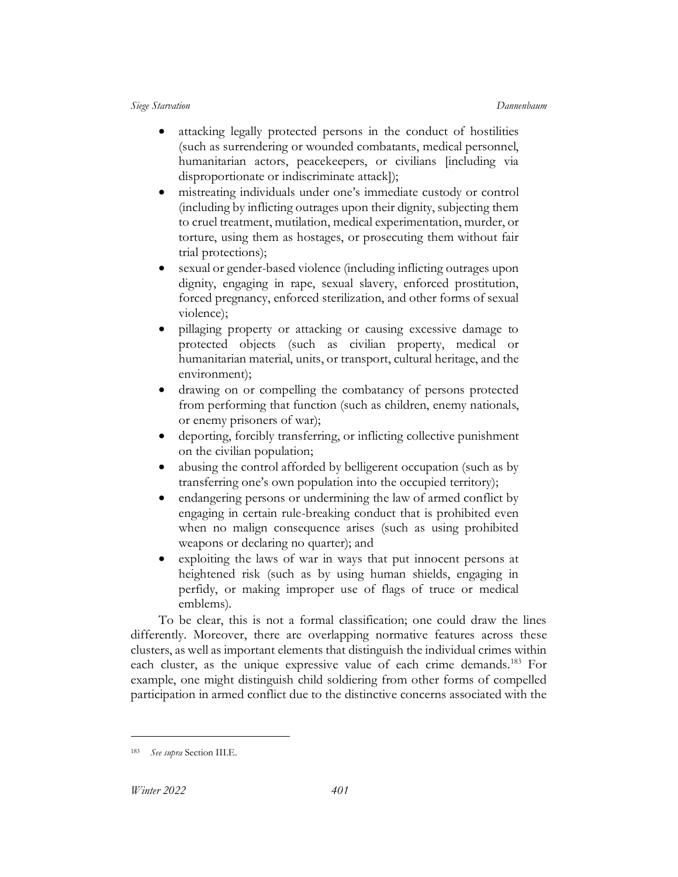- attacking legally protected persons in the conduct of hostilities (such as surrendering or wounded combatants, medical personnel, humanitarian actors, peacekeepers, or civilians [including via disproportionate or indiscriminate attack]);
- mistreating individuals under one's immediate custody or control (including by inflicting outrages upon their dignity, subjecting them to cruel treatment, mutilation, medical experimentation, murder, or torture, using them as hostages, or prosecuting them without fair trial protections);
- sexual or gender-based violence (including inflicting outrages upon dignity, engaging in rape, sexual slavery, enforced prostitution, forced pregnancy, enforced sterilization, and other forms of sexual violence);
- pillaging property or attacking or causing excessive damage to protected objects (such as civilian property, medical or humanitarian material, units, or transport, cultural heritage, and the environment);
- drawing on or compelling the combatancy of persons protected from performing that function (such as children, enemy nationals, or enemy prisoners of war);
- deporting, forcibly transferring, or inflicting collective punishment on the civilian population;
- abusing the control afforded by belligerent occupation (such as by transferring one's own population into the occupied territory);
- endangering persons or undermining the law of armed conflict by engaging in certain rule-breaking conduct that is prohibited even when no malign consequence arises (such as using prohibited weapons or declaring no quarter); and
- exploiting the laws of war in ways that put innocent persons at heightened risk (such as by using human shields, engaging in perfidy, or making improper use of flags of truce or medical emblems).

To be clear, this is not a formal classification; one could draw the lines differently. Moreover, there are overlapping normative features across these clusters, as well as important elements that distinguish the individual crimes within each cluster, as the unique expressive value of each crime demands.<sup>183</sup> For example, one might distinguish child soldiering from other forms of compelled participation in armed conflict due to the distinctive concerns associated with the

<sup>183</sup> *See supra* Section [III.E.](#page-29-0)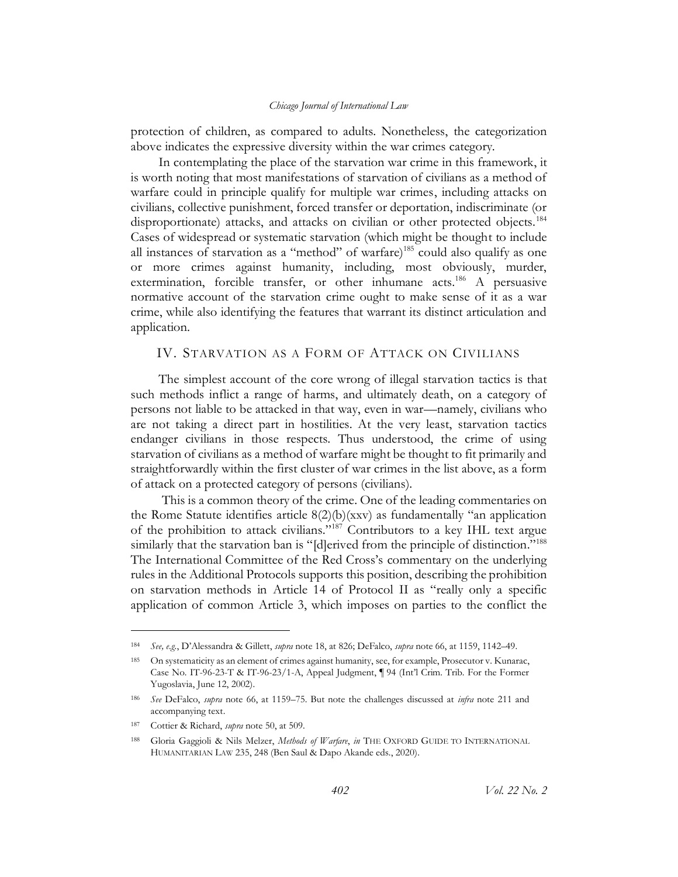protection of children, as compared to adults. Nonetheless, the categorization above indicates the expressive diversity within the war crimes category.

In contemplating the place of the starvation war crime in this framework, it is worth noting that most manifestations of starvation of civilians as a method of warfare could in principle qualify for multiple war crimes, including attacks on civilians, collective punishment, forced transfer or deportation, indiscriminate (or disproportionate) attacks, and attacks on civilian or other protected objects.<sup>184</sup> Cases of widespread or systematic starvation (which might be thought to include all instances of starvation as a "method" of warfare)<sup>185</sup> could also qualify as one or more crimes against humanity, including, most obviously, murder, extermination, forcible transfer, or other inhumane acts.<sup>186</sup> A persuasive normative account of the starvation crime ought to make sense of it as a war crime, while also identifying the features that warrant its distinct articulation and application.

## <span id="page-35-0"></span>IV. STARVATION AS A FORM OF ATTACK ON CIVILIANS

The simplest account of the core wrong of illegal starvation tactics is that such methods inflict a range of harms, and ultimately death, on a category of persons not liable to be attacked in that way, even in war—namely, civilians who are not taking a direct part in hostilities. At the very least, starvation tactics endanger civilians in those respects. Thus understood, the crime of using starvation of civilians as a method of warfare might be thought to fit primarily and straightforwardly within the first cluster of war crimes in the list above, as a form of attack on a protected category of persons (civilians).

This is a common theory of the crime. One of the leading commentaries on the Rome Statute identifies article 8(2)(b)(xxv) as fundamentally "an application of the prohibition to attack civilians."<sup>187</sup> Contributors to a key IHL text argue similarly that the starvation ban is "[d]erived from the principle of distinction."<sup>188</sup> The International Committee of the Red Cross's commentary on the underlying rules in the Additional Protocols supports this position, describing the prohibition on starvation methods in Article 14 of Protocol II as "really only a specific application of common Article 3, which imposes on parties to the conflict the

<sup>184</sup> *See, e.g.*, D'Alessandra & Gillett, *supra* not[e 18,](#page-6-0) at 826; DeFalco, *supra* not[e 66,](#page-14-1) at 1159, 1142–49.

<sup>185</sup> On systematicity as an element of crimes against humanity, see, for example, Prosecutor v. Kunarac, Case No. IT-96-23-T & IT-96-23/1-A, Appeal Judgment, ¶ 94 (Int'l Crim. Trib. For the Former Yugoslavia, June 12, 2002).

<sup>186</sup> *See* DeFalco, *supra* note [66,](#page-14-1) at 1159–75. But note the challenges discussed at *infra* note [211](#page-38-0) and accompanying text.

<sup>187</sup> Cottier & Richard, *supra* not[e 50,](#page-11-0) at 509.

<sup>188</sup> Gloria Gaggioli & Nils Melzer, *Methods of Warfare*, *in* THE OXFORD GUIDE TO INTERNATIONAL HUMANITARIAN LAW 235, 248 (Ben Saul & Dapo Akande eds., 2020).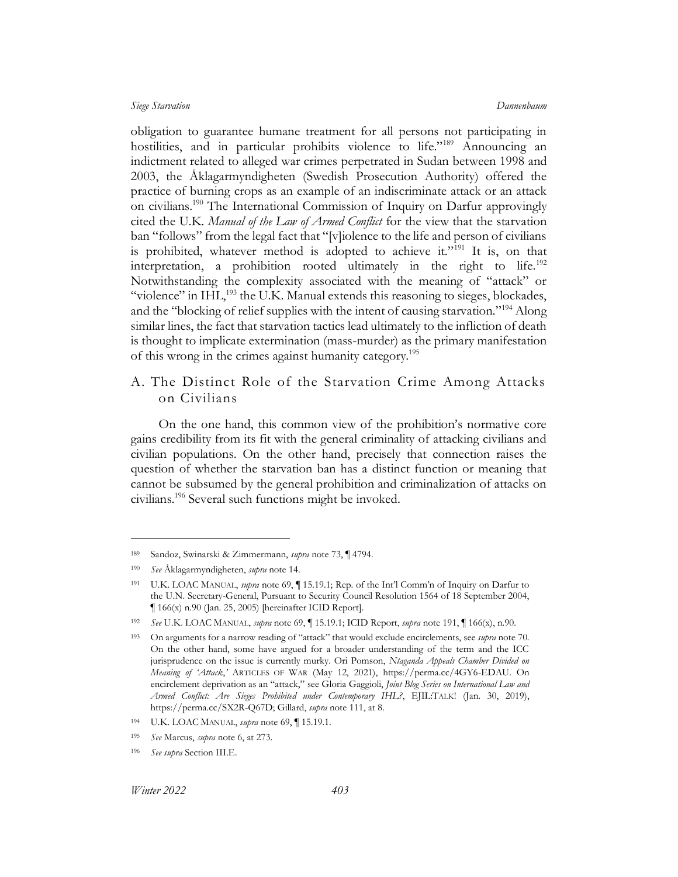<span id="page-36-0"></span>obligation to guarantee humane treatment for all persons not participating in hostilities, and in particular prohibits violence to life."<sup>189</sup> Announcing an indictment related to alleged war crimes perpetrated in Sudan between 1998 and 2003, the Åklagarmyndigheten (Swedish Prosecution Authority) offered the practice of burning crops as an example of an indiscriminate attack or an attack on civilians.<sup>190</sup> The International Commission of Inquiry on Darfur approvingly cited the U.K. *Manual of the Law of Armed Conflict* for the view that the starvation ban "follows" from the legal fact that "[v]iolence to the life and person of civilians is prohibited, whatever method is adopted to achieve it."<sup>191</sup> It is, on that interpretation, a prohibition rooted ultimately in the right to life.<sup>192</sup> Notwithstanding the complexity associated with the meaning of "attack" or "violence" in  $IHL$ ,<sup>193</sup> the U.K. Manual extends this reasoning to sieges, blockades, and the "blocking of relief supplies with the intent of causing starvation."<sup>194</sup> Along similar lines, the fact that starvation tactics lead ultimately to the infliction of death is thought to implicate extermination (mass-murder) as the primary manifestation of this wrong in the crimes against humanity category.<sup>195</sup>

# <span id="page-36-1"></span>A. The Distinct Role of the Starvation Crime Among Attacks on Civilians

On the one hand, this common view of the prohibition's normative core gains credibility from its fit with the general criminality of attacking civilians and civilian populations. On the other hand, precisely that connection raises the question of whether the starvation ban has a distinct function or meaning that cannot be subsumed by the general prohibition and criminalization of attacks on civilians.<sup>196</sup> Several such functions might be invoked.

<sup>189</sup> Sandoz, Swinarski & Zimmermann, *supra* not[e 73,](#page-16-0) ¶ 4794.

<sup>190</sup> *See* Åklagarmyndigheten, *supra* note [14.](#page-5-0)

<sup>191</sup> U.K. LOAC MANUAL, *supra* not[e 69,](#page-15-0) ¶ 15.19.1; Rep. of the Int'l Comm'n of Inquiry on Darfur to the U.N. Secretary-General, Pursuant to Security Council Resolution 1564 of 18 September 2004, ¶ 166(x) n.90 (Jan. 25, 2005) [hereinafter ICID Report].

<sup>192</sup> *See* U.K. LOAC MANUAL, *supra* not[e 69,](#page-15-0) ¶ 15.19.1; ICID Report, *supra* not[e 191,](#page-36-0) ¶ 166(x), n.90.

<sup>193</sup> On arguments for a narrow reading of "attack" that would exclude encirclements, see *supra* note [70.](#page-15-1) On the other hand, some have argued for a broader understanding of the term and the ICC jurisprudence on the issue is currently murky. Ori Pomson, *Ntaganda Appeals Chamber Divided on Meaning of 'Attack*,*'* ARTICLES OF WAR (May 12, 2021), https://perma.cc/4GY6-EDAU. On encirclement deprivation as an "attack," see Gloria Gaggioli, *Joint Blog Series on International Law and Armed Conflict: Are Sieges Prohibited under Contemporary IHL?*, EJIL:TALK! (Jan. 30, 2019), https://perma.cc/SX2R-Q67D; Gillard, *supra* not[e 111,](#page-22-0) at 8.

<sup>194</sup> U.K. LOAC MANUAL, *supra* not[e 69,](#page-15-0) ¶ 15.19.1.

<sup>195</sup> *See* Marcus, *supra* not[e 6,](#page-4-0) at 273.

<sup>196</sup> *See supra* Section [III.E.](#page-29-0)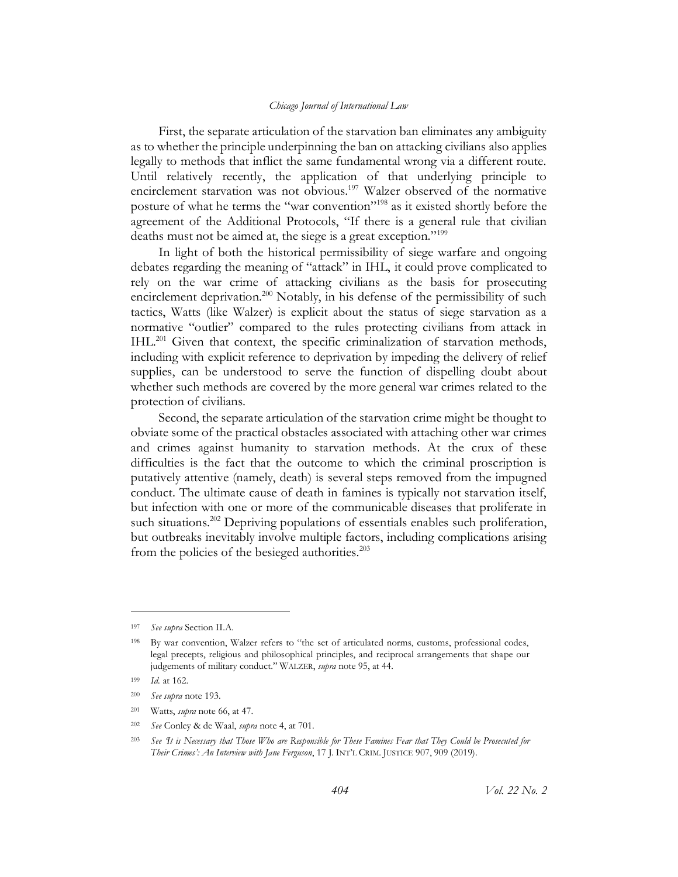First, the separate articulation of the starvation ban eliminates any ambiguity as to whether the principle underpinning the ban on attacking civilians also applies legally to methods that inflict the same fundamental wrong via a different route. Until relatively recently, the application of that underlying principle to encirclement starvation was not obvious.<sup>197</sup> Walzer observed of the normative posture of what he terms the "war convention"<sup>198</sup> as it existed shortly before the agreement of the Additional Protocols, "If there is a general rule that civilian deaths must not be aimed at, the siege is a great exception."<sup>199</sup>

In light of both the historical permissibility of siege warfare and ongoing debates regarding the meaning of "attack" in IHL, it could prove complicated to rely on the war crime of attacking civilians as the basis for prosecuting encirclement deprivation.<sup>200</sup> Notably, in his defense of the permissibility of such tactics, Watts (like Walzer) is explicit about the status of siege starvation as a normative "outlier" compared to the rules protecting civilians from attack in IHL.<sup>201</sup> Given that context, the specific criminalization of starvation methods, including with explicit reference to deprivation by impeding the delivery of relief supplies, can be understood to serve the function of dispelling doubt about whether such methods are covered by the more general war crimes related to the protection of civilians.

<span id="page-37-0"></span>Second, the separate articulation of the starvation crime might be thought to obviate some of the practical obstacles associated with attaching other war crimes and crimes against humanity to starvation methods. At the crux of these difficulties is the fact that the outcome to which the criminal proscription is putatively attentive (namely, death) is several steps removed from the impugned conduct. The ultimate cause of death in famines is typically not starvation itself, but infection with one or more of the communicable diseases that proliferate in such situations.<sup>202</sup> Depriving populations of essentials enables such proliferation, but outbreaks inevitably involve multiple factors, including complications arising from the policies of the besieged authorities. $203$ 

<sup>197</sup> *See supra* Section [II.A.](#page-9-0)

<sup>198</sup> By war convention, Walzer refers to "the set of articulated norms, customs, professional codes, legal precepts, religious and philosophical principles, and reciprocal arrangements that shape our judgements of military conduct." WALZER, *supra* not[e 95,](#page-20-0) at 44.

<sup>199</sup> *Id.* at 162.

<sup>200</sup> *See supra* not[e 193.](#page-36-1)

<sup>201</sup> Watts, *supra* note [66,](#page-14-0) at 47.

<sup>202</sup> *See* Conley & de Waal, *supra* not[e 4,](#page-3-0) at 701.

<sup>203</sup> *See 'It is Necessary that Those Who are Responsible for These Famines Fear that They Could be Prosecuted for Their Crimes': An Interview with Jane Ferguson*, 17 J. INT'L CRIM. JUSTICE 907, 909 (2019).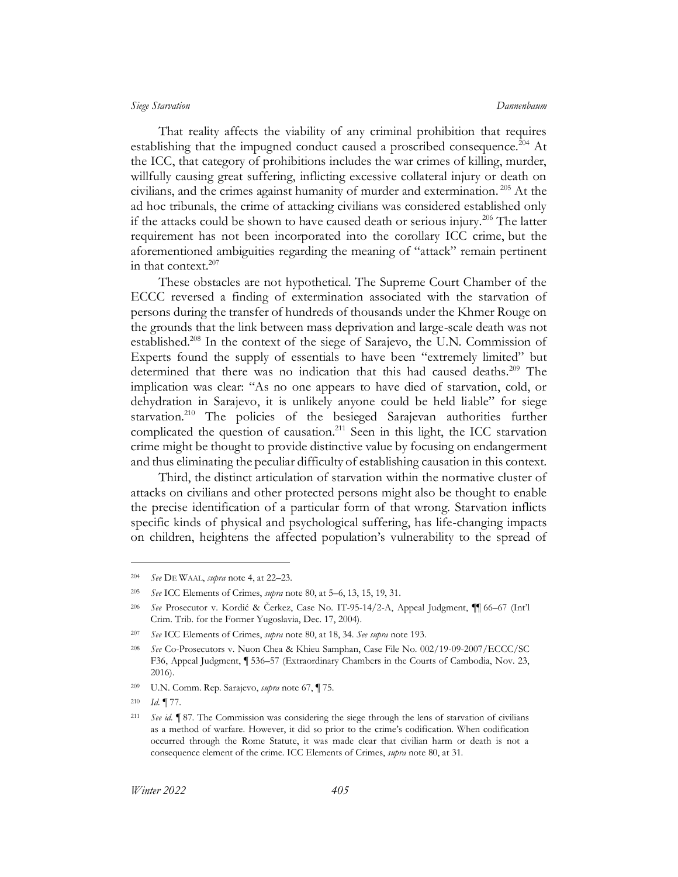That reality affects the viability of any criminal prohibition that requires establishing that the impugned conduct caused a proscribed consequence.<sup>204</sup> At the ICC, that category of prohibitions includes the war crimes of killing, murder, willfully causing great suffering, inflicting excessive collateral injury or death on civilians, and the crimes against humanity of murder and extermination. <sup>205</sup> At the ad hoc tribunals, the crime of attacking civilians was considered established only if the attacks could be shown to have caused death or serious injury.<sup>206</sup> The latter requirement has not been incorporated into the corollary ICC crime, but the aforementioned ambiguities regarding the meaning of "attack" remain pertinent in that context. $207$ 

<span id="page-38-1"></span>These obstacles are not hypothetical. The Supreme Court Chamber of the ECCC reversed a finding of extermination associated with the starvation of persons during the transfer of hundreds of thousands under the Khmer Rouge on the grounds that the link between mass deprivation and large-scale death was not established.<sup>208</sup> In the context of the siege of Sarajevo, the U.N. Commission of Experts found the supply of essentials to have been "extremely limited" but determined that there was no indication that this had caused deaths.<sup>209</sup> The implication was clear: "As no one appears to have died of starvation, cold, or dehydration in Sarajevo, it is unlikely anyone could be held liable" for siege starvation.<sup>210</sup> The policies of the besieged Sarajevan authorities further complicated the question of causation.<sup>211</sup> Seen in this light, the ICC starvation crime might be thought to provide distinctive value by focusing on endangerment and thus eliminating the peculiar difficulty of establishing causation in this context.

<span id="page-38-0"></span>Third, the distinct articulation of starvation within the normative cluster of attacks on civilians and other protected persons might also be thought to enable the precise identification of a particular form of that wrong. Starvation inflicts specific kinds of physical and psychological suffering, has life-changing impacts on children, heightens the affected population's vulnerability to the spread of

<sup>204</sup> *See* DE WAAL, *supra* not[e 4,](#page-3-0) at 22–23.

<sup>205</sup> *See* ICC Elements of Crimes, *supra* not[e 80,](#page-17-0) at 5–6, 13, 15, 19, 31.

<sup>206</sup> *See* Prosecutor v. Kordić & Čerkez, Case No. IT-95-14/2-A, Appeal Judgment, ¶¶ 66–67 (Int'l Crim. Trib. for the Former Yugoslavia, Dec. 17, 2004).

<sup>207</sup> *See* ICC Elements of Crimes, *supra* not[e 80,](#page-17-0) at 18, 34. *See supra* not[e 193.](#page-36-1)

<sup>208</sup> *See* Co-Prosecutors v. Nuon Chea & Khieu Samphan, Case File No. 002/19-09-2007/ECCC/SC F36, Appeal Judgment, ¶ 536–57 (Extraordinary Chambers in the Courts of Cambodia, Nov. 23, 2016).

<sup>209</sup> U.N. Comm. Rep. Sarajevo, *supra* not[e 67,](#page-15-2) ¶ 75.

<sup>210</sup> *Id.* ¶ 77.

<sup>211</sup> *See id.* ¶ 87. The Commission was considering the siege through the lens of starvation of civilians as a method of warfare. However, it did so prior to the crime's codification. When codification occurred through the Rome Statute, it was made clear that civilian harm or death is not a consequence element of the crime. ICC Elements of Crimes, *supra* not[e 80,](#page-17-0) at 31.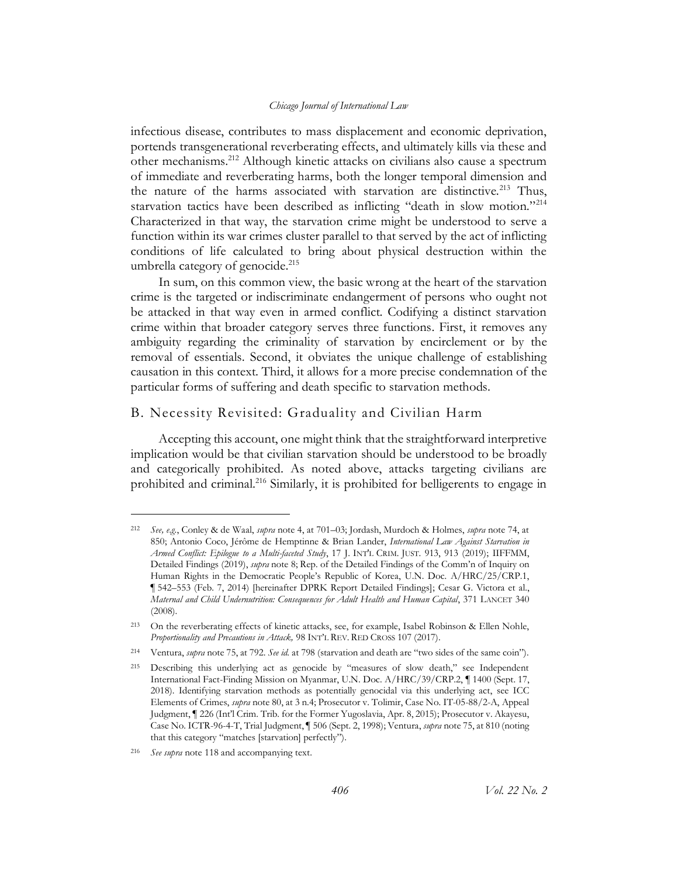<span id="page-39-1"></span><span id="page-39-0"></span>infectious disease, contributes to mass displacement and economic deprivation, portends transgenerational reverberating effects, and ultimately kills via these and other mechanisms.<sup>212</sup> Although kinetic attacks on civilians also cause a spectrum of immediate and reverberating harms, both the longer temporal dimension and the nature of the harms associated with starvation are distinctive.<sup>213</sup> Thus, starvation tactics have been described as inflicting "death in slow motion."<sup>214</sup> Characterized in that way, the starvation crime might be understood to serve a function within its war crimes cluster parallel to that served by the act of inflicting conditions of life calculated to bring about physical destruction within the umbrella category of genocide.<sup>215</sup>

In sum, on this common view, the basic wrong at the heart of the starvation crime is the targeted or indiscriminate endangerment of persons who ought not be attacked in that way even in armed conflict. Codifying a distinct starvation crime within that broader category serves three functions. First, it removes any ambiguity regarding the criminality of starvation by encirclement or by the removal of essentials. Second, it obviates the unique challenge of establishing causation in this context. Third, it allows for a more precise condemnation of the particular forms of suffering and death specific to starvation methods.

## <span id="page-39-2"></span>B. Necessity Revisited: Graduality and Civilian Harm

Accepting this account, one might think that the straightforward interpretive implication would be that civilian starvation should be understood to be broadly and categorically prohibited. As noted above, attacks targeting civilians are prohibited and criminal.<sup>216</sup> Similarly, it is prohibited for belligerents to engage in

<sup>212</sup> *See, e.g.*, Conley & de Waal, *supra* note [4,](#page-3-0) at 701–03; Jordash, Murdoch & Holmes, *supra* note [74,](#page-16-1) at 850; Antonio Coco, Jérôme de Hemptinne & Brian Lander, *International Law Against Starvation in Armed Conflict: Epilogue to a Multi-faceted Study*, 17 J. INT'L CRIM. JUST. 913, 913 (2019); IIFFMM, Detailed Findings (2019), *supra* not[e 8;](#page-4-1) Rep. of the Detailed Findings of the Comm'n of Inquiry on Human Rights in the Democratic People's Republic of Korea, U.N. Doc. A/HRC/25/CRP.1, ¶ 542–553 (Feb. 7, 2014) [hereinafter DPRK Report Detailed Findings]; Cesar G. Victora et al., *Maternal and Child Undernutrition: Consequences for Adult Health and Human Capital*, 371 LANCET 340 (2008).

<sup>213</sup> On the reverberating effects of kinetic attacks, see, for example, Isabel Robinson & Ellen Nohle, *Proportionality and Precautions in Attack,* 98 INT'L REV. RED CROSS 107 (2017).

<sup>214</sup> Ventura, *supra* not[e 75,](#page-16-2) at 792. *See id.* at 798 (starvation and death are "two sides of the same coin").

<sup>215</sup> Describing this underlying act as genocide by "measures of slow death," see Independent International Fact-Finding Mission on Myanmar, U.N. Doc. A/HRC/39/CRP.2, ¶ 1400 (Sept. 17, 2018). Identifying starvation methods as potentially genocidal via this underlying act, see ICC Elements of Crimes, *supra* not[e 80,](#page-17-0) at 3 n.4; Prosecutor v. Tolimir, Case No. IT-05-88/2-A, Appeal Judgment, ¶ 226 (Int'l Crim. Trib. for the Former Yugoslavia, Apr. 8, 2015); Prosecutor v. Akayesu, Case No. ICTR-96-4-T, Trial Judgment, ¶ 506 (Sept. 2, 1998); Ventura, *supra* not[e 75,](#page-16-2) at 810 (noting that this category "matches [starvation] perfectly").

<sup>216</sup> *See supra* not[e 118](#page-24-0) and accompanying text.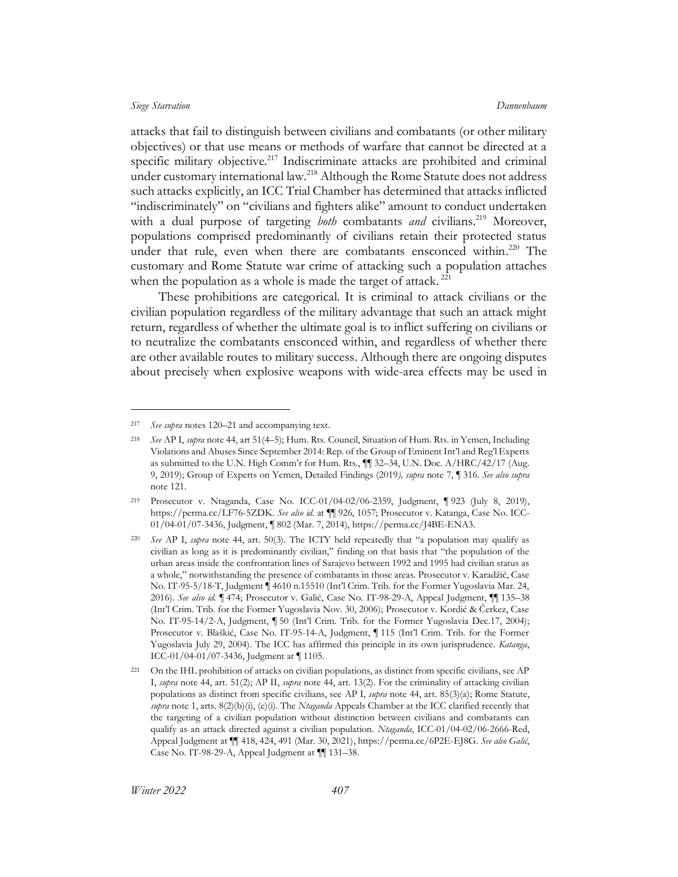attacks that fail to distinguish between civilians and combatants (or other military objectives) or that use means or methods of warfare that cannot be directed at a specific military objective.<sup>217</sup> Indiscriminate attacks are prohibited and criminal under customary international law.<sup>218</sup> Although the Rome Statute does not address such attacks explicitly, an ICC Trial Chamber has determined that attacks inflicted "indiscriminately" on "civilians and fighters alike" amount to conduct undertaken with a dual purpose of targeting *both* combatants *and* civilians.<sup>219</sup> Moreover, populations comprised predominantly of civilians retain their protected status under that rule, even when there are combatants ensconced within.<sup>220</sup> The customary and Rome Statute war crime of attacking such a population attaches when the population as a whole is made the target of attack.<sup>221</sup>

These prohibitions are categorical. It is criminal to attack civilians or the civilian population regardless of the military advantage that such an attack might return, regardless of whether the ultimate goal is to inflict suffering on civilians or to neutralize the combatants ensconced within, and regardless of whether there are other available routes to military success. Although there are ongoing disputes about precisely when explosive weapons with wide-area effects may be used in

<sup>217</sup> *See supra* notes [120](#page-24-1)–21 and accompanying text.

<sup>218</sup> *See* AP I, *supra* not[e 44,](#page-10-0) art 51(4–5); Hum. Rts. Council, Situation of Hum. Rts. in Yemen, Including Violations and Abuses Since September 2014: Rep. of the Group of Eminent Int'l and Reg'l Experts as submitted to the U.N. High Comm'r for Hum. Rts., ¶¶ 32–34, U.N. Doc. A/HRC/42/17 (Aug. 9, 2019); Group of Experts on Yemen, Detailed Findings (2019*), supra* note [7,](#page-4-2) ¶ 316. *See also supra* note [121.](#page-24-2) 

<sup>219</sup> Prosecutor v. Ntaganda, Case No. ICC-01/04-02/06-2359, Judgment, ¶ 923 (July 8, 2019), https://perma.cc/LF76-5ZDK. *See also id.* at ¶¶ 926, 1057; Prosecutor v. Katanga, Case No. ICC-01/04-01/07-3436, Judgment, ¶ 802 (Mar. 7, 2014), https://perma.cc/J4BE-ENA3.

<sup>220</sup> *See* AP I, *supra* note [44,](#page-10-0) art. 50(3). The ICTY held repeatedly that "a population may qualify as civilian as long as it is predominantly civilian," finding on that basis that "the population of the urban areas inside the confrontation lines of Sarajevo between 1992 and 1995 had civilian status as a whole," notwithstanding the presence of combatants in those areas. Prosecutor v. Karadžić, Case No. IT-95-5/18-T, Judgment ¶ 4610 n.15510 (Int'l Crim. Trib. for the Former Yugoslavia Mar. 24, 2016). *See also id.* ¶ 474; Prosecutor v. Galić, Case No. IT-98-29-A, Appeal Judgment, ¶¶ 135–38 (Int'l Crim. Trib. for the Former Yugoslavia Nov. 30, 2006); Prosecutor v. Kordić & Čerkez, Case No. IT-95-14/2-A, Judgment, ¶ 50 (Int'l Crim. Trib. for the Former Yugoslavia Dec.17, 2004); Prosecutor v. Blaškić, Case No. IT-95-14-A, Judgment, ¶ 115 (Int'l Crim. Trib. for the Former Yugoslavia July 29, 2004). The ICC has affirmed this principle in its own jurisprudence. *Katanga*, ICC-01/04-01/07-3436, Judgment at ¶ 1105.

<sup>221</sup> On the IHL prohibition of attacks on civilian populations, as distinct from specific civilians, see AP I, *supra* note [44,](#page-10-0) art. 51(2); AP II, *supra* note [44,](#page-10-0) art. 13(2). For the criminality of attacking civilian populations as distinct from specific civilians, see AP I, *supra* note [44,](#page-10-0) art. 85(3)(a); Rome Statute, *supra* not[e 1,](#page-3-1) arts. 8(2)(b)(i), (e)(i). The *Ntaganda* Appeals Chamber at the ICC clarified recently that the targeting of a civilian population without distinction between civilians and combatants can qualify as an attack directed against a civilian population. *Ntaganda*, ICC-01/04-02/06-2666-Red, Appeal Judgment at ¶¶ 418, 424, 491 (Mar. 30, 2021), https://perma.cc/6P2E-EJ8G. *See also Galić*, Case No. IT-98-29-A, Appeal Judgment at ¶¶ 131–38.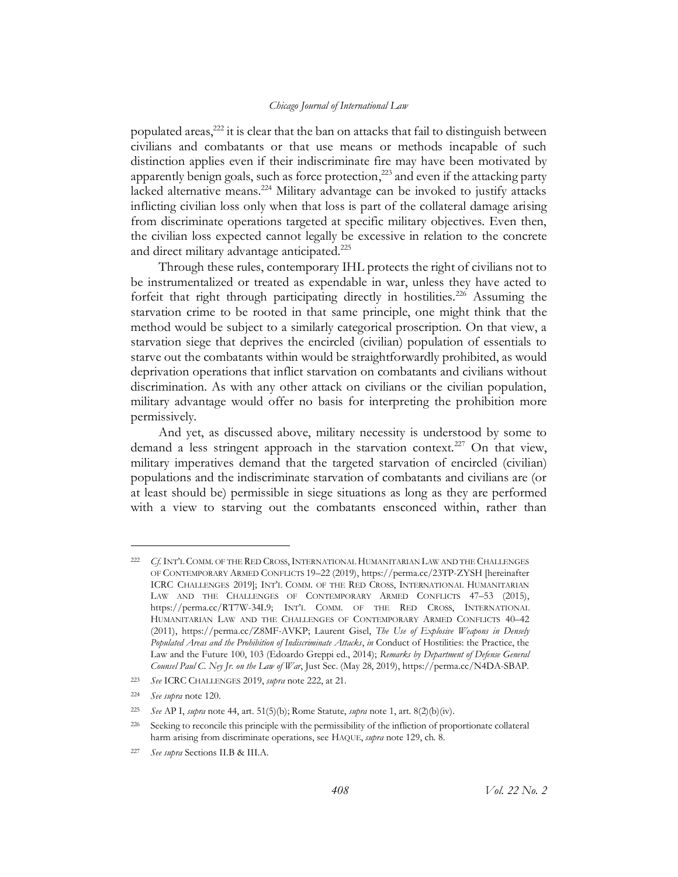<span id="page-41-0"></span>populated areas,<sup>222</sup> it is clear that the ban on attacks that fail to distinguish between civilians and combatants or that use means or methods incapable of such distinction applies even if their indiscriminate fire may have been motivated by apparently benign goals, such as force protection,<sup>223</sup> and even if the attacking party lacked alternative means.<sup>224</sup> Military advantage can be invoked to justify attacks inflicting civilian loss only when that loss is part of the collateral damage arising from discriminate operations targeted at specific military objectives. Even then, the civilian loss expected cannot legally be excessive in relation to the concrete and direct military advantage anticipated.<sup>225</sup>

Through these rules, contemporary IHL protects the right of civilians not to be instrumentalized or treated as expendable in war, unless they have acted to forfeit that right through participating directly in hostilities.<sup>226</sup> Assuming the starvation crime to be rooted in that same principle, one might think that the method would be subject to a similarly categorical proscription. On that view, a starvation siege that deprives the encircled (civilian) population of essentials to starve out the combatants within would be straightforwardly prohibited, as would deprivation operations that inflict starvation on combatants and civilians without discrimination. As with any other attack on civilians or the civilian population, military advantage would offer no basis for interpreting the prohibition more permissively.

And yet, as discussed above, military necessity is understood by some to demand a less stringent approach in the starvation context.<sup>227</sup> On that view, military imperatives demand that the targeted starvation of encircled (civilian) populations and the indiscriminate starvation of combatants and civilians are (or at least should be) permissible in siege situations as long as they are performed with a view to starving out the combatants ensconced within, rather than

<sup>222</sup> *Cf.* INT'L COMM. OF THE RED CROSS,INTERNATIONAL HUMANITARIAN LAW AND THE CHALLENGES OF CONTEMPORARY ARMED CONFLICTS 19–22 (2019), https://perma.cc/23TP-ZYSH [hereinafter ICRC CHALLENGES 2019]; INT'L COMM. OF THE RED CROSS, INTERNATIONAL HUMANITARIAN LAW AND THE CHALLENGES OF CONTEMPORARY ARMED CONFLICTS 47–53 (2015), https://perma.cc/RT7W-34L9; INT'L COMM. OF THE RED CROSS, INTERNATIONAL HUMANITARIAN LAW AND THE CHALLENGES OF CONTEMPORARY ARMED CONFLICTS 40–42 (2011), https://perma.cc/Z8MF-AVKP; Laurent Gisel, *The Use of Explosive Weapons in Densely Populated Areas and the Prohibition of Indiscriminate Attacks*, *in* Conduct of Hostilities: the Practice, the Law and the Future 100, 103 (Edoardo Greppi ed., 2014); *Remarks by Department of Defense General Counsel Paul C. Ney Jr. on the Law of War*, Just Sec. (May 28, 2019), https://perma.cc/N4DA-SBAP.

<sup>223</sup> *See* ICRC CHALLENGES 2019, *supra* not[e 222,](#page-41-0) at 21.

<sup>224</sup> *See supra* not[e 120.](#page-24-1)

<sup>225</sup> *See* AP I, *supra* not[e 44,](#page-10-0) art. 51(5)(b); Rome Statute, *supra* not[e 1,](#page-3-1) art. 8(2)(b)(iv).

<sup>226</sup> Seeking to reconcile this principle with the permissibility of the infliction of proportionate collateral harm arising from discriminate operations, see HAQUE, *supra* not[e 129,](#page-25-0) ch. 8.

<sup>227</sup> *See supra* Sections [II.B](#page-14-1) & [III.A.](#page-19-0)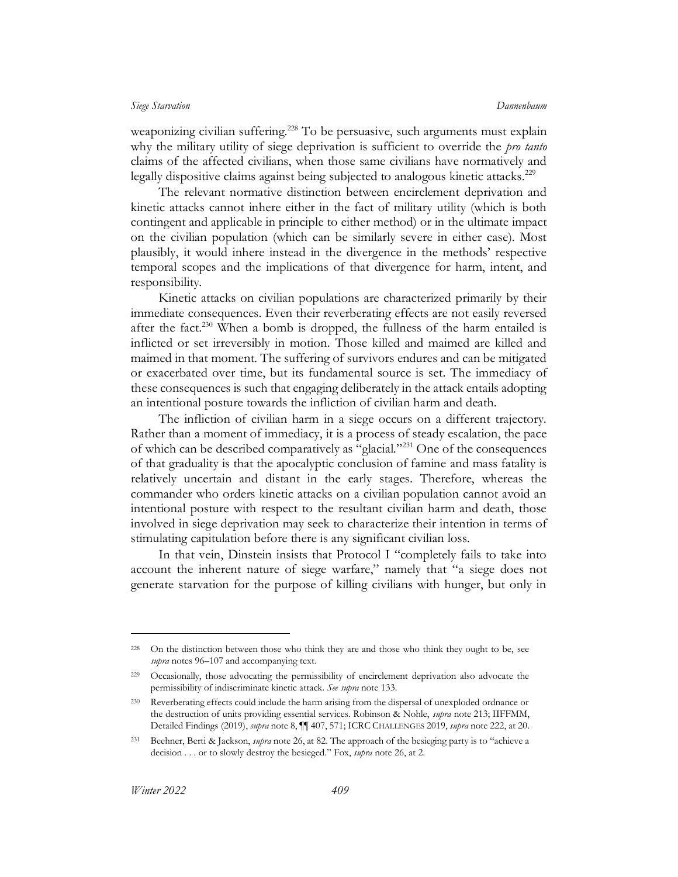weaponizing civilian suffering.<sup>228</sup> To be persuasive, such arguments must explain why the military utility of siege deprivation is sufficient to override the *pro tanto* claims of the affected civilians, when those same civilians have normatively and legally dispositive claims against being subjected to analogous kinetic attacks.<sup>229</sup>

The relevant normative distinction between encirclement deprivation and kinetic attacks cannot inhere either in the fact of military utility (which is both contingent and applicable in principle to either method) or in the ultimate impact on the civilian population (which can be similarly severe in either case). Most plausibly, it would inhere instead in the divergence in the methods' respective temporal scopes and the implications of that divergence for harm, intent, and responsibility.

Kinetic attacks on civilian populations are characterized primarily by their immediate consequences. Even their reverberating effects are not easily reversed after the fact.<sup>230</sup> When a bomb is dropped, the fullness of the harm entailed is inflicted or set irreversibly in motion. Those killed and maimed are killed and maimed in that moment. The suffering of survivors endures and can be mitigated or exacerbated over time, but its fundamental source is set. The immediacy of these consequences is such that engaging deliberately in the attack entails adopting an intentional posture towards the infliction of civilian harm and death.

The infliction of civilian harm in a siege occurs on a different trajectory. Rather than a moment of immediacy, it is a process of steady escalation, the pace of which can be described comparatively as "glacial."<sup>231</sup> One of the consequences of that graduality is that the apocalyptic conclusion of famine and mass fatality is relatively uncertain and distant in the early stages. Therefore, whereas the commander who orders kinetic attacks on a civilian population cannot avoid an intentional posture with respect to the resultant civilian harm and death, those involved in siege deprivation may seek to characterize their intention in terms of stimulating capitulation before there is any significant civilian loss.

In that vein, Dinstein insists that Protocol I "completely fails to take into account the inherent nature of siege warfare," namely that "a siege does not generate starvation for the purpose of killing civilians with hunger, but only in

<sup>&</sup>lt;sup>228</sup> On the distinction between those who think they are and those who think they ought to be, see *supra* notes [96](#page-20-1)–[107](#page-22-1) and accompanying text.

<sup>229</sup> Occasionally, those advocating the permissibility of encirclement deprivation also advocate the permissibility of indiscriminate kinetic attack. *See supra* note [133.](#page-26-0)

<sup>230</sup> Reverberating effects could include the harm arising from the dispersal of unexploded ordnance or the destruction of units providing essential services. Robinson & Nohle, *supra* not[e 213;](#page-39-0) IIFFMM, Detailed Findings (2019), *supra* not[e 8,](#page-4-1) ¶¶ 407, 571; ICRC CHALLENGES 2019, *supra* not[e 222,](#page-41-0) at 20.

<sup>231</sup> Beehner, Berti & Jackson, *supra* not[e 26](#page-7-0), at 82. The approach of the besieging party is to "achieve a decision . . . or to slowly destroy the besieged." Fox, *supra* note [26,](#page-7-0) at 2.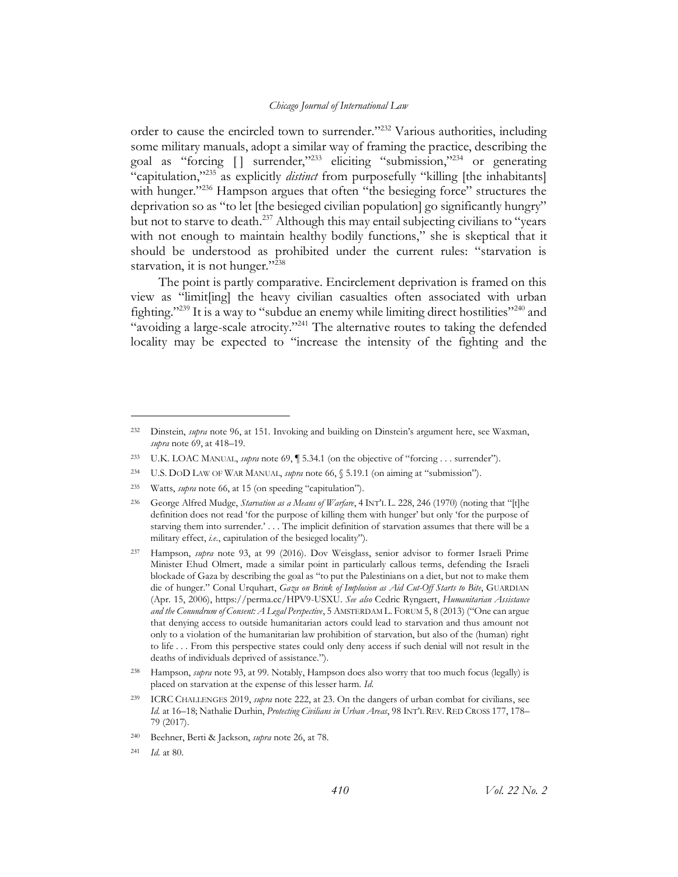<span id="page-43-0"></span>order to cause the encircled town to surrender."<sup>232</sup> Various authorities, including some military manuals, adopt a similar way of framing the practice, describing the goal as "forcing  $\lceil \rceil$  surrender,"<sup>233</sup> eliciting "submission,"<sup>234</sup> or generating "capitulation,"<sup>235</sup> as explicitly *distinct* from purposefully "killing [the inhabitants] with hunger.<sup>"236</sup> Hampson argues that often "the besieging force" structures the deprivation so as "to let [the besieged civilian population] go significantly hungry" but not to starve to death.<sup>237</sup> Although this may entail subjecting civilians to "years" with not enough to maintain healthy bodily functions," she is skeptical that it should be understood as prohibited under the current rules: "starvation is starvation, it is not hunger."<sup>238</sup>

The point is partly comparative. Encirclement deprivation is framed on this view as "limit[ing] the heavy civilian casualties often associated with urban fighting."<sup>239</sup> It is a way to "subdue an enemy while limiting direct hostilities"<sup>240</sup> and "avoiding a large-scale atrocity."<sup>241</sup> The alternative routes to taking the defended locality may be expected to "increase the intensity of the fighting and the

<sup>232</sup> Dinstein, *supra* note [96,](#page-20-1) at 151. Invoking and building on Dinstein's argument here, see Waxman, *supra* not[e 69,](#page-15-0) at 418–19.

<sup>233</sup> U.K. LOAC MANUAL, *supra* not[e 69,](#page-15-0) ¶ 5.34.1 (on the objective of "forcing . . . surrender").

<sup>234</sup> U.S. DOD LAW OF WAR MANUAL, *supra* not[e 66,](#page-14-0) § 5.19.1 (on aiming at "submission").

<sup>235</sup> Watts, *supra* note [66](#page-14-0), at 15 (on speeding "capitulation").

<sup>236</sup> George Alfred Mudge, *Starvation as a Means of Warfare*, 4 INT'L L. 228, 246 (1970) (noting that "[t]he definition does not read 'for the purpose of killing them with hunger' but only 'for the purpose of starving them into surrender.' . . . The implicit definition of starvation assumes that there will be a military effect, *i.e.*, capitulation of the besieged locality").

<sup>237</sup> Hampson, *supra* note [93,](#page-20-2) at 99 (2016). Dov Weisglass, senior advisor to former Israeli Prime Minister Ehud Olmert, made a similar point in particularly callous terms, defending the Israeli blockade of Gaza by describing the goal as "to put the Palestinians on a diet, but not to make them die of hunger." Conal Urquhart, *Gaza on Brink of Implosion as Aid Cut-Off Starts to Bite*, GUARDIAN (Apr. 15, 2006), https://perma.cc/HPV9-USXU. *See also* Cedric Ryngaert, *Humanitarian Assistance and the Conundrum of Consent: A Legal Perspective*, 5 AMSTERDAM L. FORUM 5, 8 (2013) ("One can argue that denying access to outside humanitarian actors could lead to starvation and thus amount not only to a violation of the humanitarian law prohibition of starvation, but also of the (human) right to life . . . From this perspective states could only deny access if such denial will not result in the deaths of individuals deprived of assistance.").

<sup>238</sup> Hampson, *supra* note [93,](#page-20-2) at 99. Notably, Hampson does also worry that too much focus (legally) is placed on starvation at the expense of this lesser harm. *Id*.

<sup>239</sup> ICRC CHALLENGES 2019, *supra* note [222,](#page-41-0) at 23. On the dangers of urban combat for civilians, see *Id.* at 16–18; Nathalie Durhin, *Protecting Civilians in Urban Areas*, 98 INT'L REV. RED CROSS 177, 178– 79 (2017).

<sup>240</sup> Beehner, Berti & Jackson, *supra* note [26,](#page-7-0) at 78.

<sup>241</sup> *Id.* at 80.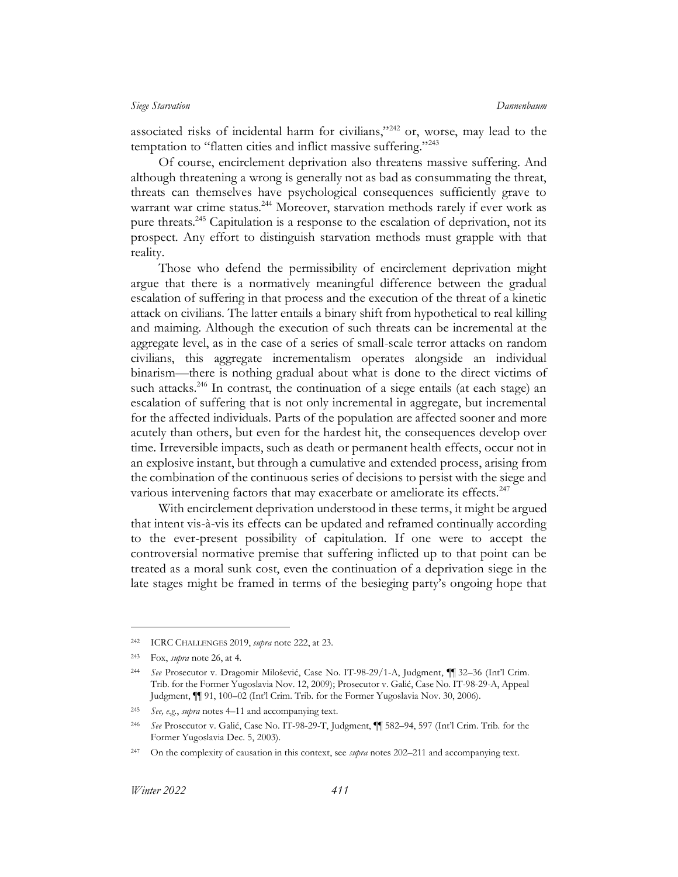associated risks of incidental harm for civilians,"<sup>242</sup> or, worse, may lead to the temptation to "flatten cities and inflict massive suffering."<sup>243</sup>

<span id="page-44-0"></span>Of course, encirclement deprivation also threatens massive suffering. And although threatening a wrong is generally not as bad as consummating the threat, threats can themselves have psychological consequences sufficiently grave to warrant war crime status.<sup>244</sup> Moreover, starvation methods rarely if ever work as pure threats.<sup>245</sup> Capitulation is a response to the escalation of deprivation, not its prospect. Any effort to distinguish starvation methods must grapple with that reality.

Those who defend the permissibility of encirclement deprivation might argue that there is a normatively meaningful difference between the gradual escalation of suffering in that process and the execution of the threat of a kinetic attack on civilians. The latter entails a binary shift from hypothetical to real killing and maiming. Although the execution of such threats can be incremental at the aggregate level, as in the case of a series of small-scale terror attacks on random civilians, this aggregate incrementalism operates alongside an individual binarism—there is nothing gradual about what is done to the direct victims of such attacks.<sup>246</sup> In contrast, the continuation of a siege entails (at each stage) an escalation of suffering that is not only incremental in aggregate, but incremental for the affected individuals. Parts of the population are affected sooner and more acutely than others, but even for the hardest hit, the consequences develop over time. Irreversible impacts, such as death or permanent health effects, occur not in an explosive instant, but through a cumulative and extended process, arising from the combination of the continuous series of decisions to persist with the siege and various intervening factors that may exacerbate or ameliorate its effects.<sup>247</sup>

With encirclement deprivation understood in these terms, it might be argued that intent vis-à-vis its effects can be updated and reframed continually according to the ever-present possibility of capitulation. If one were to accept the controversial normative premise that suffering inflicted up to that point can be treated as a moral sunk cost, even the continuation of a deprivation siege in the late stages might be framed in terms of the besieging party's ongoing hope that

<sup>242</sup> ICRC CHALLENGES 2019, *supra* not[e 222,](#page-41-0) at 23.

<sup>243</sup> Fox, *supra* not[e 26,](#page-7-0) at 4.

<sup>244</sup> *See* Prosecutor v. Dragomir Milošević, Case No. IT-98-29/1-A, Judgment, ¶¶ 32–36 (Int'l Crim. Trib. for the Former Yugoslavia Nov. 12, 2009); Prosecutor v. Galić, Case No. IT-98-29-A, Appeal Judgment, ¶¶ 91, 100–02 (Int'l Crim. Trib. for the Former Yugoslavia Nov. 30, 2006).

<sup>245</sup> *See, e.g.*, *supra* note[s 4](#page-3-0)–[11](#page-5-1) and accompanying text.

<sup>246</sup> *See* Prosecutor v. Galić, Case No. IT-98-29-T, Judgment, ¶¶ 582–94, 597 (Int'l Crim. Trib. for the Former Yugoslavia Dec. 5, 2003).

<sup>247</sup> On the complexity of causation in this context, see *supra* note[s 202](#page-37-0)–[211](#page-38-0) and accompanying text.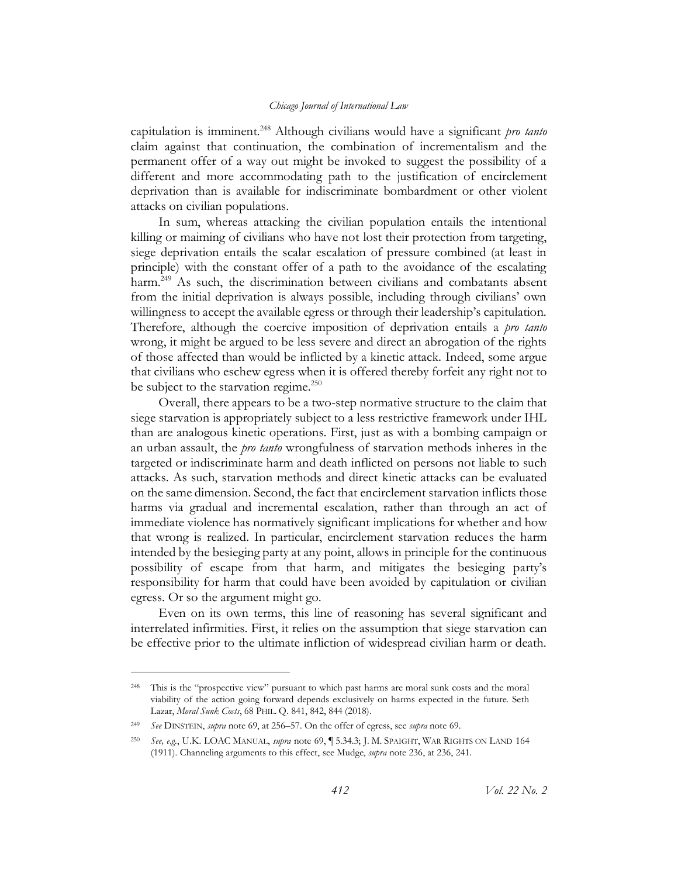<span id="page-45-0"></span>capitulation is imminent.<sup>248</sup> Although civilians would have a significant *pro tanto* claim against that continuation, the combination of incrementalism and the permanent offer of a way out might be invoked to suggest the possibility of a different and more accommodating path to the justification of encirclement deprivation than is available for indiscriminate bombardment or other violent attacks on civilian populations.

In sum, whereas attacking the civilian population entails the intentional killing or maiming of civilians who have not lost their protection from targeting, siege deprivation entails the scalar escalation of pressure combined (at least in principle) with the constant offer of a path to the avoidance of the escalating harm.<sup>249</sup> As such, the discrimination between civilians and combatants absent from the initial deprivation is always possible, including through civilians' own willingness to accept the available egress or through their leadership's capitulation. Therefore, although the coercive imposition of deprivation entails a *pro tanto* wrong, it might be argued to be less severe and direct an abrogation of the rights of those affected than would be inflicted by a kinetic attack. Indeed, some argue that civilians who eschew egress when it is offered thereby forfeit any right not to be subject to the starvation regime. $250$ 

Overall, there appears to be a two-step normative structure to the claim that siege starvation is appropriately subject to a less restrictive framework under IHL than are analogous kinetic operations. First, just as with a bombing campaign or an urban assault, the *pro tanto* wrongfulness of starvation methods inheres in the targeted or indiscriminate harm and death inflicted on persons not liable to such attacks. As such, starvation methods and direct kinetic attacks can be evaluated on the same dimension. Second, the fact that encirclement starvation inflicts those harms via gradual and incremental escalation, rather than through an act of immediate violence has normatively significant implications for whether and how that wrong is realized. In particular, encirclement starvation reduces the harm intended by the besieging party at any point, allows in principle for the continuous possibility of escape from that harm, and mitigates the besieging party's responsibility for harm that could have been avoided by capitulation or civilian egress. Or so the argument might go.

Even on its own terms, this line of reasoning has several significant and interrelated infirmities. First, it relies on the assumption that siege starvation can be effective prior to the ultimate infliction of widespread civilian harm or death.

<sup>&</sup>lt;sup>248</sup> This is the "prospective view" pursuant to which past harms are moral sunk costs and the moral viability of the action going forward depends exclusively on harms expected in the future. Seth Lazar, *Moral Sunk Costs*, 68 PHIL. Q. 841, 842, 844 (2018).

<sup>249</sup> *See* DINSTEIN, *supra* note [69,](#page-15-0) at 256–57. On the offer of egress, see *supra* note [69.](#page-15-0)

<sup>250</sup> *See, e.g.*, U.K. LOAC MANUAL, *supra* not[e 69,](#page-15-0) ¶ 5.34.3; J. M. SPAIGHT, WAR RIGHTS ON LAND 164 (1911). Channeling arguments to this effect, see Mudge, *supra* not[e 236,](#page-43-0) at 236, 241.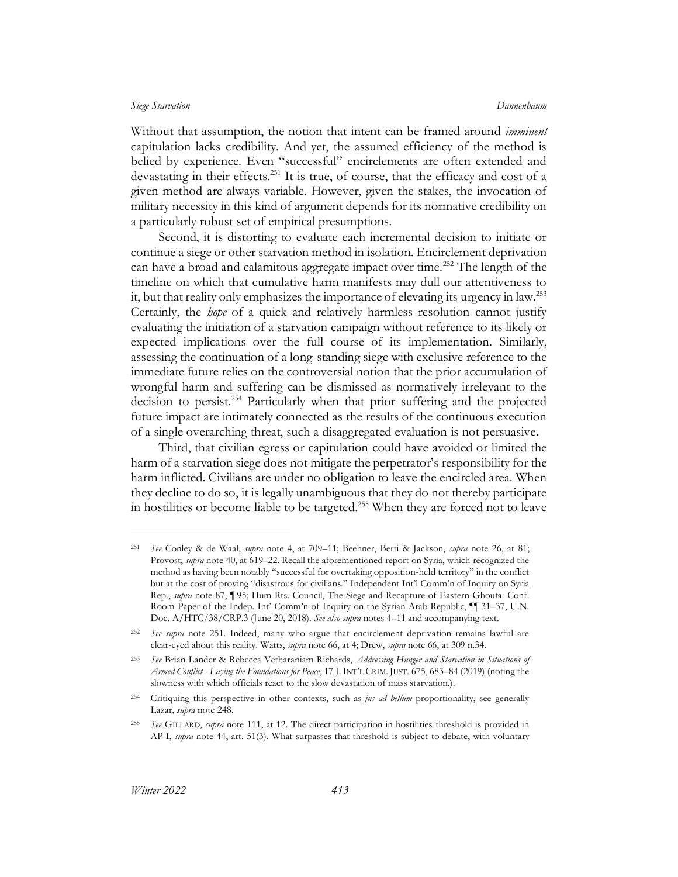<span id="page-46-0"></span>Without that assumption, the notion that intent can be framed around *imminent* capitulation lacks credibility. And yet, the assumed efficiency of the method is belied by experience. Even "successful" encirclements are often extended and devastating in their effects.<sup>251</sup> It is true, of course, that the efficacy and cost of a given method are always variable. However, given the stakes, the invocation of military necessity in this kind of argument depends for its normative credibility on a particularly robust set of empirical presumptions.

Second, it is distorting to evaluate each incremental decision to initiate or continue a siege or other starvation method in isolation. Encirclement deprivation can have a broad and calamitous aggregate impact over time.<sup>252</sup> The length of the timeline on which that cumulative harm manifests may dull our attentiveness to it, but that reality only emphasizes the importance of elevating its urgency in law.<sup>253</sup> Certainly, the *hope* of a quick and relatively harmless resolution cannot justify evaluating the initiation of a starvation campaign without reference to its likely or expected implications over the full course of its implementation. Similarly, assessing the continuation of a long-standing siege with exclusive reference to the immediate future relies on the controversial notion that the prior accumulation of wrongful harm and suffering can be dismissed as normatively irrelevant to the decision to persist.<sup>254</sup> Particularly when that prior suffering and the projected future impact are intimately connected as the results of the continuous execution of a single overarching threat, such a disaggregated evaluation is not persuasive.

Third, that civilian egress or capitulation could have avoided or limited the harm of a starvation siege does not mitigate the perpetrator's responsibility for the harm inflicted. Civilians are under no obligation to leave the encircled area. When they decline to do so, it is legally unambiguous that they do not thereby participate in hostilities or become liable to be targeted.<sup>255</sup> When they are forced not to leave

<span id="page-46-1"></span><sup>251</sup> *See* Conley & de Waal, *supra* note [4,](#page-3-0) at 709–11; Beehner, Berti & Jackson, *supra* note [26,](#page-7-0) at 81; Provost, *supra* note [40,](#page-10-1) at 619–22. Recall the aforementioned report on Syria, which recognized the method as having been notably "successful for overtaking opposition-held territory" in the conflict but at the cost of proving "disastrous for civilians." Independent Int'l Comm'n of Inquiry on Syria Rep., *supra* note [87,](#page-19-1) ¶ 95; Hum Rts. Council, The Siege and Recapture of Eastern Ghouta: Conf. Room Paper of the Indep. Int' Comm'n of Inquiry on the Syrian Arab Republic, ¶¶ 31–37, U.N. Doc. A/HTC/38/CRP.3 (June 20, 2018). *See also supra* notes [4](#page-3-0)–[11](#page-5-1) and accompanying text.

<sup>252</sup> *See supra* note [251.](#page-46-0) Indeed, many who argue that encirclement deprivation remains lawful are clear-eyed about this reality. Watts, *supra* not[e 66,](#page-14-0) at 4; Drew, *supra* not[e 66,](#page-14-0) at 309 n.34.

<sup>253</sup> *See* Brian Lander & Rebecca Vetharaniam Richards, *Addressing Hunger and Starvation in Situations of Armed Conflict - Laying the Foundations for Peace*, 17 J.INT'L CRIM. JUST. 675, 683–84 (2019) (noting the slowness with which officials react to the slow devastation of mass starvation.).

<sup>254</sup> Critiquing this perspective in other contexts, such as *jus ad bellum* proportionality, see generally Lazar, *supra* not[e 248.](#page-45-0)

<sup>255</sup> *See* GILLARD, *supra* note [111,](#page-22-0) at 12. The direct participation in hostilities threshold is provided in AP I, *supra* note [44,](#page-10-0) art. 51(3). What surpasses that threshold is subject to debate, with voluntary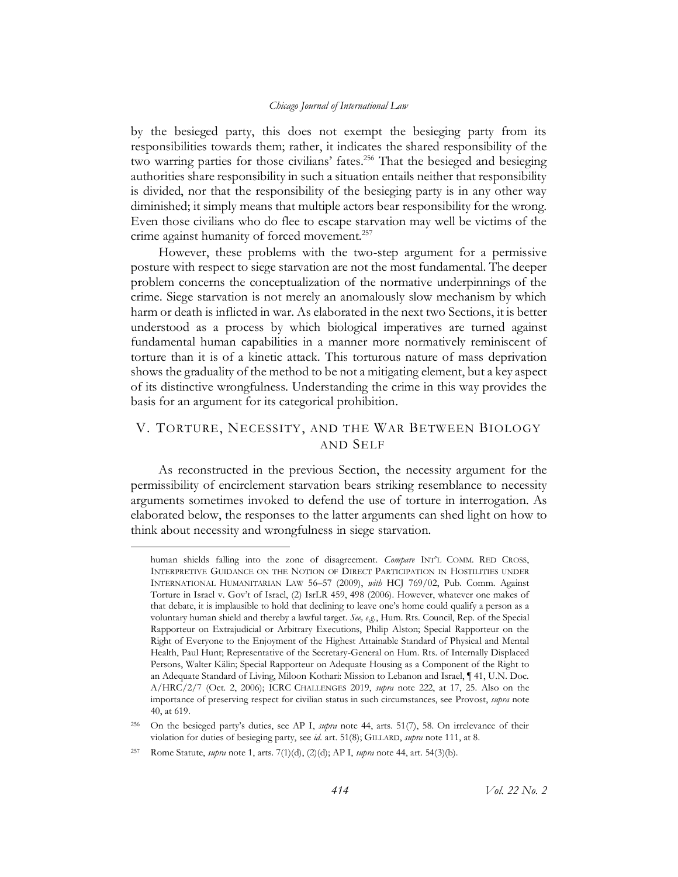<span id="page-47-0"></span>by the besieged party, this does not exempt the besieging party from its responsibilities towards them; rather, it indicates the shared responsibility of the two warring parties for those civilians' fates.<sup>256</sup> That the besieged and besieging authorities share responsibility in such a situation entails neither that responsibility is divided, nor that the responsibility of the besieging party is in any other way diminished; it simply means that multiple actors bear responsibility for the wrong. Even those civilians who do flee to escape starvation may well be victims of the crime against humanity of forced movement.<sup>257</sup>

However, these problems with the two-step argument for a permissive posture with respect to siege starvation are not the most fundamental. The deeper problem concerns the conceptualization of the normative underpinnings of the crime. Siege starvation is not merely an anomalously slow mechanism by which harm or death is inflicted in war. As elaborated in the next two Sections, it is better understood as a process by which biological imperatives are turned against fundamental human capabilities in a manner more normatively reminiscent of torture than it is of a kinetic attack. This torturous nature of mass deprivation shows the graduality of the method to be not a mitigating element, but a key aspect of its distinctive wrongfulness. Understanding the crime in this way provides the basis for an argument for its categorical prohibition.

# V. TORTURE, NECESSITY, AND THE WAR BETWEEN BIOLOGY AND SELF

As reconstructed in the previous Section, the necessity argument for the permissibility of encirclement starvation bears striking resemblance to necessity arguments sometimes invoked to defend the use of torture in interrogation. As elaborated below, the responses to the latter arguments can shed light on how to think about necessity and wrongfulness in siege starvation.

human shields falling into the zone of disagreement. *Compare* INT'L COMM. RED CROSS, INTERPRETIVE GUIDANCE ON THE NOTION OF DIRECT PARTICIPATION IN HOSTILITIES UNDER INTERNATIONAL HUMANITARIAN LAW 56–57 (2009), *with* HCJ 769/02, Pub. Comm. Against Torture in Israel v. Gov't of Israel, (2) IsrLR 459, 498 (2006). However, whatever one makes of that debate, it is implausible to hold that declining to leave one's home could qualify a person as a voluntary human shield and thereby a lawful target. *See, e.g.*, Hum. Rts. Council, Rep. of the Special Rapporteur on Extrajudicial or Arbitrary Executions, Philip Alston; Special Rapporteur on the Right of Everyone to the Enjoyment of the Highest Attainable Standard of Physical and Mental Health, Paul Hunt; Representative of the Secretary-General on Hum. Rts. of Internally Displaced Persons, Walter Kälin; Special Rapporteur on Adequate Housing as a Component of the Right to an Adequate Standard of Living, Miloon Kothari: Mission to Lebanon and Israel, ¶ 41, U.N. Doc. A/HRC/2/7 (Oct. 2, 2006); ICRC CHALLENGES 2019, *supra* note [222,](#page-41-0) at 17, 25. Also on the importance of preserving respect for civilian status in such circumstances, see Provost, *supra* note [40,](#page-10-1) at 619.

<sup>256</sup> On the besieged party's duties, see AP I, *supra* note [44,](#page-10-0) arts. 51(7), 58. On irrelevance of their violation for duties of besieging party, see *id.* art. 51(8); GILLARD, *supra* not[e 111,](#page-22-0) at 8.

<sup>257</sup> Rome Statute, *supra* note [1,](#page-3-1) arts. 7(1)(d), (2)(d); AP I, *supra* not[e 44,](#page-10-0) art. 54(3)(b).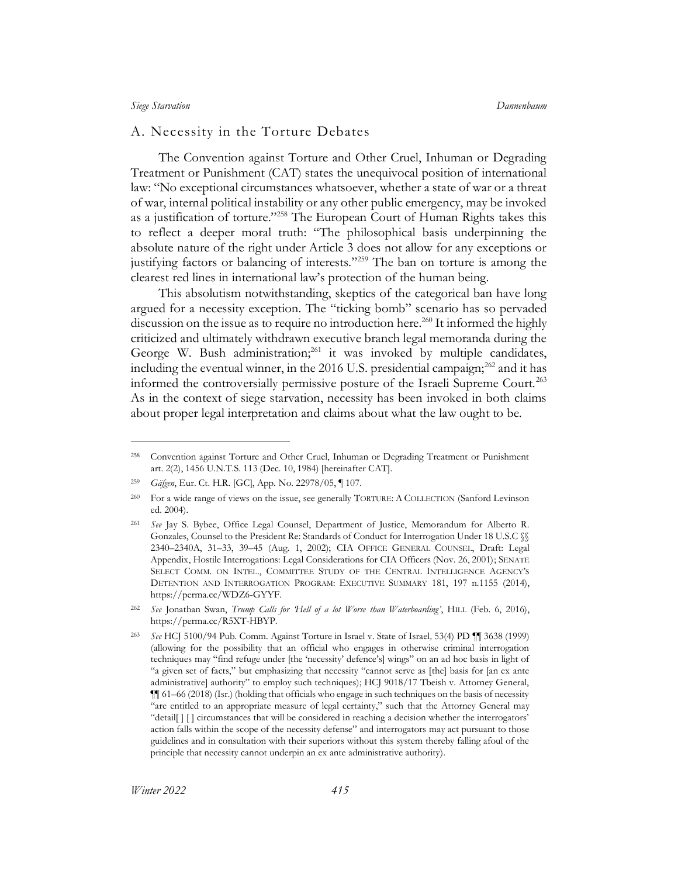## A. Necessity in the Torture Debates

<span id="page-48-0"></span>The Convention against Torture and Other Cruel, Inhuman or Degrading Treatment or Punishment (CAT) states the unequivocal position of international law: "No exceptional circumstances whatsoever, whether a state of war or a threat of war, internal political instability or any other public emergency, may be invoked as a justification of torture."<sup>258</sup> The European Court of Human Rights takes this to reflect a deeper moral truth: "The philosophical basis underpinning the absolute nature of the right under Article 3 does not allow for any exceptions or justifying factors or balancing of interests."<sup>259</sup> The ban on torture is among the clearest red lines in international law's protection of the human being.

This absolutism notwithstanding, skeptics of the categorical ban have long argued for a necessity exception. The "ticking bomb" scenario has so pervaded discussion on the issue as to require no introduction here.<sup>260</sup> It informed the highly criticized and ultimately withdrawn executive branch legal memoranda during the George W. Bush administration; $^{261}$  it was invoked by multiple candidates, including the eventual winner, in the 2016 U.S. presidential campaign;<sup>262</sup> and it has informed the controversially permissive posture of the Israeli Supreme Court.<sup>263</sup> As in the context of siege starvation, necessity has been invoked in both claims about proper legal interpretation and claims about what the law ought to be.

<sup>258</sup> Convention against Torture and Other Cruel, Inhuman or Degrading Treatment or Punishment art. 2(2), 1456 U.N.T.S. 113 (Dec. 10, 1984) [hereinafter CAT].

<sup>259</sup> *Gäfgen*, Eur. Ct. H.R. [GC], App. No. 22978/05, ¶ 107.

<sup>260</sup> For a wide range of views on the issue, see generally TORTURE: A COLLECTION (Sanford Levinson ed. 2004).

<sup>261</sup> *See* Jay S. Bybee, Office Legal Counsel, Department of Justice, Memorandum for Alberto R. Gonzales, Counsel to the President Re: Standards of Conduct for Interrogation Under 18 U.S.C §§ 2340–2340A, 31–33, 39–45 (Aug. 1, 2002); CIA OFFICE GENERAL COUNSEL, Draft: Legal Appendix, Hostile Interrogations: Legal Considerations for CIA Officers (Nov. 26, 2001); SENATE SELECT COMM. ON INTEL., COMMITTEE STUDY OF THE CENTRAL INTELLIGENCE AGENCY'S DETENTION AND INTERROGATION PROGRAM: EXECUTIVE SUMMARY 181, 197 n.1155 (2014), https://perma.cc/WDZ6-GYYF.

<sup>262</sup> *See* Jonathan Swan, *Trump Calls for 'Hell of a lot Worse than Waterboarding'*, HILL (Feb. 6, 2016), https://perma.cc/R5XT-HBYP.

<sup>263</sup> *See* HCJ 5100/94 Pub. Comm. Against Torture in Israel v. State of Israel*,* 53(4) PD ¶¶ 3638 (1999) (allowing for the possibility that an official who engages in otherwise criminal interrogation techniques may "find refuge under [the 'necessity' defence's] wings" on an ad hoc basis in light of "a given set of facts," but emphasizing that necessity "cannot serve as [the] basis for [an ex ante administrative] authority" to employ such techniques); HCJ 9018/17 Tbeish v. Attorney General, ¶¶ 61–66 (2018) (Isr.) (holding that officials who engage in such techniques on the basis of necessity "are entitled to an appropriate measure of legal certainty," such that the Attorney General may "detail[ ] [ ] circumstances that will be considered in reaching a decision whether the interrogators' action falls within the scope of the necessity defense" and interrogators may act pursuant to those guidelines and in consultation with their superiors without this system thereby falling afoul of the principle that necessity cannot underpin an ex ante administrative authority).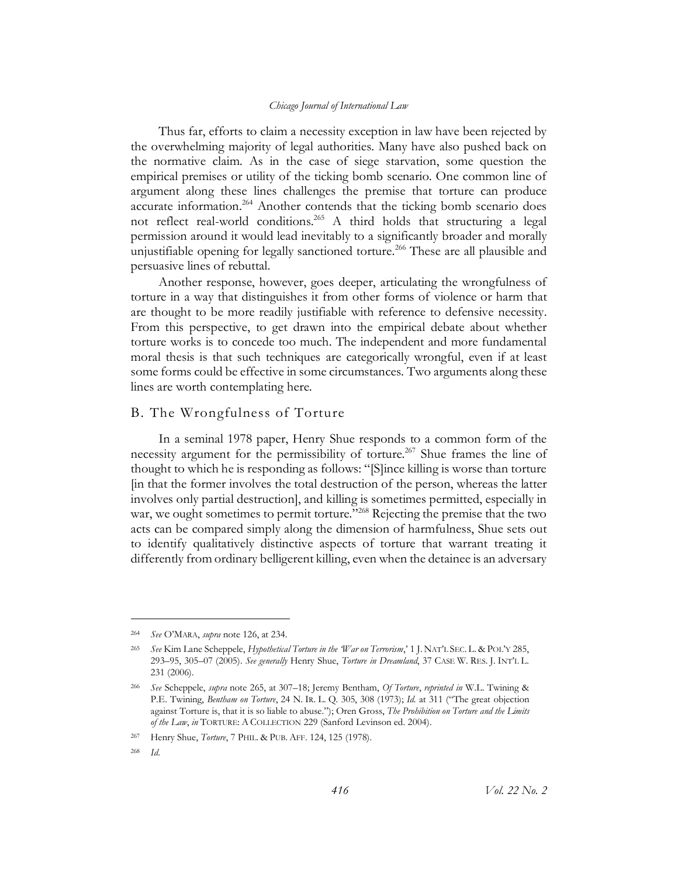Thus far, efforts to claim a necessity exception in law have been rejected by the overwhelming majority of legal authorities. Many have also pushed back on the normative claim. As in the case of siege starvation, some question the empirical premises or utility of the ticking bomb scenario. One common line of argument along these lines challenges the premise that torture can produce accurate information.<sup>264</sup> Another contends that the ticking bomb scenario does not reflect real-world conditions.<sup>265</sup> A third holds that structuring a legal permission around it would lead inevitably to a significantly broader and morally unjustifiable opening for legally sanctioned torture.<sup>266</sup> These are all plausible and persuasive lines of rebuttal.

<span id="page-49-0"></span>Another response, however, goes deeper, articulating the wrongfulness of torture in a way that distinguishes it from other forms of violence or harm that are thought to be more readily justifiable with reference to defensive necessity. From this perspective, to get drawn into the empirical debate about whether torture works is to concede too much. The independent and more fundamental moral thesis is that such techniques are categorically wrongful, even if at least some forms could be effective in some circumstances. Two arguments along these lines are worth contemplating here.

## <span id="page-49-2"></span>B. The Wrongfulness of Torture

<span id="page-49-1"></span>In a seminal 1978 paper, Henry Shue responds to a common form of the necessity argument for the permissibility of torture.<sup>267</sup> Shue frames the line of thought to which he is responding as follows: "[S]ince killing is worse than torture [in that the former involves the total destruction of the person, whereas the latter involves only partial destruction], and killing is sometimes permitted, especially in war, we ought sometimes to permit torture."<sup>268</sup> Rejecting the premise that the two acts can be compared simply along the dimension of harmfulness, Shue sets out to identify qualitatively distinctive aspects of torture that warrant treating it differently from ordinary belligerent killing, even when the detainee is an adversary

<sup>264</sup> *See* O'MARA, *supra* not[e 126,](#page-25-1) at 234.

<sup>265</sup> *See* Kim Lane Scheppele, *Hypothetical Torture in the 'War on Terrorism*,' 1 J. NAT'L SEC. L. & POL'Y 285, 293–95, 305–07 (2005). *See generally* Henry Shue, *Torture in Dreamland*, 37 CASE W. RES. J. INT'L L. 231 (2006).

<sup>266</sup> *See* Scheppele, *supra* not[e 265,](#page-49-0) at 307–18; Jeremy Bentham, *Of Torture*, *reprinted in* W.L. Twining & P.E. Twining, *Bentham on Torture*, 24 N. IR. L. Q. 305, 308 (1973); *Id.* at 311 ("The great objection against Torture is, that it is so liable to abuse."); Oren Gross, *The Prohibition on Torture and the Limits of the Law*, *in* TORTURE: A COLLECTION 229 (Sanford Levinson ed. 2004).

<sup>267</sup> Henry Shue, *Torture*, 7 PHIL. & PUB. AFF. 124, 125 (1978).

<sup>268</sup> *Id*.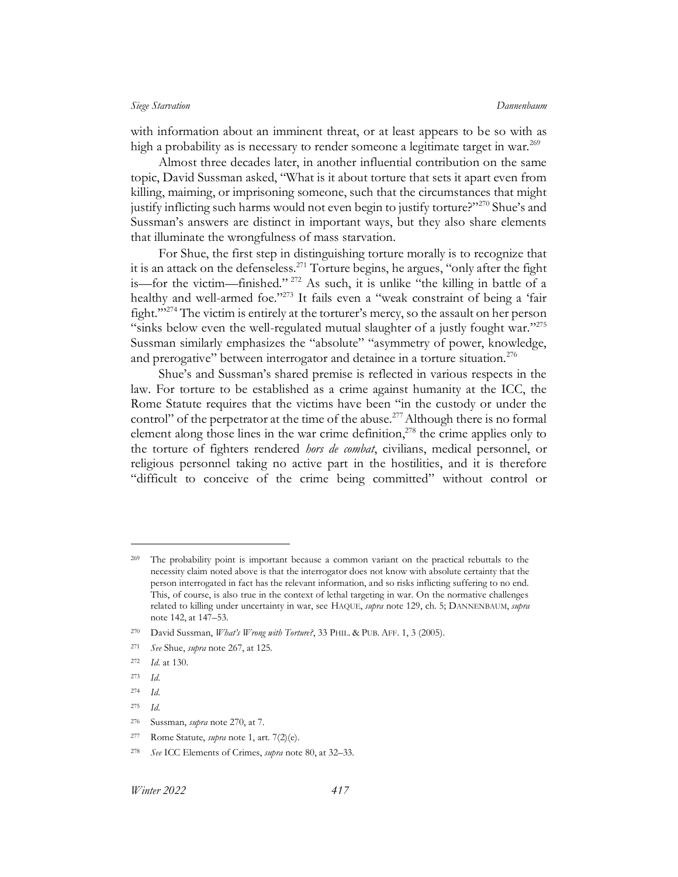with information about an imminent threat, or at least appears to be so with as high a probability as is necessary to render someone a legitimate target in war.<sup>269</sup>

<span id="page-50-0"></span>Almost three decades later, in another influential contribution on the same topic, David Sussman asked, "What is it about torture that sets it apart even from killing, maiming, or imprisoning someone, such that the circumstances that might justify inflicting such harms would not even begin to justify torture?"<sup>270</sup> Shue's and Sussman's answers are distinct in important ways, but they also share elements that illuminate the wrongfulness of mass starvation.

For Shue, the first step in distinguishing torture morally is to recognize that it is an attack on the defenseless.<sup>271</sup> Torture begins, he argues, "only after the fight is—for the victim—finished." <sup>272</sup> As such, it is unlike "the killing in battle of a healthy and well-armed foe."<sup>273</sup> It fails even a "weak constraint of being a 'fair fight.'"<sup>274</sup> The victim is entirely at the torturer's mercy, so the assault on her person "sinks below even the well-regulated mutual slaughter of a justly fought war."<sup>275</sup> Sussman similarly emphasizes the "absolute" "asymmetry of power, knowledge, and prerogative" between interrogator and detainee in a torture situation.<sup>276</sup>

Shue's and Sussman's shared premise is reflected in various respects in the law. For torture to be established as a crime against humanity at the ICC, the Rome Statute requires that the victims have been "in the custody or under the control" of the perpetrator at the time of the abuse.<sup>277</sup> Although there is no formal element along those lines in the war crime definition, $2^{78}$  the crime applies only to the torture of fighters rendered *hors de combat*, civilians, medical personnel, or religious personnel taking no active part in the hostilities, and it is therefore "difficult to conceive of the crime being committed" without control or

<sup>&</sup>lt;sup>269</sup> The probability point is important because a common variant on the practical rebuttals to the necessity claim noted above is that the interrogator does not know with absolute certainty that the person interrogated in fact has the relevant information, and so risks inflicting suffering to no end. This, of course, is also true in the context of lethal targeting in war. On the normative challenges related to killing under uncertainty in war, see HAQUE, *supra* note [129,](#page-25-0) ch. 5; DANNENBAUM, *supra*  note [142,](#page-28-0) at 147–53.

<sup>270</sup> David Sussman, *What's Wrong with Torture?*, 33 PHIL. & PUB. AFF. 1, 3 (2005).

<sup>271</sup> *See* Shue, *supra* note [267,](#page-49-1) at 125.

<sup>272</sup> *Id*. at 130.

<sup>273</sup> *Id*.

<sup>274</sup> *Id*.

<sup>275</sup> *Id*.

<sup>276</sup> Sussman, *supra* not[e 270,](#page-50-0) at 7.

<sup>277</sup> Rome Statute, *supra* note [1,](#page-3-1) art. 7(2)(e).

<sup>278</sup> *See* ICC Elements of Crimes, *supra* not[e 80,](#page-17-0) at 32–33.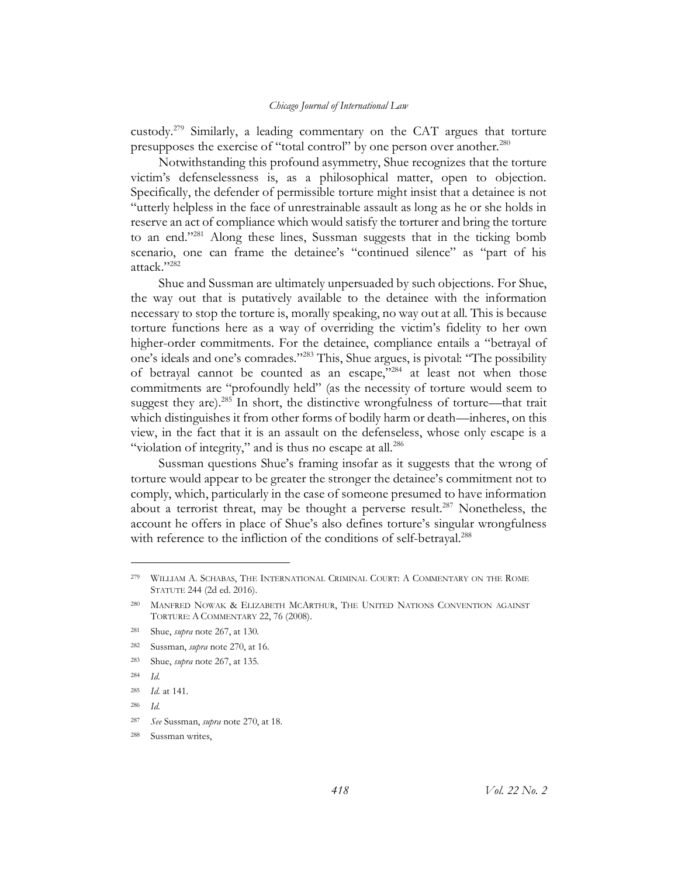<span id="page-51-1"></span>custody.<sup>279</sup> Similarly, a leading commentary on the CAT argues that torture presupposes the exercise of "total control" by one person over another.<sup>280</sup>

<span id="page-51-0"></span>Notwithstanding this profound asymmetry, Shue recognizes that the torture victim's defenselessness is, as a philosophical matter, open to objection. Specifically, the defender of permissible torture might insist that a detainee is not "utterly helpless in the face of unrestrainable assault as long as he or she holds in reserve an act of compliance which would satisfy the torturer and bring the torture to an end."<sup>281</sup> Along these lines, Sussman suggests that in the ticking bomb scenario, one can frame the detainee's "continued silence" as "part of his attack"<sup>282</sup>

Shue and Sussman are ultimately unpersuaded by such objections. For Shue, the way out that is putatively available to the detainee with the information necessary to stop the torture is, morally speaking, no way out at all. This is because torture functions here as a way of overriding the victim's fidelity to her own higher-order commitments. For the detainee, compliance entails a "betrayal of one's ideals and one's comrades."<sup>283</sup> This, Shue argues, is pivotal: "The possibility of betrayal cannot be counted as an escape,"<sup>284</sup> at least not when those commitments are "profoundly held" (as the necessity of torture would seem to suggest they are).<sup>285</sup> In short, the distinctive wrongfulness of torture—that trait which distinguishes it from other forms of bodily harm or death—inheres, on this view, in the fact that it is an assault on the defenseless, whose only escape is a "violation of integrity," and is thus no escape at all.<sup>286</sup>

Sussman questions Shue's framing insofar as it suggests that the wrong of torture would appear to be greater the stronger the detainee's commitment not to comply, which, particularly in the case of someone presumed to have information about a terrorist threat, may be thought a perverse result.<sup>287</sup> Nonetheless, the account he offers in place of Shue's also defines torture's singular wrongfulness with reference to the infliction of the conditions of self-betrayal.<sup>288</sup>

<sup>279</sup> WILLIAM A. SCHABAS, THE INTERNATIONAL CRIMINAL COURT: A COMMENTARY ON THE ROME STATUTE 244 (2d ed. 2016).

<sup>280</sup> MANFRED NOWAK & ELIZABETH MCARTHUR, THE UNITED NATIONS CONVENTION AGAINST TORTURE: A COMMENTARY 22, 76 (2008).

<sup>281</sup> Shue, *supra* note [267,](#page-49-1) at 130.

<sup>282</sup> Sussman, *supra* not[e 270,](#page-50-0) at 16.

<sup>283</sup> Shue, *supra* note [267,](#page-49-1) at 135.

<sup>284</sup> *Id.*

<sup>285</sup> *Id.* at 141.

<sup>286</sup> *Id.*

<sup>287</sup> *See* Sussman, *supra* not[e 270,](#page-50-0) at 18.

<sup>288</sup> Sussman writes,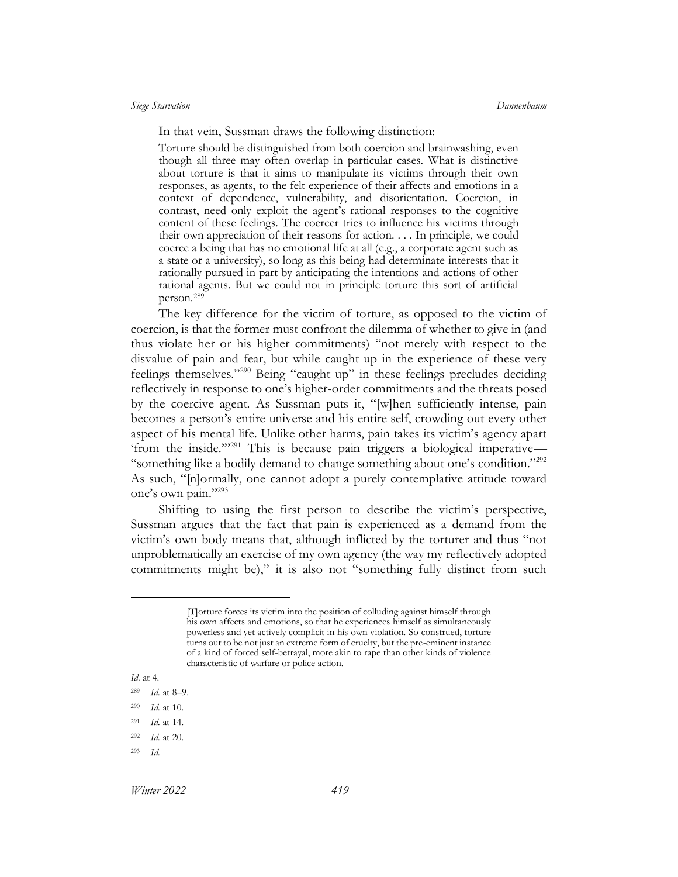In that vein, Sussman draws the following distinction:

Torture should be distinguished from both coercion and brainwashing, even though all three may often overlap in particular cases. What is distinctive about torture is that it aims to manipulate its victims through their own responses, as agents, to the felt experience of their affects and emotions in a context of dependence, vulnerability, and disorientation. Coercion, in contrast, need only exploit the agent's rational responses to the cognitive content of these feelings. The coercer tries to influence his victims through their own appreciation of their reasons for action. . . . In principle, we could coerce a being that has no emotional life at all (e.g., a corporate agent such as a state or a university), so long as this being had determinate interests that it rationally pursued in part by anticipating the intentions and actions of other rational agents. But we could not in principle torture this sort of artificial person.<sup>289</sup>

The key difference for the victim of torture, as opposed to the victim of coercion, is that the former must confront the dilemma of whether to give in (and thus violate her or his higher commitments) "not merely with respect to the disvalue of pain and fear, but while caught up in the experience of these very feelings themselves."<sup>290</sup> Being "caught up" in these feelings precludes deciding reflectively in response to one's higher-order commitments and the threats posed by the coercive agent. As Sussman puts it, "[w]hen sufficiently intense, pain becomes a person's entire universe and his entire self, crowding out every other aspect of his mental life. Unlike other harms, pain takes its victim's agency apart 'from the inside."<sup>291</sup> This is because pain triggers a biological imperative— "something like a bodily demand to change something about one's condition."<sup>292</sup> As such, "[n]ormally, one cannot adopt a purely contemplative attitude toward one's own pain."293

<span id="page-52-0"></span>Shifting to using the first person to describe the victim's perspective, Sussman argues that the fact that pain is experienced as a demand from the victim's own body means that, although inflicted by the torturer and thus "not unproblematically an exercise of my own agency (the way my reflectively adopted commitments might be)," it is also not "something fully distinct from such

<sup>[</sup>T]orture forces its victim into the position of colluding against himself through his own affects and emotions, so that he experiences himself as simultaneously powerless and yet actively complicit in his own violation. So construed, torture turns out to be not just an extreme form of cruelty, but the pre-eminent instance of a kind of forced self-betrayal, more akin to rape than other kinds of violence characteristic of warfare or police action.

*Id.* at 4.

<sup>289</sup> *Id.* at 8–9.

<sup>290</sup> *Id.* at 10.

<sup>291</sup> *Id.* at 14.

<sup>292</sup> *Id.* at 20.

<sup>293</sup> *Id.*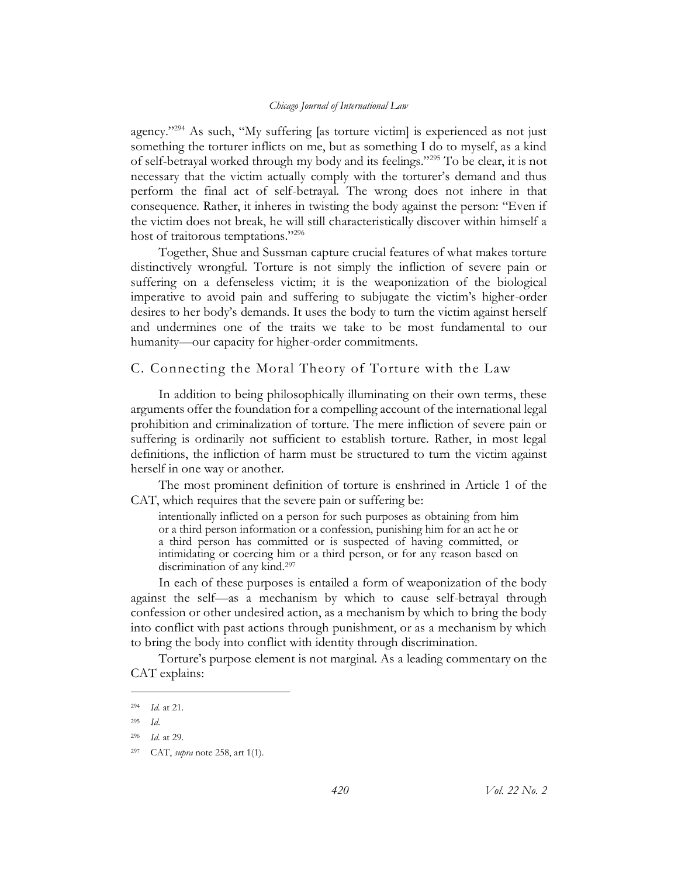agency."<sup>294</sup> As such, "My suffering [as torture victim] is experienced as not just something the torturer inflicts on me, but as something I do to myself, as a kind of self-betrayal worked through my body and its feelings."<sup>295</sup> To be clear, it is not necessary that the victim actually comply with the torturer's demand and thus perform the final act of self-betrayal. The wrong does not inhere in that consequence. Rather, it inheres in twisting the body against the person: "Even if the victim does not break, he will still characteristically discover within himself a host of traitorous temptations."<sup>296</sup>

<span id="page-53-0"></span>Together, Shue and Sussman capture crucial features of what makes torture distinctively wrongful. Torture is not simply the infliction of severe pain or suffering on a defenseless victim; it is the weaponization of the biological imperative to avoid pain and suffering to subjugate the victim's higher-order desires to her body's demands. It uses the body to turn the victim against herself and undermines one of the traits we take to be most fundamental to our humanity—our capacity for higher-order commitments.

# C. Connecting the Moral Theory of Torture with the Law

In addition to being philosophically illuminating on their own terms, these arguments offer the foundation for a compelling account of the international legal prohibition and criminalization of torture. The mere infliction of severe pain or suffering is ordinarily not sufficient to establish torture. Rather, in most legal definitions, the infliction of harm must be structured to turn the victim against herself in one way or another.

The most prominent definition of torture is enshrined in Article 1 of the CAT, which requires that the severe pain or suffering be:

intentionally inflicted on a person for such purposes as obtaining from him or a third person information or a confession, punishing him for an act he or a third person has committed or is suspected of having committed, or intimidating or coercing him or a third person, or for any reason based on discrimination of any kind.<sup>297</sup>

In each of these purposes is entailed a form of weaponization of the body against the self—as a mechanism by which to cause self-betrayal through confession or other undesired action, as a mechanism by which to bring the body into conflict with past actions through punishment, or as a mechanism by which to bring the body into conflict with identity through discrimination.

Torture's purpose element is not marginal. As a leading commentary on the CAT explains:

<sup>294</sup> *Id.* at 21.

<sup>295</sup> *Id*.

<sup>296</sup> *Id.* at 29.

<sup>297</sup> CAT, *supra* not[e 258,](#page-48-0) art 1(1).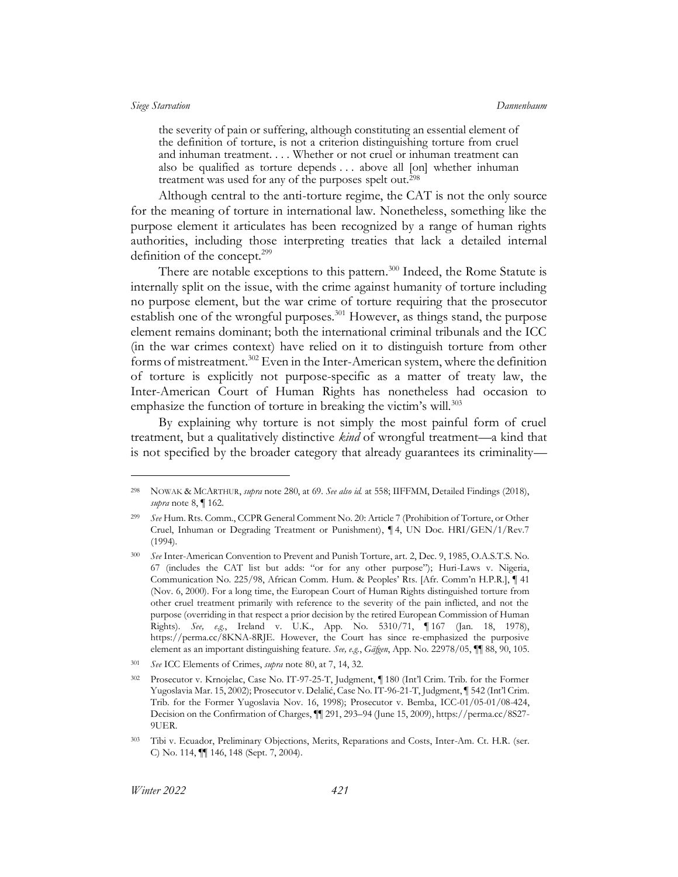the severity of pain or suffering, although constituting an essential element of the definition of torture, is not a criterion distinguishing torture from cruel and inhuman treatment. . . . Whether or not cruel or inhuman treatment can also be qualified as torture depends . . . above all [on] whether inhuman treatment was used for any of the purposes spelt out.<sup>298</sup>

Although central to the anti-torture regime, the CAT is not the only source for the meaning of torture in international law. Nonetheless, something like the purpose element it articulates has been recognized by a range of human rights authorities, including those interpreting treaties that lack a detailed internal definition of the concept.<sup>299</sup>

There are notable exceptions to this pattern.<sup>300</sup> Indeed, the Rome Statute is internally split on the issue, with the crime against humanity of torture including no purpose element, but the war crime of torture requiring that the prosecutor establish one of the wrongful purposes.<sup>301</sup> However, as things stand, the purpose element remains dominant; both the international criminal tribunals and the ICC (in the war crimes context) have relied on it to distinguish torture from other forms of mistreatment.<sup>302</sup> Even in the Inter-American system, where the definition of torture is explicitly not purpose-specific as a matter of treaty law, the Inter-American Court of Human Rights has nonetheless had occasion to emphasize the function of torture in breaking the victim's will.<sup>303</sup>

By explaining why torture is not simply the most painful form of cruel treatment, but a qualitatively distinctive *kind* of wrongful treatment—a kind that is not specified by the broader category that already guarantees its criminality—

<sup>298</sup> NOWAK & MCARTHUR, *supra* not[e 280,](#page-51-0) at 69. *See also id.* at 558; IIFFMM, Detailed Findings (2018), *supra* not[e 8,](#page-4-1) ¶ 162.

<sup>299</sup> *See* Hum. Rts. Comm., CCPR General Comment No. 20: Article 7 (Prohibition of Torture, or Other Cruel, Inhuman or Degrading Treatment or Punishment), ¶ 4, UN Doc. HRI/GEN/1/Rev.7 (1994).

<sup>300</sup> *See* Inter-American Convention to Prevent and Punish Torture, art. 2, Dec. 9, 1985, O.A.S.T.S. No. 67 (includes the CAT list but adds: "or for any other purpose"); Huri-Laws v. Nigeria, Communication No. 225/98, African Comm. Hum. & Peoples' Rts. [Afr. Comm'n H.P.R.], ¶ 41 (Nov. 6, 2000). For a long time, the European Court of Human Rights distinguished torture from other cruel treatment primarily with reference to the severity of the pain inflicted, and not the purpose (overriding in that respect a prior decision by the retired European Commission of Human Rights). *See, e.g.*, Ireland v. U.K., App. No. 5310/71, ¶ 167 (Jan. 18, 1978), https://perma.cc/8KNA-8RJE. However, the Court has since re-emphasized the purposive element as an important distinguishing feature. *See, e.g.*, *Gäfgen*, App. No. 22978/05, ¶¶ 88, 90, 105.

<sup>301</sup> *See* ICC Elements of Crimes, *supra* not[e 80,](#page-17-0) at 7, 14, 32.

<sup>302</sup> Prosecutor v. Krnojelac, Case No. IT-97-25-T, Judgment, ¶ 180 (Int'l Crim. Trib. for the Former Yugoslavia Mar. 15, 2002); Prosecutor v. Delalić, Case No. IT-96-21-T, Judgment, ¶ 542 (Int'l Crim. Trib. for the Former Yugoslavia Nov. 16, 1998); Prosecutor v. Bemba, ICC-01/05-01/08-424, Decision on the Confirmation of Charges, ¶¶ 291, 293–94 (June 15, 2009), https://perma.cc/8S27- 9UER.

<sup>303</sup> Tibi v. Ecuador, Preliminary Objections, Merits, Reparations and Costs, Inter-Am. Ct. H.R. (ser. C) No. 114, ¶¶ 146, 148 (Sept. 7, 2004).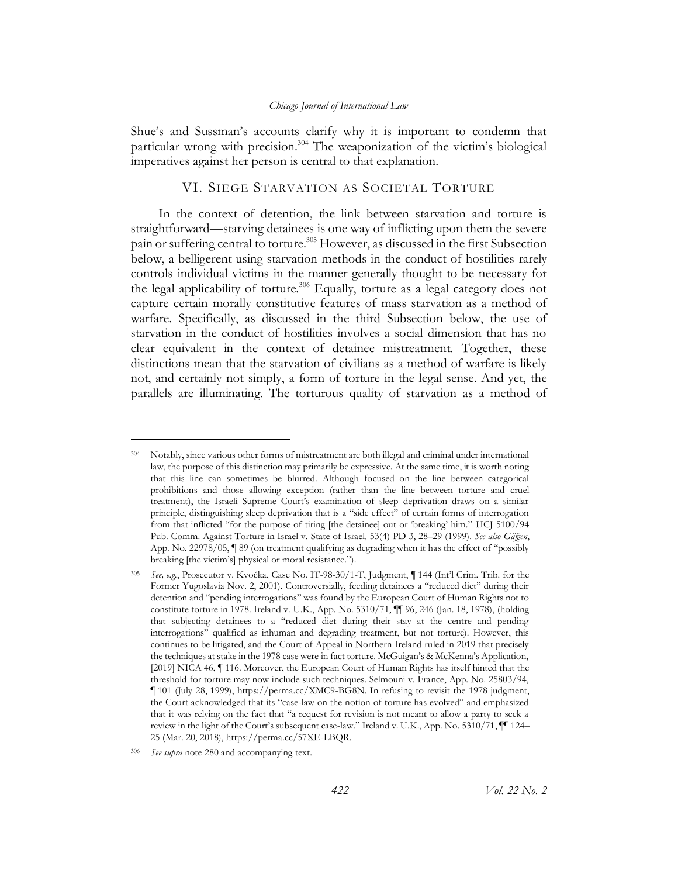Shue's and Sussman's accounts clarify why it is important to condemn that particular wrong with precision.<sup>304</sup> The weaponization of the victim's biological imperatives against her person is central to that explanation.

## VI. SIEGE STARVATION AS SOCIETAL TORTURE

In the context of detention, the link between starvation and torture is straightforward—starving detainees is one way of inflicting upon them the severe pain or suffering central to torture.<sup>305</sup> However, as discussed in the first Subsection below, a belligerent using starvation methods in the conduct of hostilities rarely controls individual victims in the manner generally thought to be necessary for the legal applicability of torture.<sup>306</sup> Equally, torture as a legal category does not capture certain morally constitutive features of mass starvation as a method of warfare. Specifically, as discussed in the third Subsection below, the use of starvation in the conduct of hostilities involves a social dimension that has no clear equivalent in the context of detainee mistreatment. Together, these distinctions mean that the starvation of civilians as a method of warfare is likely not, and certainly not simply, a form of torture in the legal sense. And yet, the parallels are illuminating. The torturous quality of starvation as a method of

<sup>304</sup> Notably, since various other forms of mistreatment are both illegal and criminal under international law, the purpose of this distinction may primarily be expressive. At the same time, it is worth noting that this line can sometimes be blurred. Although focused on the line between categorical prohibitions and those allowing exception (rather than the line between torture and cruel treatment), the Israeli Supreme Court's examination of sleep deprivation draws on a similar principle, distinguishing sleep deprivation that is a "side effect" of certain forms of interrogation from that inflicted "for the purpose of tiring [the detainee] out or 'breaking' him." HCJ 5100/94 Pub. Comm. Against Torture in Israel v. State of Israel*,* 53(4) PD 3, 28–29 (1999). *See also Gäfgen*, App. No. 22978/05, ¶ 89 (on treatment qualifying as degrading when it has the effect of "possibly breaking [the victim's] physical or moral resistance.").

<sup>305</sup> *See, e.g.*, Prosecutor v. Kvočka, Case No. IT-98-30/1-T, Judgment, ¶ 144 (Int'l Crim. Trib. for the Former Yugoslavia Nov. 2, 2001). Controversially, feeding detainees a "reduced diet" during their detention and "pending interrogations" was found by the European Court of Human Rights not to constitute torture in 1978. Ireland v. U.K., App. No. 5310/71, ¶¶ 96, 246 (Jan. 18, 1978), (holding that subjecting detainees to a "reduced diet during their stay at the centre and pending interrogations" qualified as inhuman and degrading treatment, but not torture). However, this continues to be litigated, and the Court of Appeal in Northern Ireland ruled in 2019 that precisely the techniques at stake in the 1978 case were in fact torture. McGuigan's & McKenna's Application, [2019] NICA 46, ¶ 116. Moreover, the European Court of Human Rights has itself hinted that the threshold for torture may now include such techniques. Selmouni v. France, App. No. 25803/94, ¶ 101 (July 28, 1999), https://perma.cc/XMC9-BG8N. In refusing to revisit the 1978 judgment, the Court acknowledged that its "case-law on the notion of torture has evolved" and emphasized that it was relying on the fact that "a request for revision is not meant to allow a party to seek a review in the light of the Court's subsequent case-law." Ireland v. U.K., App. No. 5310/71, ¶¶ 124– 25 (Mar. 20, 2018), https://perma.cc/57XE-LBQR.

<sup>306</sup> *See supra* not[e 280](#page-51-0) and accompanying text.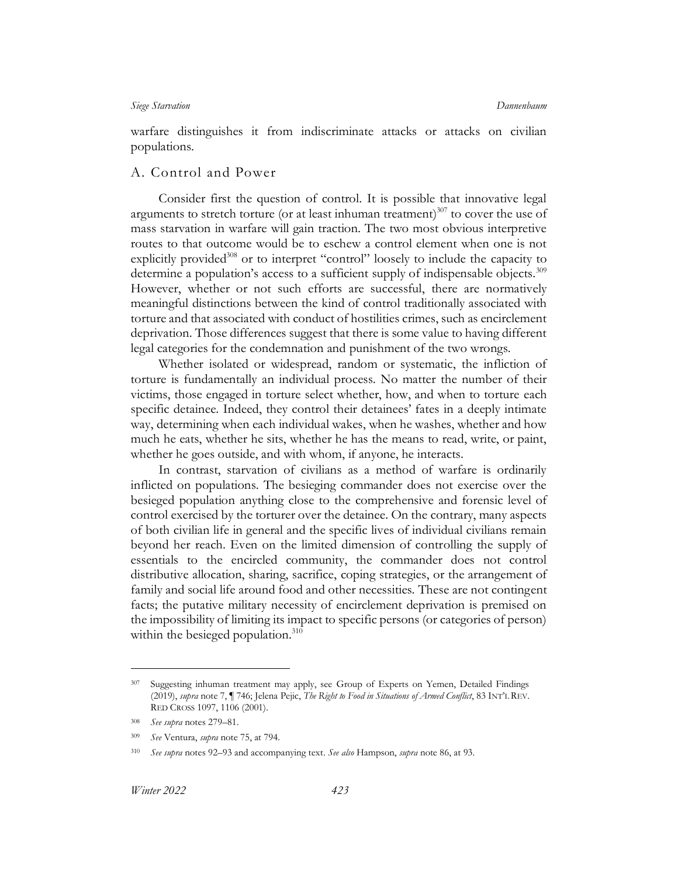warfare distinguishes it from indiscriminate attacks or attacks on civilian populations.

## A. Control and Power

Consider first the question of control. It is possible that innovative legal arguments to stretch torture (or at least inhuman treatment)<sup>307</sup> to cover the use of mass starvation in warfare will gain traction. The two most obvious interpretive routes to that outcome would be to eschew a control element when one is not explicitly provided<sup>308</sup> or to interpret "control" loosely to include the capacity to determine a population's access to a sufficient supply of indispensable objects.<sup>309</sup> However, whether or not such efforts are successful, there are normatively meaningful distinctions between the kind of control traditionally associated with torture and that associated with conduct of hostilities crimes, such as encirclement deprivation. Those differences suggest that there is some value to having different legal categories for the condemnation and punishment of the two wrongs.

Whether isolated or widespread, random or systematic, the infliction of torture is fundamentally an individual process. No matter the number of their victims, those engaged in torture select whether, how, and when to torture each specific detainee. Indeed, they control their detainees' fates in a deeply intimate way, determining when each individual wakes, when he washes, whether and how much he eats, whether he sits, whether he has the means to read, write, or paint, whether he goes outside, and with whom, if anyone, he interacts.

In contrast, starvation of civilians as a method of warfare is ordinarily inflicted on populations. The besieging commander does not exercise over the besieged population anything close to the comprehensive and forensic level of control exercised by the torturer over the detainee. On the contrary, many aspects of both civilian life in general and the specific lives of individual civilians remain beyond her reach. Even on the limited dimension of controlling the supply of essentials to the encircled community, the commander does not control distributive allocation, sharing, sacrifice, coping strategies, or the arrangement of family and social life around food and other necessities. These are not contingent facts; the putative military necessity of encirclement deprivation is premised on the impossibility of limiting its impact to specific persons (or categories of person) within the besieged population.<sup>310</sup>

<sup>&</sup>lt;sup>307</sup> Suggesting inhuman treatment may apply, see Group of Experts on Yemen, Detailed Findings (2019), *supra* not[e 7,](#page-4-2) ¶ 746; Jelena Pejic, *The Right to Food in Situations of Armed Conflict*, 83 INT'L REV. RED CROSS 1097, 1106 (2001).

<sup>308</sup> *See supra* notes [279](#page-51-1)–81.

<sup>309</sup> *See* Ventura, *supra* note [75,](#page-16-2) at 794.

<sup>310</sup> *See supra* notes [92](#page-19-2)–[93](#page-20-2) and accompanying text. *See also* Hampson, *supra* note [86,](#page-19-3) at 93.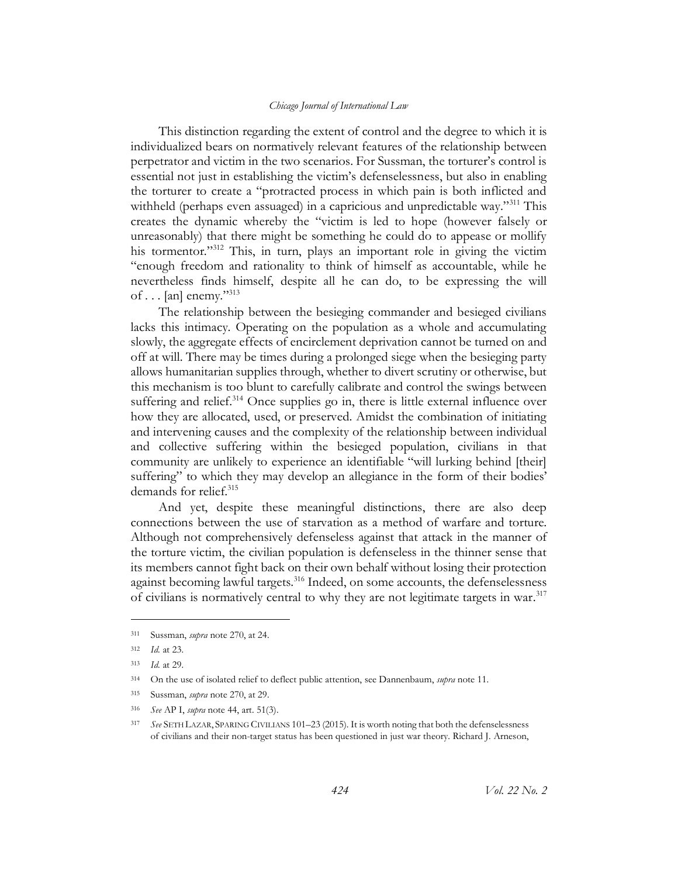This distinction regarding the extent of control and the degree to which it is individualized bears on normatively relevant features of the relationship between perpetrator and victim in the two scenarios. For Sussman, the torturer's control is essential not just in establishing the victim's defenselessness, but also in enabling the torturer to create a "protracted process in which pain is both inflicted and withheld (perhaps even assuaged) in a capricious and unpredictable way."<sup>311</sup> This creates the dynamic whereby the "victim is led to hope (however falsely or unreasonably) that there might be something he could do to appease or mollify his tormentor."<sup>312</sup> This, in turn, plays an important role in giving the victim "enough freedom and rationality to think of himself as accountable, while he nevertheless finds himself, despite all he can do, to be expressing the will of  $\ldots$  [an] enemy."<sup>313</sup>

The relationship between the besieging commander and besieged civilians lacks this intimacy. Operating on the population as a whole and accumulating slowly, the aggregate effects of encirclement deprivation cannot be turned on and off at will. There may be times during a prolonged siege when the besieging party allows humanitarian supplies through, whether to divert scrutiny or otherwise, but this mechanism is too blunt to carefully calibrate and control the swings between suffering and relief.<sup>314</sup> Once supplies go in, there is little external influence over how they are allocated, used, or preserved. Amidst the combination of initiating and intervening causes and the complexity of the relationship between individual and collective suffering within the besieged population, civilians in that community are unlikely to experience an identifiable "will lurking behind [their] suffering" to which they may develop an allegiance in the form of their bodies' demands for relief.<sup>315</sup>

And yet, despite these meaningful distinctions, there are also deep connections between the use of starvation as a method of warfare and torture. Although not comprehensively defenseless against that attack in the manner of the torture victim, the civilian population is defenseless in the thinner sense that its members cannot fight back on their own behalf without losing their protection against becoming lawful targets.<sup>316</sup> Indeed, on some accounts, the defenselessness of civilians is normatively central to why they are not legitimate targets in war. 317

<sup>316</sup> *See* AP I, *supra* not[e 44,](#page-10-0) art. 51(3).

<span id="page-57-0"></span><sup>311</sup> Sussman, *supra* note [270,](#page-50-0) at 24.

<sup>312</sup> *Id.* at 23.

<sup>313</sup> *Id.* at 29.

<sup>314</sup> On the use of isolated relief to deflect public attention, see Dannenbaum, *supra* note [11.](#page-5-1)

<sup>315</sup> Sussman, *supra* not[e 270,](#page-50-0) at 29.

<sup>317</sup> *See* SETH LAZAR, SPARING CIVILIANS 101–23 (2015). It is worth noting that both the defenselessness of civilians and their non-target status has been questioned in just war theory. Richard J. Arneson,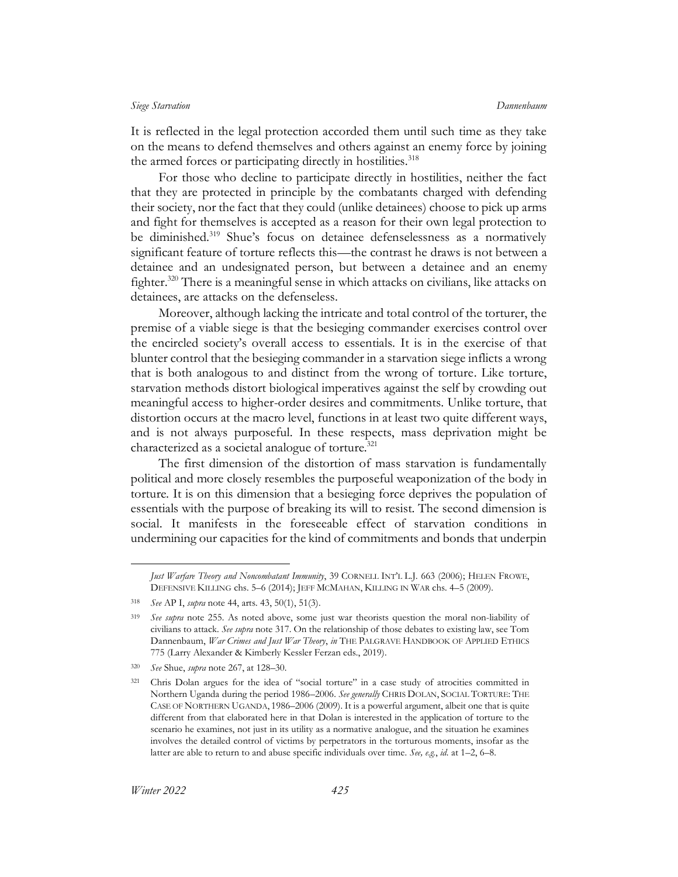It is reflected in the legal protection accorded them until such time as they take on the means to defend themselves and others against an enemy force by joining the armed forces or participating directly in hostilities.<sup>318</sup>

For those who decline to participate directly in hostilities, neither the fact that they are protected in principle by the combatants charged with defending their society, nor the fact that they could (unlike detainees) choose to pick up arms and fight for themselves is accepted as a reason for their own legal protection to be diminished.<sup>319</sup> Shue's focus on detainee defenselessness as a normatively significant feature of torture reflects this—the contrast he draws is not between a detainee and an undesignated person, but between a detainee and an enemy fighter.<sup>320</sup> There is a meaningful sense in which attacks on civilians, like attacks on detainees, are attacks on the defenseless.

Moreover, although lacking the intricate and total control of the torturer, the premise of a viable siege is that the besieging commander exercises control over the encircled society's overall access to essentials. It is in the exercise of that blunter control that the besieging commander in a starvation siege inflicts a wrong that is both analogous to and distinct from the wrong of torture. Like torture, starvation methods distort biological imperatives against the self by crowding out meaningful access to higher-order desires and commitments. Unlike torture, that distortion occurs at the macro level, functions in at least two quite different ways, and is not always purposeful. In these respects, mass deprivation might be characterized as a societal analogue of torture.<sup>321</sup>

The first dimension of the distortion of mass starvation is fundamentally political and more closely resembles the purposeful weaponization of the body in torture. It is on this dimension that a besieging force deprives the population of essentials with the purpose of breaking its will to resist. The second dimension is social. It manifests in the foreseeable effect of starvation conditions in undermining our capacities for the kind of commitments and bonds that underpin

*Just Warfare Theory and Noncombatant Immunity*, 39 CORNELL INT'L L.J*.* 663 (2006); HELEN FROWE, DEFENSIVE KILLING chs. 5–6 (2014); JEFF MCMAHAN, KILLING IN WAR chs. 4–5 (2009).

<sup>318</sup> *See* AP I, *supra* not[e 44,](#page-10-0) arts. 43, 50(1), 51(3).

<sup>319</sup> *See supra* note [255.](#page-46-1) As noted above, some just war theorists question the moral non-liability of civilians to attack. *See supra* not[e 317.](#page-57-0) On the relationship of those debates to existing law, see Tom Dannenbaum, *War Crimes and Just War Theory*, *in* THE PALGRAVE HANDBOOK OF APPLIED ETHICS 775 (Larry Alexander & Kimberly Kessler Ferzan eds., 2019).

<sup>320</sup> *See* Shue, *supra* note [267,](#page-49-1) at 128–30.

<sup>321</sup> Chris Dolan argues for the idea of "social torture" in a case study of atrocities committed in Northern Uganda during the period 1986–2006. *See generally* CHRIS DOLAN, SOCIAL TORTURE: THE CASE OF NORTHERN UGANDA, 1986–2006 (2009). It is a powerful argument, albeit one that is quite different from that elaborated here in that Dolan is interested in the application of torture to the scenario he examines, not just in its utility as a normative analogue, and the situation he examines involves the detailed control of victims by perpetrators in the torturous moments, insofar as the latter are able to return to and abuse specific individuals over time. *See, e.g.*, *id.* at 1–2, 6–8.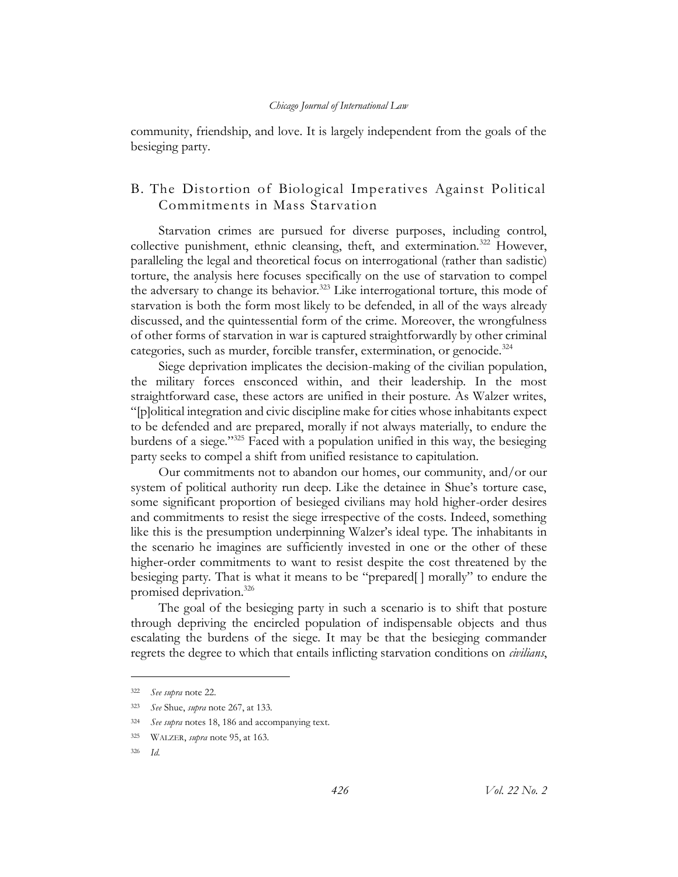community, friendship, and love. It is largely independent from the goals of the besieging party.

# B. The Distortion of Biological Imperatives Against Political Commitments in Mass Starvation

Starvation crimes are pursued for diverse purposes, including control, collective punishment, ethnic cleansing, theft, and extermination.<sup>322</sup> However, paralleling the legal and theoretical focus on interrogational (rather than sadistic) torture, the analysis here focuses specifically on the use of starvation to compel the adversary to change its behavior.<sup>323</sup> Like interrogational torture, this mode of starvation is both the form most likely to be defended, in all of the ways already discussed, and the quintessential form of the crime. Moreover, the wrongfulness of other forms of starvation in war is captured straightforwardly by other criminal categories, such as murder, forcible transfer, extermination, or genocide.<sup>324</sup>

Siege deprivation implicates the decision-making of the civilian population, the military forces ensconced within, and their leadership. In the most straightforward case, these actors are unified in their posture. As Walzer writes, "[p]olitical integration and civic discipline make for cities whose inhabitants expect to be defended and are prepared, morally if not always materially, to endure the burdens of a siege."<sup>325</sup> Faced with a population unified in this way, the besieging party seeks to compel a shift from unified resistance to capitulation.

Our commitments not to abandon our homes, our community, and/or our system of political authority run deep. Like the detainee in Shue's torture case, some significant proportion of besieged civilians may hold higher-order desires and commitments to resist the siege irrespective of the costs. Indeed, something like this is the presumption underpinning Walzer's ideal type. The inhabitants in the scenario he imagines are sufficiently invested in one or the other of these higher-order commitments to want to resist despite the cost threatened by the besieging party. That is what it means to be "prepared[ ] morally" to endure the promised deprivation. 326

The goal of the besieging party in such a scenario is to shift that posture through depriving the encircled population of indispensable objects and thus escalating the burdens of the siege. It may be that the besieging commander regrets the degree to which that entails inflicting starvation conditions on *civilians*,

<sup>322</sup> *See supra* not[e 22.](#page-7-1)

<sup>323</sup> *See* Shue, *supra* note [267,](#page-49-1) at 133.

<sup>324</sup> *See supra* notes [18,](#page-6-0) [186](#page-35-0) and accompanying text.

<sup>325</sup> WALZER, *supra* not[e 95,](#page-20-0) at 163.

<sup>326</sup> *Id.*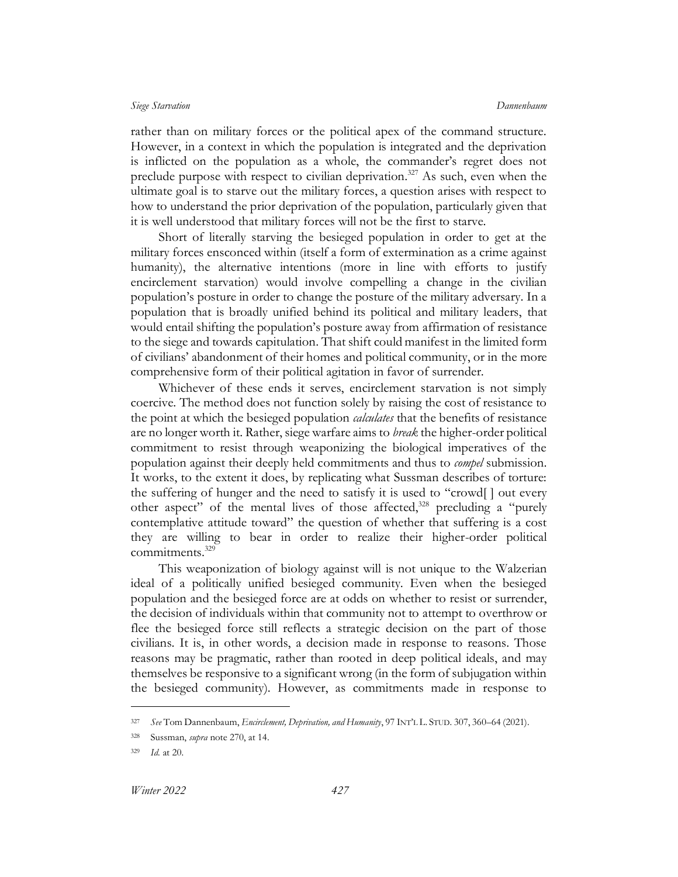<span id="page-60-0"></span>rather than on military forces or the political apex of the command structure. However, in a context in which the population is integrated and the deprivation is inflicted on the population as a whole, the commander's regret does not preclude purpose with respect to civilian deprivation.<sup>327</sup> As such, even when the ultimate goal is to starve out the military forces, a question arises with respect to how to understand the prior deprivation of the population, particularly given that it is well understood that military forces will not be the first to starve.

Short of literally starving the besieged population in order to get at the military forces ensconced within (itself a form of extermination as a crime against humanity), the alternative intentions (more in line with efforts to justify encirclement starvation) would involve compelling a change in the civilian population's posture in order to change the posture of the military adversary. In a population that is broadly unified behind its political and military leaders, that would entail shifting the population's posture away from affirmation of resistance to the siege and towards capitulation. That shift could manifest in the limited form of civilians' abandonment of their homes and political community, or in the more comprehensive form of their political agitation in favor of surrender.

Whichever of these ends it serves, encirclement starvation is not simply coercive. The method does not function solely by raising the cost of resistance to the point at which the besieged population *calculates* that the benefits of resistance are no longer worth it. Rather, siege warfare aims to *break* the higher-order political commitment to resist through weaponizing the biological imperatives of the population against their deeply held commitments and thus to *compel* submission. It works, to the extent it does, by replicating what Sussman describes of torture: the suffering of hunger and the need to satisfy it is used to "crowd[ ] out every other aspect" of the mental lives of those affected, $328$  precluding a "purely contemplative attitude toward" the question of whether that suffering is a cost they are willing to bear in order to realize their higher-order political commitments.<sup>329</sup>

This weaponization of biology against will is not unique to the Walzerian ideal of a politically unified besieged community. Even when the besieged population and the besieged force are at odds on whether to resist or surrender, the decision of individuals within that community not to attempt to overthrow or flee the besieged force still reflects a strategic decision on the part of those civilians. It is, in other words, a decision made in response to reasons. Those reasons may be pragmatic, rather than rooted in deep political ideals, and may themselves be responsive to a significant wrong (in the form of subjugation within the besieged community). However, as commitments made in response to

<sup>327</sup> *See* Tom Dannenbaum, *Encirclement, Deprivation, and Humanity*, 97 INT'L L. STUD. 307, 360–64 (2021).

<sup>328</sup> Sussman, *supra* not[e 270,](#page-50-0) at 14.

<sup>329</sup> *Id.* at 20.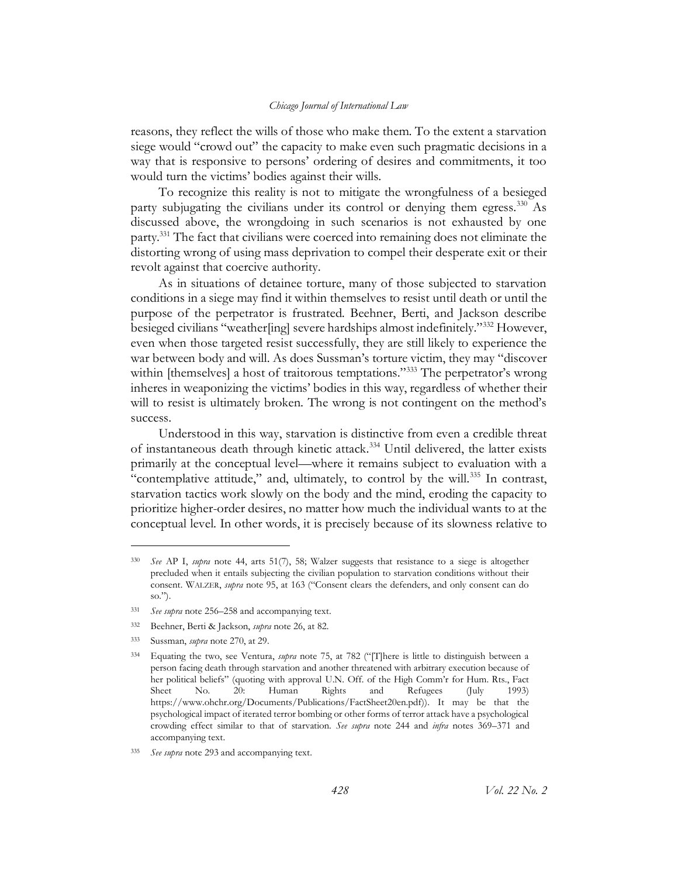reasons, they reflect the wills of those who make them. To the extent a starvation siege would "crowd out" the capacity to make even such pragmatic decisions in a way that is responsive to persons' ordering of desires and commitments, it too would turn the victims' bodies against their wills.

To recognize this reality is not to mitigate the wrongfulness of a besieged party subjugating the civilians under its control or denying them egress.<sup>330</sup> As discussed above, the wrongdoing in such scenarios is not exhausted by one party.<sup>331</sup> The fact that civilians were coerced into remaining does not eliminate the distorting wrong of using mass deprivation to compel their desperate exit or their revolt against that coercive authority.

<span id="page-61-0"></span>As in situations of detainee torture, many of those subjected to starvation conditions in a siege may find it within themselves to resist until death or until the purpose of the perpetrator is frustrated. Beehner, Berti, and Jackson describe besieged civilians "weather[ing] severe hardships almost indefinitely."<sup>332</sup> However, even when those targeted resist successfully, they are still likely to experience the war between body and will. As does Sussman's torture victim, they may "discover within [themselves] a host of traitorous temptations."<sup>333</sup> The perpetrator's wrong inheres in weaponizing the victims' bodies in this way, regardless of whether their will to resist is ultimately broken. The wrong is not contingent on the method's success.

<span id="page-61-1"></span>Understood in this way, starvation is distinctive from even a credible threat of instantaneous death through kinetic attack.<sup>334</sup> Until delivered, the latter exists primarily at the conceptual level—where it remains subject to evaluation with a "contemplative attitude," and, ultimately, to control by the will.<sup>335</sup> In contrast, starvation tactics work slowly on the body and the mind, eroding the capacity to prioritize higher-order desires, no matter how much the individual wants to at the conceptual level. In other words, it is precisely because of its slowness relative to

<sup>330</sup> *See* AP I, *supra* note [44,](#page-10-0) arts 51(7), 58; Walzer suggests that resistance to a siege is altogether precluded when it entails subjecting the civilian population to starvation conditions without their consent. WALZER, *supra* note [95](#page-20-0), at 163 ("Consent clears the defenders, and only consent can do so.").

<sup>331</sup> *See supra* not[e 256](#page-47-0)–[258](#page-48-0) and accompanying text.

<sup>332</sup> Beehner, Berti & Jackson, *supra* note [26,](#page-7-0) at 82.

<sup>333</sup> Sussman, *supra* not[e 270,](#page-50-0) at 29.

<sup>334</sup> Equating the two, see Ventura, *supra* note [75](#page-16-2), at 782 ("[T]here is little to distinguish between a person facing death through starvation and another threatened with arbitrary execution because of her political beliefs" (quoting with approval U.N. Off. of the High Comm'r for Hum. Rts., Fact Sheet No. 20: Human Rights and Refugees (July 1993) https://www.ohchr.org/Documents/Publications/FactSheet20en.pdf)). It may be that the psychological impact of iterated terror bombing or other forms of terror attack have a psychological crowding effect similar to that of starvation. *See supra* note [244](#page-44-0) and *infra* notes [369](#page-68-0)–[371](#page-69-0) and accompanying text.

<sup>335</sup> *See supra* not[e 293](#page-52-0) and accompanying text.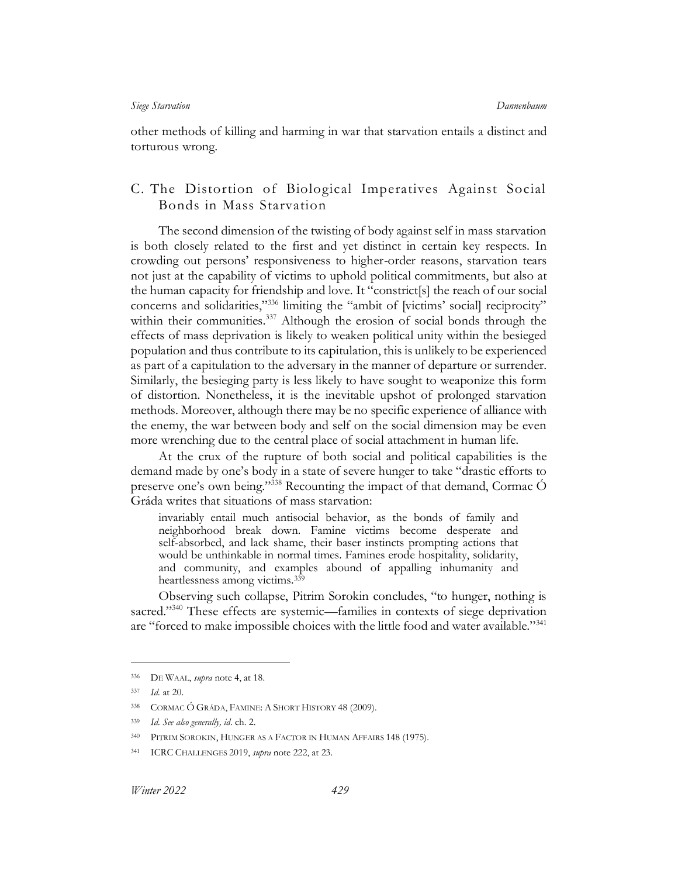other methods of killing and harming in war that starvation entails a distinct and torturous wrong.

# C. The Distortion of Biological Imperatives Against Social Bonds in Mass Starvation

The second dimension of the twisting of body against self in mass starvation is both closely related to the first and yet distinct in certain key respects. In crowding out persons' responsiveness to higher-order reasons, starvation tears not just at the capability of victims to uphold political commitments, but also at the human capacity for friendship and love. It "constrict[s] the reach of our social concerns and solidarities,"<sup>336</sup> limiting the "ambit of [victims' social] reciprocity" within their communities.<sup>337</sup> Although the erosion of social bonds through the effects of mass deprivation is likely to weaken political unity within the besieged population and thus contribute to its capitulation, this is unlikely to be experienced as part of a capitulation to the adversary in the manner of departure or surrender. Similarly, the besieging party is less likely to have sought to weaponize this form of distortion. Nonetheless, it is the inevitable upshot of prolonged starvation methods. Moreover, although there may be no specific experience of alliance with the enemy, the war between body and self on the social dimension may be even more wrenching due to the central place of social attachment in human life.

At the crux of the rupture of both social and political capabilities is the demand made by one's body in a state of severe hunger to take "drastic efforts to preserve one's own being."<sup>338</sup> Recounting the impact of that demand, Cormac  $\acute{\text{O}}$ Gráda writes that situations of mass starvation:

invariably entail much antisocial behavior, as the bonds of family and neighborhood break down. Famine victims become desperate and self-absorbed, and lack shame, their baser instincts prompting actions that would be unthinkable in normal times. Famines erode hospitality, solidarity, and community, and examples abound of appalling inhumanity and heartlessness among victims.<sup>339</sup>

Observing such collapse, Pitrim Sorokin concludes, "to hunger, nothing is sacred."<sup>340</sup> These effects are systemic—families in contexts of siege deprivation are "forced to make impossible choices with the little food and water available."<sup>341</sup>

<sup>336</sup> DE WAAL, *supra* not[e 4,](#page-3-0) at 18.

<sup>337</sup> *Id.* at 20.

<sup>338</sup> CORMAC Ó GRÁDA, FAMINE: A SHORT HISTORY 48 (2009).

<sup>339</sup> *Id. See also generally, id*. ch. 2.

<sup>340</sup> PITRIM SOROKIN, HUNGER AS A FACTOR IN HUMAN AFFAIRS 148 (1975).

<sup>341</sup> ICRC CHALLENGES 2019, *supra* note [222,](#page-41-0) at 23.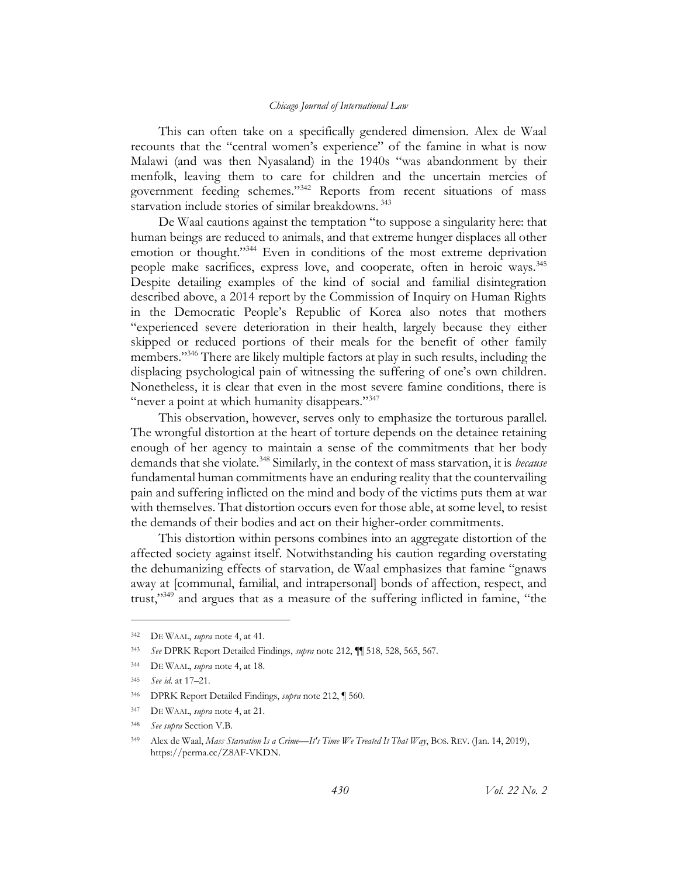This can often take on a specifically gendered dimension. Alex de Waal recounts that the "central women's experience" of the famine in what is now Malawi (and was then Nyasaland) in the 1940s "was abandonment by their menfolk, leaving them to care for children and the uncertain mercies of government feeding schemes."<sup>342</sup> Reports from recent situations of mass starvation include stories of similar breakdowns.<sup>343</sup>

De Waal cautions against the temptation "to suppose a singularity here: that human beings are reduced to animals, and that extreme hunger displaces all other emotion or thought."<sup>344</sup> Even in conditions of the most extreme deprivation people make sacrifices, express love, and cooperate, often in heroic ways.<sup>345</sup> Despite detailing examples of the kind of social and familial disintegration described above, a 2014 report by the Commission of Inquiry on Human Rights in the Democratic People's Republic of Korea also notes that mothers "experienced severe deterioration in their health, largely because they either skipped or reduced portions of their meals for the benefit of other family members."<sup>346</sup> There are likely multiple factors at play in such results, including the displacing psychological pain of witnessing the suffering of one's own children. Nonetheless, it is clear that even in the most severe famine conditions, there is "never a point at which humanity disappears."<sup>347</sup>

This observation, however, serves only to emphasize the torturous parallel. The wrongful distortion at the heart of torture depends on the detainee retaining enough of her agency to maintain a sense of the commitments that her body demands that she violate.<sup>348</sup> Similarly, in the context of mass starvation, it is *because* fundamental human commitments have an enduring reality that the countervailing pain and suffering inflicted on the mind and body of the victims puts them at war with themselves. That distortion occurs even for those able, at some level, to resist the demands of their bodies and act on their higher-order commitments.

This distortion within persons combines into an aggregate distortion of the affected society against itself. Notwithstanding his caution regarding overstating the dehumanizing effects of starvation, de Waal emphasizes that famine "gnaws away at [communal, familial, and intrapersonal] bonds of affection, respect, and trust,"<sup>349</sup> and argues that as a measure of the suffering inflicted in famine, "the

<span id="page-63-0"></span><sup>342</sup> DE WAAL, *supra* not[e 4,](#page-3-0) at 41.

<sup>343</sup> *See* DPRK Report Detailed Findings, *supra* not[e 212,](#page-39-1) ¶¶ 518, 528, 565, 567.

<sup>344</sup> DE WAAL, *supra* not[e 4,](#page-3-0) at 18.

<sup>345</sup> *See id.* at 17–21.

<sup>346</sup> DPRK Report Detailed Findings, *supra* not[e 212,](#page-39-1) ¶ 560.

<sup>347</sup> DE WAAL, *supra* not[e 4,](#page-3-0) at 21.

<sup>348</sup> *See supra* Section [V.B.](#page-49-2)

<sup>349</sup> Alex de Waal, *Mass Starvation Is a Crime—It's Time We Treated It That Way*, BOS. REV. (Jan. 14, 2019), [https://perma.cc/Z8AF-VKDN.](https://perma.cc/Z8AF-VKDN)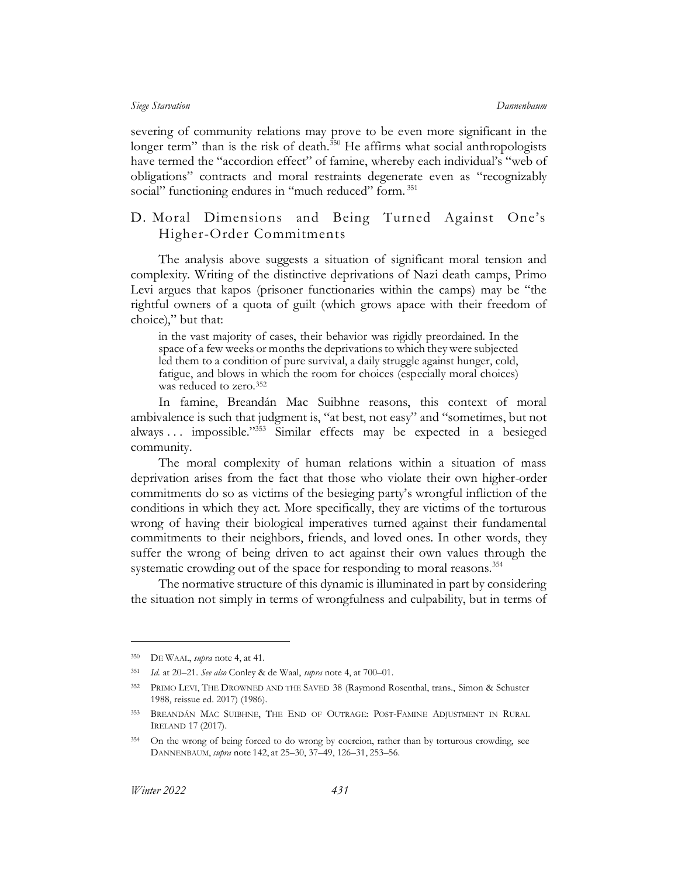severing of community relations may prove to be even more significant in the longer term" than is the risk of death.<sup>350</sup> He affirms what social anthropologists have termed the "accordion effect" of famine, whereby each individual's "web of obligations" contracts and moral restraints degenerate even as "recognizably social" functioning endures in "much reduced" form.<sup>351</sup>

# D. Moral Dimensions and Being Turned Against One's Higher-Order Commitments

The analysis above suggests a situation of significant moral tension and complexity. Writing of the distinctive deprivations of Nazi death camps, Primo Levi argues that kapos (prisoner functionaries within the camps) may be "the rightful owners of a quota of guilt (which grows apace with their freedom of choice)," but that:

in the vast majority of cases, their behavior was rigidly preordained. In the space of a few weeks or months the deprivations to which they were subjected led them to a condition of pure survival, a daily struggle against hunger, cold, fatigue, and blows in which the room for choices (especially moral choices) was reduced to zero.<sup>352</sup>

In famine, Breandán Mac Suibhne reasons, this context of moral ambivalence is such that judgment is, "at best, not easy" and "sometimes, but not always ... impossible."<sup>353</sup> Similar effects may be expected in a besieged community.

The moral complexity of human relations within a situation of mass deprivation arises from the fact that those who violate their own higher-order commitments do so as victims of the besieging party's wrongful infliction of the conditions in which they act. More specifically, they are victims of the torturous wrong of having their biological imperatives turned against their fundamental commitments to their neighbors, friends, and loved ones. In other words, they suffer the wrong of being driven to act against their own values through the systematic crowding out of the space for responding to moral reasons.<sup>354</sup>

The normative structure of this dynamic is illuminated in part by considering the situation not simply in terms of wrongfulness and culpability, but in terms of

<sup>350</sup> DE WAAL, *supra* not[e 4,](#page-3-0) at 41.

<sup>351</sup> *Id.* at 20–21. *See also* Conley & de Waal, *supra* note [4,](#page-3-0) at 700–01.

<sup>352</sup> PRIMO LEVI, THE DROWNED AND THE SAVED 38 (Raymond Rosenthal, trans., Simon & Schuster 1988, reissue ed. 2017) (1986).

<sup>353</sup> BREANDÁN MAC SUIBHNE, THE END OF OUTRAGE: POST-FAMINE ADJUSTMENT IN RURAL IRELAND 17 (2017).

<sup>354</sup> On the wrong of being forced to do wrong by coercion, rather than by torturous crowding, see DANNENBAUM, *supra* note [142,](#page-28-0) at 25–30, 37–49, 126–31, 253–56.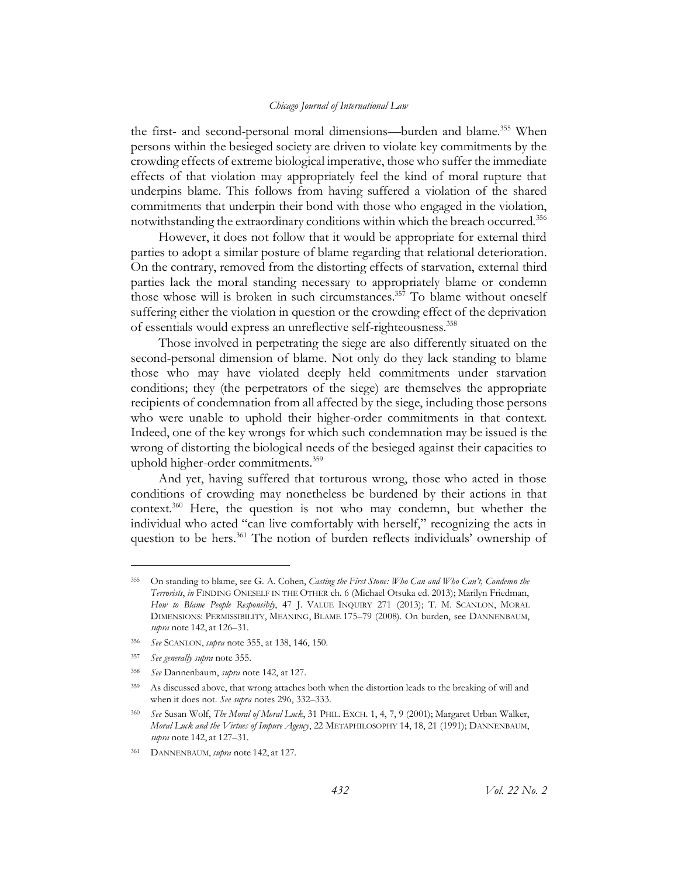<span id="page-65-0"></span>the first- and second-personal moral dimensions—burden and blame.<sup>355</sup> When persons within the besieged society are driven to violate key commitments by the crowding effects of extreme biological imperative, those who suffer the immediate effects of that violation may appropriately feel the kind of moral rupture that underpins blame. This follows from having suffered a violation of the shared commitments that underpin their bond with those who engaged in the violation, notwithstanding the extraordinary conditions within which the breach occurred.<sup>356</sup>

However, it does not follow that it would be appropriate for external third parties to adopt a similar posture of blame regarding that relational deterioration. On the contrary, removed from the distorting effects of starvation, external third parties lack the moral standing necessary to appropriately blame or condemn those whose will is broken in such circumstances. <sup>357</sup> To blame without oneself suffering either the violation in question or the crowding effect of the deprivation of essentials would express an unreflective self-righteousness.<sup>358</sup>

Those involved in perpetrating the siege are also differently situated on the second-personal dimension of blame. Not only do they lack standing to blame those who may have violated deeply held commitments under starvation conditions; they (the perpetrators of the siege) are themselves the appropriate recipients of condemnation from all affected by the siege, including those persons who were unable to uphold their higher-order commitments in that context. Indeed, one of the key wrongs for which such condemnation may be issued is the wrong of distorting the biological needs of the besieged against their capacities to uphold higher-order commitments.<sup>359</sup>

<span id="page-65-1"></span>And yet, having suffered that torturous wrong, those who acted in those conditions of crowding may nonetheless be burdened by their actions in that context.<sup>360</sup> Here, the question is not who may condemn, but whether the individual who acted "can live comfortably with herself," recognizing the acts in question to be hers.<sup>361</sup> The notion of burden reflects individuals' ownership of

<sup>355</sup> On standing to blame, see G. A. Cohen, *Casting the First Stone: Who Can and Who Can't, Condemn the Terrorists*, *in* FINDING ONESELF IN THE OTHER ch. 6 (Michael Otsuka ed. 2013); Marilyn Friedman, *How to Blame People Responsibly*, 47 J. VALUE INQUIRY 271 (2013); T. M. SCANLON, MORAL DIMENSIONS: PERMISSIBILITY, MEANING, BLAME 175–79 (2008). On burden, see DANNENBAUM, *supra* note [142,](#page-28-0) at 126–31.

<sup>356</sup> *See* SCANLON, *supra* not[e 355,](#page-65-0) at 138, 146, 150.

<sup>357</sup> *See generally supra* not[e 355.](#page-65-0)

<sup>358</sup> *See* Dannenbaum, *supra* not[e 142,](#page-28-0) at 127.

<sup>359</sup> As discussed above, that wrong attaches both when the distortion leads to the breaking of will and when it does not. *See supra* note[s 296,](#page-53-0) [332](#page-61-0)–[333.](#page-61-1)

<sup>360</sup> *See* Susan Wolf, *The Moral of Moral Luck*, 31 PHIL. EXCH. 1, 4, 7, 9 (2001); Margaret Urban Walker, *Moral Luck and the Virtues of Impure Agency*, 22 METAPHILOSOPHY 14, 18, 21 (1991); DANNENBAUM, *supra* note [142,](#page-28-0) at 127–31.

<sup>361</sup> DANNENBAUM, *supra* note [142,](#page-28-0) at 127.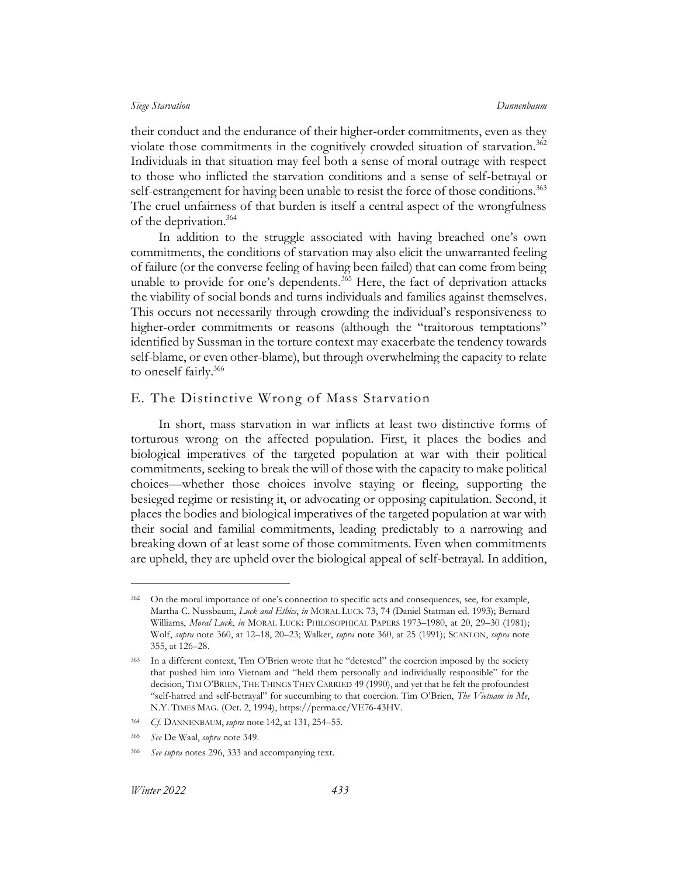their conduct and the endurance of their higher-order commitments, even as they violate those commitments in the cognitively crowded situation of starvation.<sup>362</sup> Individuals in that situation may feel both a sense of moral outrage with respect to those who inflicted the starvation conditions and a sense of self-betrayal or self-estrangement for having been unable to resist the force of those conditions.<sup>363</sup> The cruel unfairness of that burden is itself a central aspect of the wrongfulness of the deprivation.<sup>364</sup>

In addition to the struggle associated with having breached one's own commitments, the conditions of starvation may also elicit the unwarranted feeling of failure (or the converse feeling of having been failed) that can come from being unable to provide for one's dependents.<sup>365</sup> Here, the fact of deprivation attacks the viability of social bonds and turns individuals and families against themselves. This occurs not necessarily through crowding the individual's responsiveness to higher-order commitments or reasons (although the "traitorous temptations" identified by Sussman in the torture context may exacerbate the tendency towards self-blame, or even other-blame), but through overwhelming the capacity to relate to oneself fairly.<sup>366</sup>

## E. The Distinctive Wrong of Mass Starvation

In short, mass starvation in war inflicts at least two distinctive forms of torturous wrong on the affected population. First, it places the bodies and biological imperatives of the targeted population at war with their political commitments, seeking to break the will of those with the capacity to make political choices—whether those choices involve staying or fleeing, supporting the besieged regime or resisting it, or advocating or opposing capitulation. Second, it places the bodies and biological imperatives of the targeted population at war with their social and familial commitments, leading predictably to a narrowing and breaking down of at least some of those commitments. Even when commitments are upheld, they are upheld over the biological appeal of self-betrayal. In addition,

<sup>&</sup>lt;sup>362</sup> On the moral importance of one's connection to specific acts and consequences, see, for example, Martha C. Nussbaum, *Luck and Ethics*, *in* MORAL LUCK 73, 74 (Daniel Statman ed. 1993); Bernard Williams, *Moral Luck*, *in* MORAL LUCK: PHILOSOPHICAL PAPERS 1973–1980, at 20, 29–30 (1981); Wolf, *supra* not[e 360,](#page-65-1) at 12–18, 20–23; Walker, *supra* not[e 360,](#page-65-1) at 25 (1991); SCANLON, *supra* note [355,](#page-65-0) at 126–28.

<sup>363</sup> In a different context, Tim O'Brien wrote that he "detested" the coercion imposed by the society that pushed him into Vietnam and "held them personally and individually responsible" for the decision, TIM O'BRIEN, THE THINGS THEY CARRIED 49 (1990), and yet that he felt the profoundest "self-hatred and self-betrayal" for succumbing to that coercion. Tim O'Brien, *The Vietnam in Me*, N.Y. TIMES MAG. (Oct. 2, 1994), https://perma.cc/VE76-43HV.

<sup>364</sup> *Cf.* DANNENBAUM, *supra* note [142,](#page-28-0) at 131, 254–55.

<sup>365</sup> *See* De Waal, *supra* not[e 349.](#page-63-0)

<sup>366</sup> *See supra* notes [296,](#page-53-0) [333](#page-61-1) and accompanying text.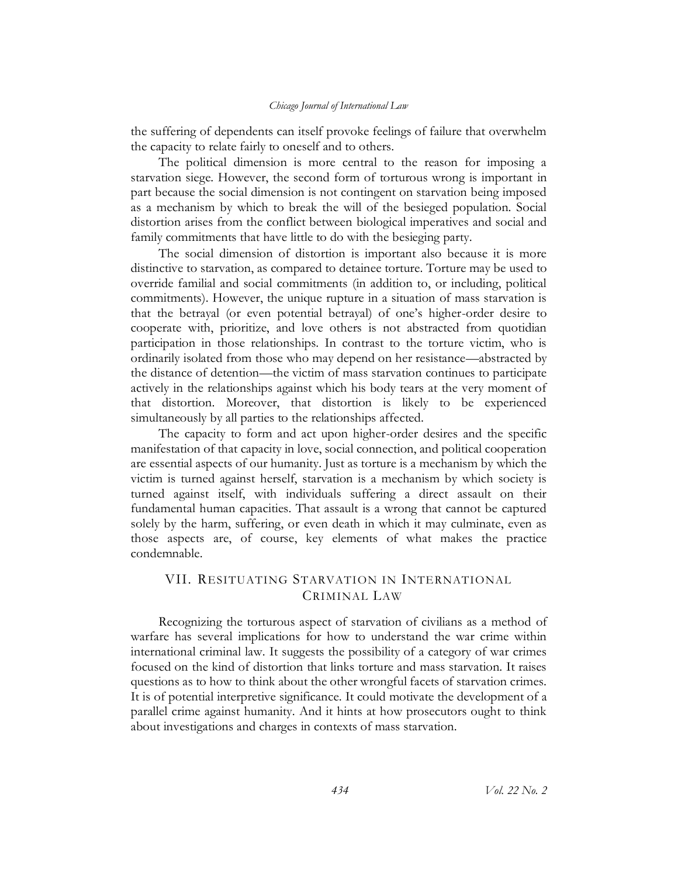the suffering of dependents can itself provoke feelings of failure that overwhelm the capacity to relate fairly to oneself and to others.

The political dimension is more central to the reason for imposing a starvation siege. However, the second form of torturous wrong is important in part because the social dimension is not contingent on starvation being imposed as a mechanism by which to break the will of the besieged population. Social distortion arises from the conflict between biological imperatives and social and family commitments that have little to do with the besieging party.

The social dimension of distortion is important also because it is more distinctive to starvation, as compared to detainee torture. Torture may be used to override familial and social commitments (in addition to, or including, political commitments). However, the unique rupture in a situation of mass starvation is that the betrayal (or even potential betrayal) of one's higher-order desire to cooperate with, prioritize, and love others is not abstracted from quotidian participation in those relationships. In contrast to the torture victim, who is ordinarily isolated from those who may depend on her resistance—abstracted by the distance of detention—the victim of mass starvation continues to participate actively in the relationships against which his body tears at the very moment of that distortion. Moreover, that distortion is likely to be experienced simultaneously by all parties to the relationships affected.

The capacity to form and act upon higher-order desires and the specific manifestation of that capacity in love, social connection, and political cooperation are essential aspects of our humanity. Just as torture is a mechanism by which the victim is turned against herself, starvation is a mechanism by which society is turned against itself, with individuals suffering a direct assault on their fundamental human capacities. That assault is a wrong that cannot be captured solely by the harm, suffering, or even death in which it may culminate, even as those aspects are, of course, key elements of what makes the practice condemnable.

# VII. RESITUATING STARVATION IN INTERNATIONAL CRIMINAL LAW

Recognizing the torturous aspect of starvation of civilians as a method of warfare has several implications for how to understand the war crime within international criminal law. It suggests the possibility of a category of war crimes focused on the kind of distortion that links torture and mass starvation. It raises questions as to how to think about the other wrongful facets of starvation crimes. It is of potential interpretive significance. It could motivate the development of a parallel crime against humanity. And it hints at how prosecutors ought to think about investigations and charges in contexts of mass starvation.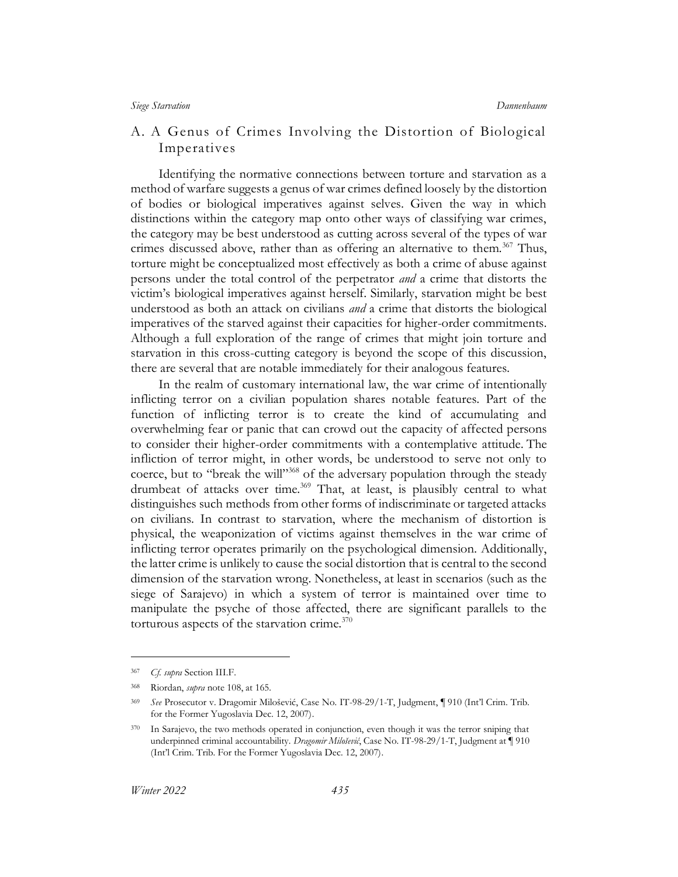# A. A Genus of Crimes Involving the Distortion of Biological Imperatives

Identifying the normative connections between torture and starvation as a method of warfare suggests a genus of war crimes defined loosely by the distortion of bodies or biological imperatives against selves. Given the way in which distinctions within the category map onto other ways of classifying war crimes, the category may be best understood as cutting across several of the types of war crimes discussed above, rather than as offering an alternative to them.<sup>367</sup> Thus, torture might be conceptualized most effectively as both a crime of abuse against persons under the total control of the perpetrator *and* a crime that distorts the victim's biological imperatives against herself. Similarly, starvation might be best understood as both an attack on civilians *and* a crime that distorts the biological imperatives of the starved against their capacities for higher-order commitments. Although a full exploration of the range of crimes that might join torture and starvation in this cross-cutting category is beyond the scope of this discussion, there are several that are notable immediately for their analogous features.

<span id="page-68-0"></span>In the realm of customary international law, the war crime of intentionally inflicting terror on a civilian population shares notable features. Part of the function of inflicting terror is to create the kind of accumulating and overwhelming fear or panic that can crowd out the capacity of affected persons to consider their higher-order commitments with a contemplative attitude. The infliction of terror might, in other words, be understood to serve not only to coerce, but to "break the will"<sup>368</sup> of the adversary population through the steady drumbeat of attacks over time.<sup>369</sup> That, at least, is plausibly central to what distinguishes such methods from other forms of indiscriminate or targeted attacks on civilians. In contrast to starvation, where the mechanism of distortion is physical, the weaponization of victims against themselves in the war crime of inflicting terror operates primarily on the psychological dimension. Additionally, the latter crime is unlikely to cause the social distortion that is central to the second dimension of the starvation wrong. Nonetheless, at least in scenarios (such as the siege of Sarajevo) in which a system of terror is maintained over time to manipulate the psyche of those affected, there are significant parallels to the torturous aspects of the starvation crime. $370$ 

<sup>367</sup> *Cf. supra* Sectio[n III.F.](#page-33-0)

<sup>368</sup> Riordan, *supra* note [108,](#page-22-2) at 165.

<sup>369</sup> *See* Prosecutor v. Dragomir Milošević, Case No. IT-98-29/1-T, Judgment, ¶ 910 (Int'l Crim. Trib. for the Former Yugoslavia Dec. 12, 2007).

<sup>370</sup> In Sarajevo, the two methods operated in conjunction, even though it was the terror sniping that underpinned criminal accountability. *Dragomir Milošević*, Case No. IT-98-29/1-T, Judgment at ¶ 910 (Int'l Crim. Trib. For the Former Yugoslavia Dec. 12, 2007).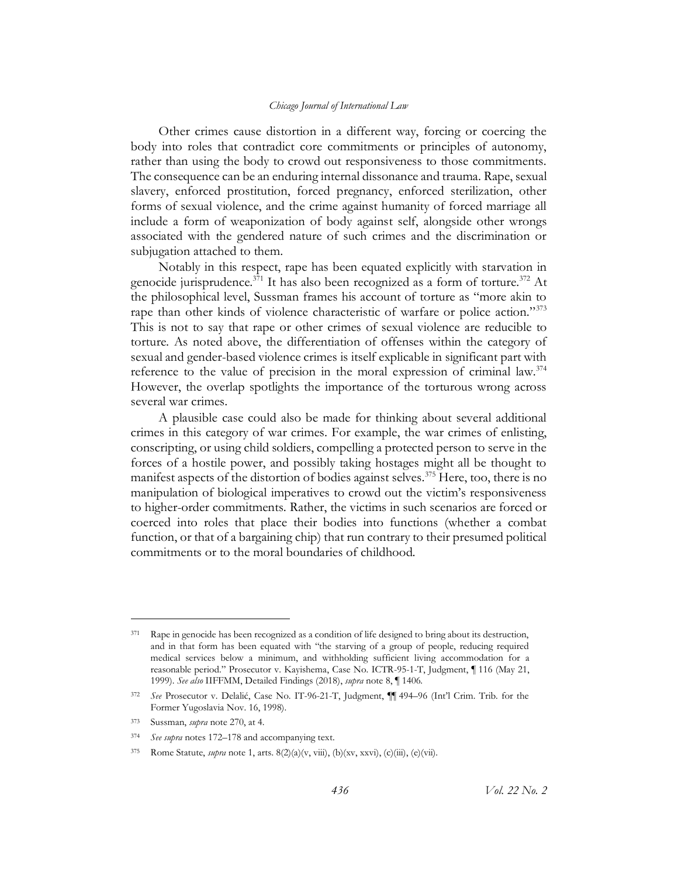Other crimes cause distortion in a different way, forcing or coercing the body into roles that contradict core commitments or principles of autonomy, rather than using the body to crowd out responsiveness to those commitments. The consequence can be an enduring internal dissonance and trauma. Rape, sexual slavery, enforced prostitution, forced pregnancy, enforced sterilization, other forms of sexual violence, and the crime against humanity of forced marriage all include a form of weaponization of body against self, alongside other wrongs associated with the gendered nature of such crimes and the discrimination or subjugation attached to them.

<span id="page-69-0"></span>Notably in this respect, rape has been equated explicitly with starvation in genocide jurisprudence.<sup>371</sup> It has also been recognized as a form of torture.<sup>372</sup> At the philosophical level, Sussman frames his account of torture as "more akin to rape than other kinds of violence characteristic of warfare or police action."<sup>373</sup> This is not to say that rape or other crimes of sexual violence are reducible to torture. As noted above, the differentiation of offenses within the category of sexual and gender-based violence crimes is itself explicable in significant part with reference to the value of precision in the moral expression of criminal law. $374$ However, the overlap spotlights the importance of the torturous wrong across several war crimes.

A plausible case could also be made for thinking about several additional crimes in this category of war crimes. For example, the war crimes of enlisting, conscripting, or using child soldiers, compelling a protected person to serve in the forces of a hostile power, and possibly taking hostages might all be thought to manifest aspects of the distortion of bodies against selves.<sup>375</sup> Here, too, there is no manipulation of biological imperatives to crowd out the victim's responsiveness to higher-order commitments. Rather, the victims in such scenarios are forced or coerced into roles that place their bodies into functions (whether a combat function, or that of a bargaining chip) that run contrary to their presumed political commitments or to the moral boundaries of childhood.

<sup>371</sup> Rape in genocide has been recognized as a condition of life designed to bring about its destruction, and in that form has been equated with "the starving of a group of people, reducing required medical services below a minimum, and withholding sufficient living accommodation for a reasonable period." Prosecutor v. Kayishema, Case No. ICTR-95-1-T, Judgment, ¶ 116 (May 21, 1999). *See also* IIFFMM, Detailed Findings (2018), *supra* not[e 8,](#page-4-1) ¶ 1406.

<sup>372</sup> *See* Prosecutor v. Delalić, Case No. IT-96-21-T, Judgment, ¶¶ 494–96 (Int'l Crim. Trib. for the Former Yugoslavia Nov. 16, 1998).

<sup>373</sup> Sussman, *supra* not[e 270,](#page-50-0) at 4.

<sup>374</sup> *See supra* notes [172](#page-32-0)–[178](#page-33-1) and accompanying text.

<sup>375</sup> Rome Statute, *supra* note [1,](#page-3-1) arts. 8(2)(a)(v, viii), (b)(xv, xxvi), (c)(iii), (e)(vii).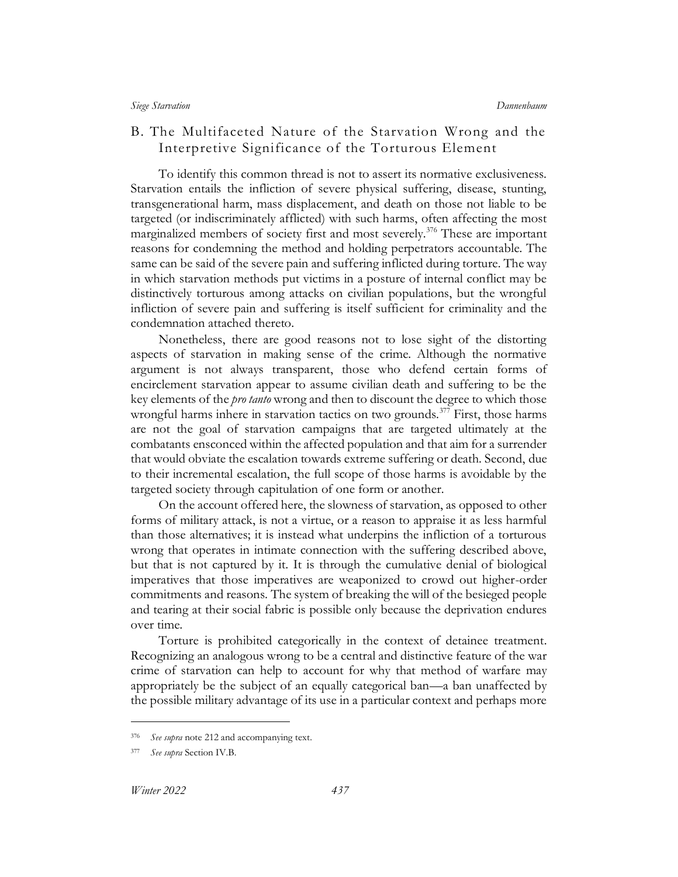# B. The Multifaceted Nature of the Starvation Wrong and the Interpretive Significance of the Torturous Element

To identify this common thread is not to assert its normative exclusiveness. Starvation entails the infliction of severe physical suffering, disease, stunting, transgenerational harm, mass displacement, and death on those not liable to be targeted (or indiscriminately afflicted) with such harms, often affecting the most marginalized members of society first and most severely.<sup>376</sup> These are important reasons for condemning the method and holding perpetrators accountable. The same can be said of the severe pain and suffering inflicted during torture. The way in which starvation methods put victims in a posture of internal conflict may be distinctively torturous among attacks on civilian populations, but the wrongful infliction of severe pain and suffering is itself sufficient for criminality and the condemnation attached thereto.

Nonetheless, there are good reasons not to lose sight of the distorting aspects of starvation in making sense of the crime. Although the normative argument is not always transparent, those who defend certain forms of encirclement starvation appear to assume civilian death and suffering to be the key elements of the *pro tanto* wrong and then to discount the degree to which those wrongful harms inhere in starvation tactics on two grounds.<sup>377</sup> First, those harms are not the goal of starvation campaigns that are targeted ultimately at the combatants ensconced within the affected population and that aim for a surrender that would obviate the escalation towards extreme suffering or death. Second, due to their incremental escalation, the full scope of those harms is avoidable by the targeted society through capitulation of one form or another.

On the account offered here, the slowness of starvation, as opposed to other forms of military attack, is not a virtue, or a reason to appraise it as less harmful than those alternatives; it is instead what underpins the infliction of a torturous wrong that operates in intimate connection with the suffering described above, but that is not captured by it. It is through the cumulative denial of biological imperatives that those imperatives are weaponized to crowd out higher-order commitments and reasons. The system of breaking the will of the besieged people and tearing at their social fabric is possible only because the deprivation endures over time.

Torture is prohibited categorically in the context of detainee treatment. Recognizing an analogous wrong to be a central and distinctive feature of the war crime of starvation can help to account for why that method of warfare may appropriately be the subject of an equally categorical ban—a ban unaffected by the possible military advantage of its use in a particular context and perhaps more

<sup>376</sup> *See supra* not[e 212](#page-39-1) and accompanying text.

<sup>377</sup> *See supra* Section [IV.B.](#page-39-2)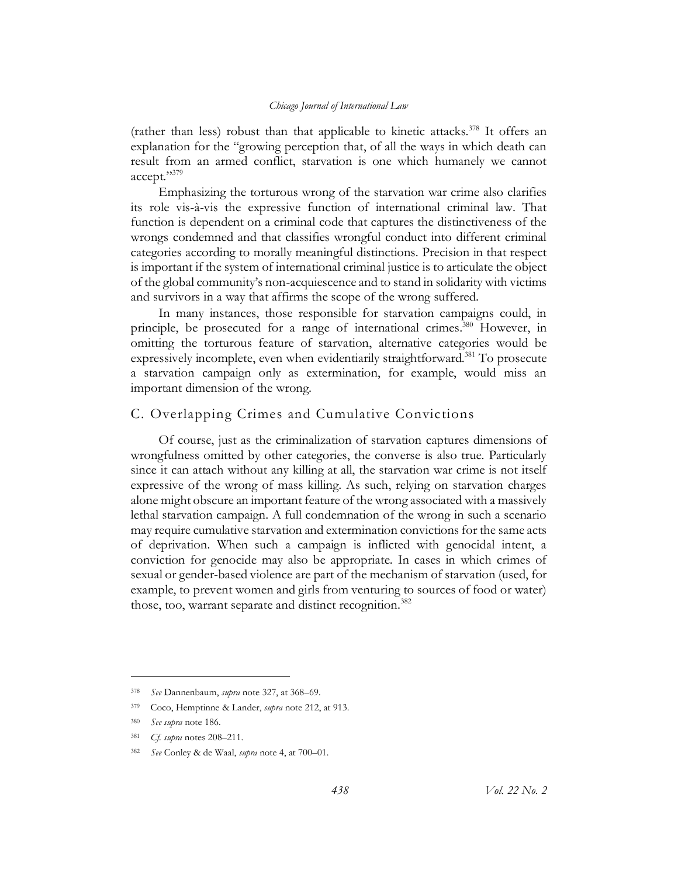(rather than less) robust than that applicable to kinetic attacks.<sup>378</sup> It offers an explanation for the "growing perception that, of all the ways in which death can result from an armed conflict, starvation is one which humanely we cannot accept."<sup>379</sup>

Emphasizing the torturous wrong of the starvation war crime also clarifies its role vis-à-vis the expressive function of international criminal law. That function is dependent on a criminal code that captures the distinctiveness of the wrongs condemned and that classifies wrongful conduct into different criminal categories according to morally meaningful distinctions. Precision in that respect is important if the system of international criminal justice is to articulate the object of the global community's non-acquiescence and to stand in solidarity with victims and survivors in a way that affirms the scope of the wrong suffered.

In many instances, those responsible for starvation campaigns could, in principle, be prosecuted for a range of international crimes.<sup>380</sup> However, in omitting the torturous feature of starvation, alternative categories would be expressively incomplete, even when evidentiarily straightforward.<sup>381</sup> To prosecute a starvation campaign only as extermination, for example, would miss an important dimension of the wrong.

# C. Overlapping Crimes and Cumulative Convictions

Of course, just as the criminalization of starvation captures dimensions of wrongfulness omitted by other categories, the converse is also true. Particularly since it can attach without any killing at all, the starvation war crime is not itself expressive of the wrong of mass killing. As such, relying on starvation charges alone might obscure an important feature of the wrong associated with a massively lethal starvation campaign. A full condemnation of the wrong in such a scenario may require cumulative starvation and extermination convictions for the same acts of deprivation. When such a campaign is inflicted with genocidal intent, a conviction for genocide may also be appropriate. In cases in which crimes of sexual or gender-based violence are part of the mechanism of starvation (used, for example, to prevent women and girls from venturing to sources of food or water) those, too, warrant separate and distinct recognition.<sup>382</sup>

<sup>378</sup> *See* Dannenbaum, *supra* not[e 327,](#page-60-0) at 368–69.

<sup>379</sup> Coco, Hemptinne & Lander, *supra* not[e 212,](#page-39-1) at 913.

<sup>380</sup> *See supra* not[e 186.](#page-35-0)

<sup>381</sup> *Cf. supra* notes [208](#page-38-1)–[211.](#page-38-0)

<sup>382</sup> *See* Conley & de Waal, *supra* not[e 4,](#page-3-0) at 700–01.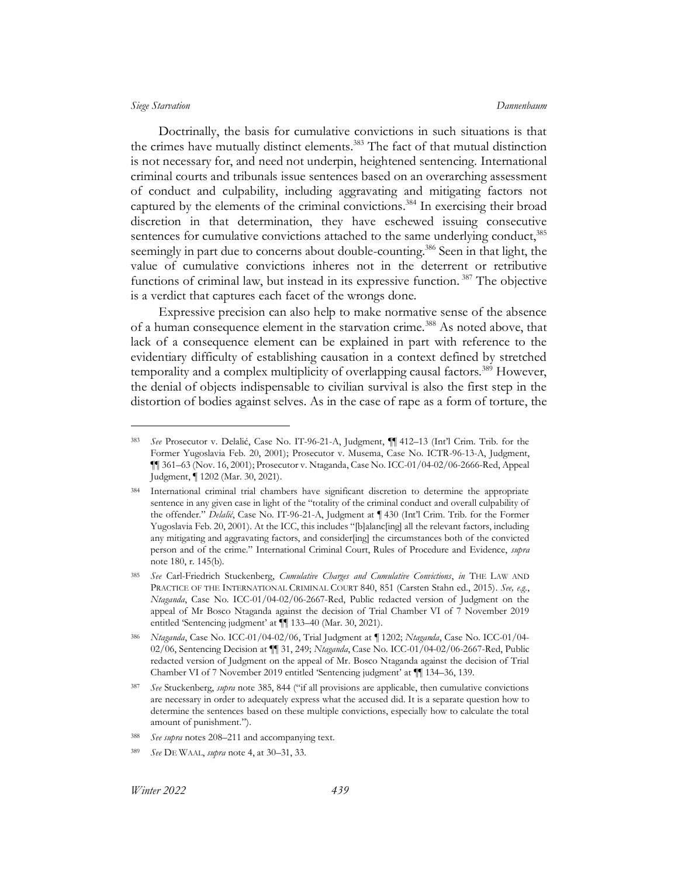### *Siege Starvation Dannenbaum*

<span id="page-72-0"></span>Doctrinally, the basis for cumulative convictions in such situations is that the crimes have mutually distinct elements.<sup>383</sup> The fact of that mutual distinction is not necessary for, and need not underpin, heightened sentencing. International criminal courts and tribunals issue sentences based on an overarching assessment of conduct and culpability, including aggravating and mitigating factors not captured by the elements of the criminal convictions. <sup>384</sup> In exercising their broad discretion in that determination, they have eschewed issuing consecutive sentences for cumulative convictions attached to the same underlying conduct,<sup>385</sup> seemingly in part due to concerns about double-counting.<sup>386</sup> Seen in that light, the value of cumulative convictions inheres not in the deterrent or retributive functions of criminal law, but instead in its expressive function. <sup>387</sup> The objective is a verdict that captures each facet of the wrongs done.

Expressive precision can also help to make normative sense of the absence of a human consequence element in the starvation crime.<sup>388</sup> As noted above, that lack of a consequence element can be explained in part with reference to the evidentiary difficulty of establishing causation in a context defined by stretched temporality and a complex multiplicity of overlapping causal factors.<sup>389</sup> However, the denial of objects indispensable to civilian survival is also the first step in the distortion of bodies against selves. As in the case of rape as a form of torture, the

<sup>383</sup> *See* Prosecutor v. Delalić, Case No. IT-96-21-A, Judgment, ¶¶ 412–13 (Int'l Crim. Trib. for the Former Yugoslavia Feb. 20, 2001); Prosecutor v. Musema, Case No. ICTR-96-13-A, Judgment, ¶¶ 361–63 (Nov. 16, 2001); Prosecutor v. Ntaganda, Case No. ICC-01/04-02/06-2666-Red, Appeal Judgment, ¶ 1202 (Mar. 30, 2021).

<sup>384</sup> International criminal trial chambers have significant discretion to determine the appropriate sentence in any given case in light of the "totality of the criminal conduct and overall culpability of the offender." *Delalić*, Case No. IT-96-21-A, Judgment at ¶ 430 (Int'l Crim. Trib. for the Former Yugoslavia Feb. 20, 2001). At the ICC, this includes "[b]alanc[ing] all the relevant factors, including any mitigating and aggravating factors, and consider[ing] the circumstances both of the convicted person and of the crime." International Criminal Court, Rules of Procedure and Evidence, *supra*  note [180,](#page-33-0) r. 145(b).

<sup>385</sup> *See* Carl-Friedrich Stuckenberg, *Cumulative Charges and Cumulative Convictions*, *in* THE LAW AND PRACTICE OF THE INTERNATIONAL CRIMINAL COURT 840, 851 (Carsten Stahn ed., 2015). *See, e.g.*, *Ntaganda*, Case No. ICC-01/04-02/06-2667-Red, Public redacted version of Judgment on the appeal of Mr Bosco Ntaganda against the decision of Trial Chamber VI of 7 November 2019 entitled 'Sentencing judgment' at ¶¶ 133–40 (Mar. 30, 2021).

<sup>386</sup> *Ntaganda*, Case No. ICC-01/04-02/06, Trial Judgment at ¶ 1202; *Ntaganda*, Case No. ICC-01/04- 02/06, Sentencing Decision at ¶¶ 31, 249; *Ntaganda*, Case No. ICC-01/04-02/06-2667-Red, Public redacted version of Judgment on the appeal of Mr. Bosco Ntaganda against the decision of Trial Chamber VI of 7 November 2019 entitled 'Sentencing judgment' at ¶¶ 134–36, 139.

<sup>387</sup> *See* Stuckenberg, *supra* not[e 385](#page-72-0), 844 ("if all provisions are applicable, then cumulative convictions are necessary in order to adequately express what the accused did. It is a separate question how to determine the sentences based on these multiple convictions, especially how to calculate the total amount of punishment.").

See supra notes [208](#page-38-0)-[211](#page-38-1) and accompanying text.

<sup>389</sup> *See* DE WAAL, *supra* not[e 4,](#page-3-0) at 30–31, 33.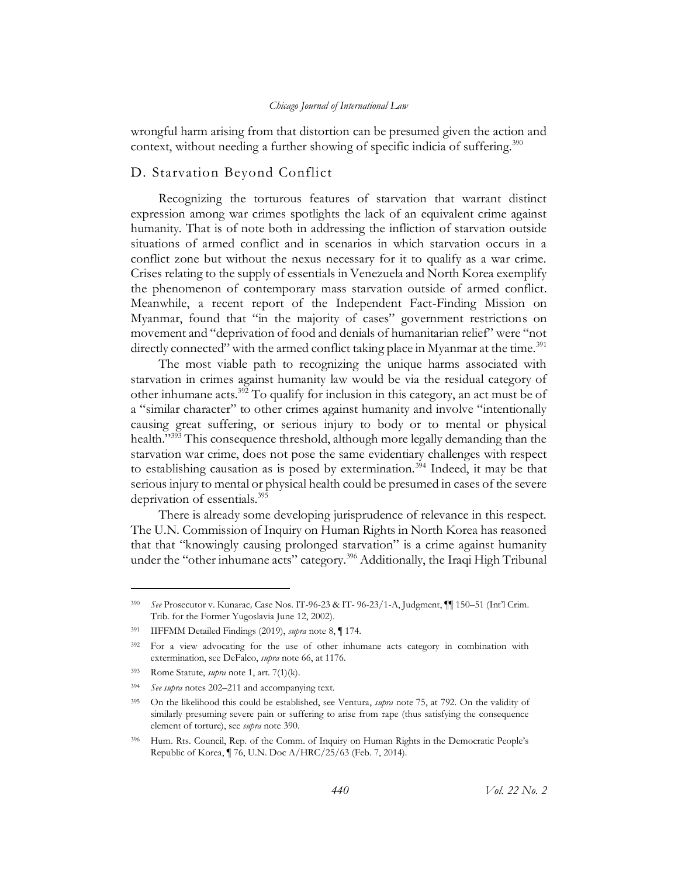### <span id="page-73-0"></span>*Chicago Journal of International Law*

wrongful harm arising from that distortion can be presumed given the action and context, without needing a further showing of specific indicia of suffering.<sup>390</sup>

# D. Starvation Beyond Conflict

Recognizing the torturous features of starvation that warrant distinct expression among war crimes spotlights the lack of an equivalent crime against humanity. That is of note both in addressing the infliction of starvation outside situations of armed conflict and in scenarios in which starvation occurs in a conflict zone but without the nexus necessary for it to qualify as a war crime. Crises relating to the supply of essentials in Venezuela and North Korea exemplify the phenomenon of contemporary mass starvation outside of armed conflict. Meanwhile, a recent report of the Independent Fact-Finding Mission on Myanmar, found that "in the majority of cases" government restrictions on movement and "deprivation of food and denials of humanitarian relief" were "not directly connected" with the armed conflict taking place in Myanmar at the time.<sup>391</sup>

The most viable path to recognizing the unique harms associated with starvation in crimes against humanity law would be via the residual category of other inhumane acts.<sup>392</sup> To qualify for inclusion in this category, an act must be of a "similar character" to other crimes against humanity and involve "intentionally causing great suffering, or serious injury to body or to mental or physical health."<sup>393</sup> This consequence threshold, although more legally demanding than the starvation war crime, does not pose the same evidentiary challenges with respect to establishing causation as is posed by extermination.<sup>394</sup> Indeed, it may be that serious injury to mental or physical health could be presumed in cases of the severe deprivation of essentials.<sup>395</sup>

There is already some developing jurisprudence of relevance in this respect. The U.N. Commission of Inquiry on Human Rights in North Korea has reasoned that that "knowingly causing prolonged starvation" is a crime against humanity under the "other inhumane acts" category.<sup>396</sup> Additionally, the Iraqi High Tribunal

<sup>390</sup> *See* Prosecutor v. Kunarac*,* Case Nos. IT-96-23 & IT- 96-23/1-A, Judgment, ¶¶ 150–51 (Int'l Crim. Trib. for the Former Yugoslavia June 12, 2002).

<sup>391</sup> IIFFMM Detailed Findings (2019), *supra* note [8,](#page-4-0) ¶ 174.

<sup>392</sup> For a view advocating for the use of other inhumane acts category in combination with extermination, see DeFalco, *supra* not[e 66,](#page-14-0) at 1176.

<sup>393</sup> Rome Statute, *supra* note [1,](#page-3-1) art. 7(1)(k).

<sup>394</sup> *See supra* notes [202](#page-37-0)–[211](#page-38-1) and accompanying text.

<sup>395</sup> On the likelihood this could be established, see Ventura, *supra* not[e 75,](#page-16-0) at 792. On the validity of similarly presuming severe pain or suffering to arise from rape (thus satisfying the consequence element of torture), see *supra* note [390.](#page-73-0)

<sup>396</sup> Hum. Rts. Council, Rep. of the Comm. of Inquiry on Human Rights in the Democratic People's Republic of Korea, ¶ 76, U.N. Doc A/HRC/25/63 (Feb. 7, 2014).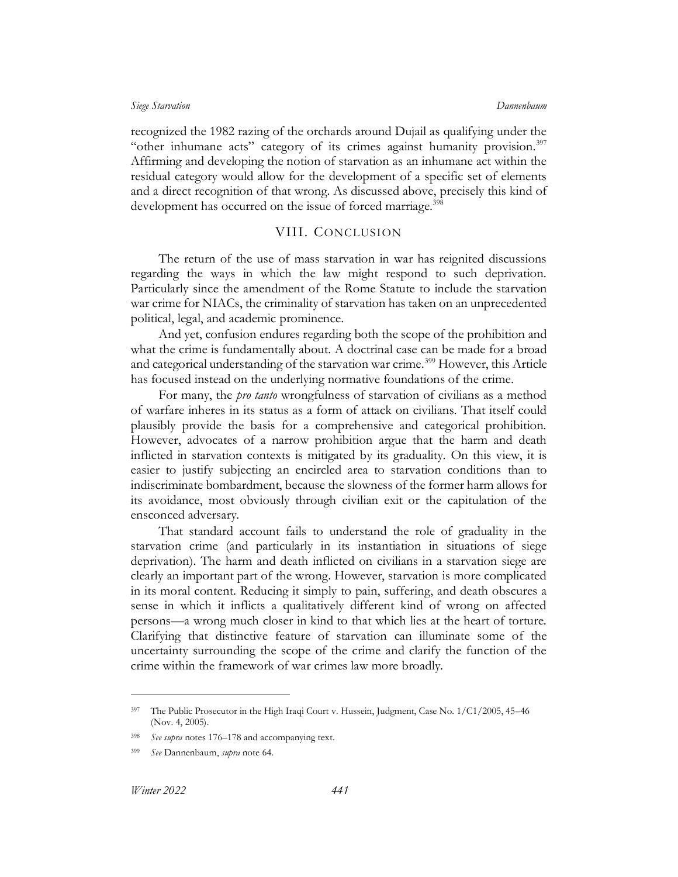recognized the 1982 razing of the orchards around Dujail as qualifying under the "other inhumane acts" category of its crimes against humanity provision. $397$ Affirming and developing the notion of starvation as an inhumane act within the residual category would allow for the development of a specific set of elements and a direct recognition of that wrong. As discussed above, precisely this kind of development has occurred on the issue of forced marriage.<sup>398</sup>

## VIII. CONCLUSION

The return of the use of mass starvation in war has reignited discussions regarding the ways in which the law might respond to such deprivation. Particularly since the amendment of the Rome Statute to include the starvation war crime for NIACs, the criminality of starvation has taken on an unprecedented political, legal, and academic prominence.

And yet, confusion endures regarding both the scope of the prohibition and what the crime is fundamentally about. A doctrinal case can be made for a broad and categorical understanding of the starvation war crime.<sup>399</sup> However, this Article has focused instead on the underlying normative foundations of the crime.

For many, the *pro tanto* wrongfulness of starvation of civilians as a method of warfare inheres in its status as a form of attack on civilians. That itself could plausibly provide the basis for a comprehensive and categorical prohibition. However, advocates of a narrow prohibition argue that the harm and death inflicted in starvation contexts is mitigated by its graduality. On this view, it is easier to justify subjecting an encircled area to starvation conditions than to indiscriminate bombardment, because the slowness of the former harm allows for its avoidance, most obviously through civilian exit or the capitulation of the ensconced adversary.

That standard account fails to understand the role of graduality in the starvation crime (and particularly in its instantiation in situations of siege deprivation). The harm and death inflicted on civilians in a starvation siege are clearly an important part of the wrong. However, starvation is more complicated in its moral content. Reducing it simply to pain, suffering, and death obscures a sense in which it inflicts a qualitatively different kind of wrong on affected persons—a wrong much closer in kind to that which lies at the heart of torture. Clarifying that distinctive feature of starvation can illuminate some of the uncertainty surrounding the scope of the crime and clarify the function of the crime within the framework of war crimes law more broadly.

<sup>&</sup>lt;sup>397</sup> The Public Prosecutor in the High Iraqi Court v. Hussein, Judgment, Case No. 1/C1/2005, 45-46 (Nov. 4, 2005).

See supra notes [176](#page-32-0)–[178](#page-33-1) and accompanying text.

<sup>399</sup> *See* Dannenbaum, *supra* note [64.](#page-14-1)